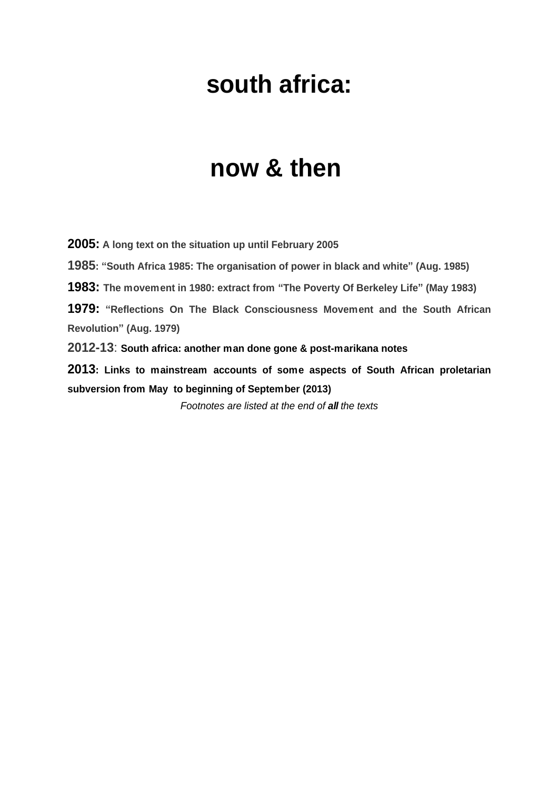# **south africa:**

# **now & then**

**2005: A long text on the situation up until February 2005 1985: ³South Africa 1985: The organisation of power in black and white´ (Aug. 1985) 1983: The movement in 1980: extract from ³The Poverty Of Berkeley Life´ (May 1983) 1979: ³Reflections On The Black Consciousness Movement and the South African Revolution´ (Aug. 1979) 2012-13**: **South africa: another man done gone & post-marikana notes 2013: Links to mainstream accounts of some aspects of South African proletarian subversion from May to beginning of September (2013)**

*Footnotes are listed at the end of all the texts*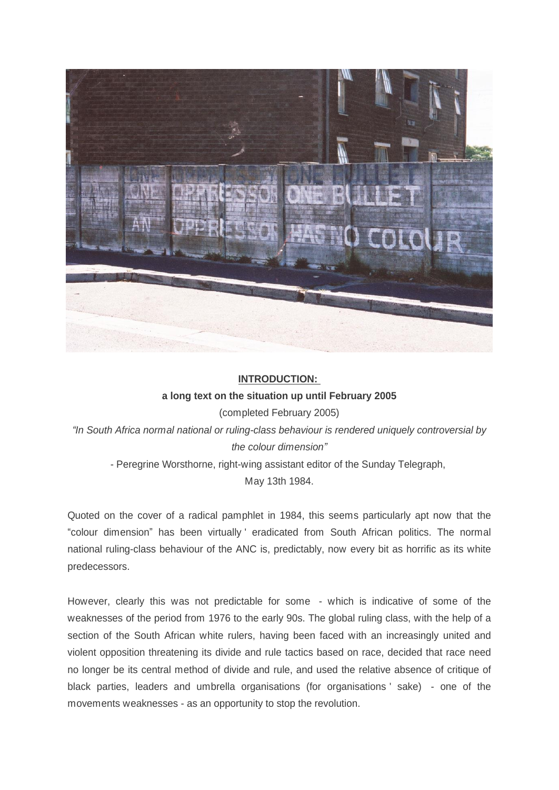

#### **INTRODUCTION: a long text on the situation up until February 2005**

(completed February 2005)

*³In South Africa normal national or ruling-class behaviour is rendered uniquely controversial by the colour dimension´*

- Peregrine Worsthorne, right-wing assistant editor of the Sunday Telegraph,

May 13th 1984.

Quoted on the cover of a radical pamphlet in 1984, this seems particularly apt now that the ³colour dimension´ has been virtually ' eradicated from South African politics. The normal national ruling-class behaviour of the ANC is, predictably, now every bit as horrific as its white predecessors.

However, clearly this was not predictable for some - which is indicative of some of the weaknesses of the period from 1976 to the early 90s. The global ruling class, with the help of a section of the South African white rulers, having been faced with an increasingly united and violent opposition threatening its divide and rule tactics based on race, decided that race need no longer be its central method of divide and rule, and used the relative absence of critique of black parties, leaders and umbrella organisations (for organisations ' sake) - one of the movements weaknesses - as an opportunity to stop the revolution.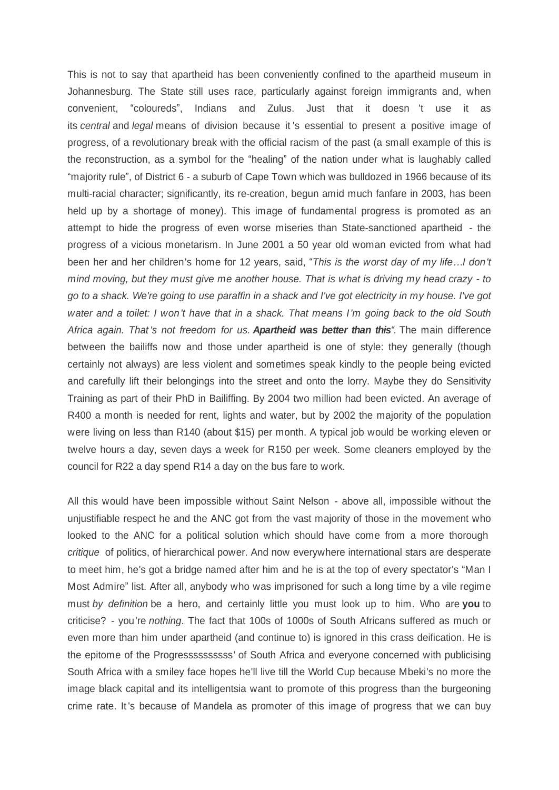This is not to say that apartheid has been conveniently confined to the apartheid museum in Johannesburg. The State still uses race, particularly against foreign immigrants and, when convenient, "coloureds", Indians and Zulus. Just that it doesn 't use it as its *central* and *legal* means of division because it 's essential to present a positive image of progress, of a revolutionary break with the official racism of the past (a small example of this is the reconstruction, as a symbol for the "healing" of the nation under what is laughably called "majority rule", of District 6 - a suburb of Cape Town which was bulldozed in 1966 because of its multi-racial character; significantly, its re-creation, begun amid much fanfare in 2003, has been held up by a shortage of money). This image of fundamental progress is promoted as an attempt to hide the progress of even worse miseries than State-sanctioned apartheid - the progress of a vicious monetarism. In June 2001 a 50 year old woman evicted from what had been her and her children's home for 12 years, said, "This is the worst day of my life... I don't *mind moving, but they must give me another house. That is what is driving my head crazy - to go to a shack. We're going to use paraffin in a shack and I've got electricity in my house. I've got water and a toilet: I won't have that in a shack. That means I'm going back to the old South Africa again. That 's not freedom for us. Apartheid was better than this³.* The main difference between the bailiffs now and those under apartheid is one of style: they generally (though certainly not always) are less violent and sometimes speak kindly to the people being evicted and carefully lift their belongings into the street and onto the lorry. Maybe they do Sensitivity Training as part of their PhD in Bailiffing. By 2004 two million had been evicted. An average of R400 a month is needed for rent, lights and water, but by 2002 the majority of the population were living on less than R140 (about \$15) per month. A typical job would be working eleven or twelve hours a day, seven days a week for R150 per week. Some cleaners employed by the council for R22 a day spend R14 a day on the bus fare to work.

All this would have been impossible without Saint Nelson - above all, impossible without the unjustifiable respect he and the ANC got from the vast majority of those in the movement who looked to the ANC for a political solution which should have come from a more thorough *critique* of politics, of hierarchical power. And now everywhere international stars are desperate to meet him, he's got a bridge named after him and he is at the top of every spectator's "Man I Most Admire" list. After all, anybody who was imprisoned for such a long time by a vile regime must *by definition* be a hero, and certainly little you must look up to him. Who are **you** to criticise? - you're *nothing*. The fact that 100s of 1000s of South Africans suffered as much or even more than him under apartheid (and continue to) is ignored in this crass deification. He is the epitome of the Progressssssssss' of South Africa and everyone concerned with publicising South Africa with a smiley face hopes he'll live till the World Cup because Mbeki's no more the image black capital and its intelligentsia want to promote of this progress than the burgeoning crime rate. It 's because of Mandela as promoter of this image of progress that we can buy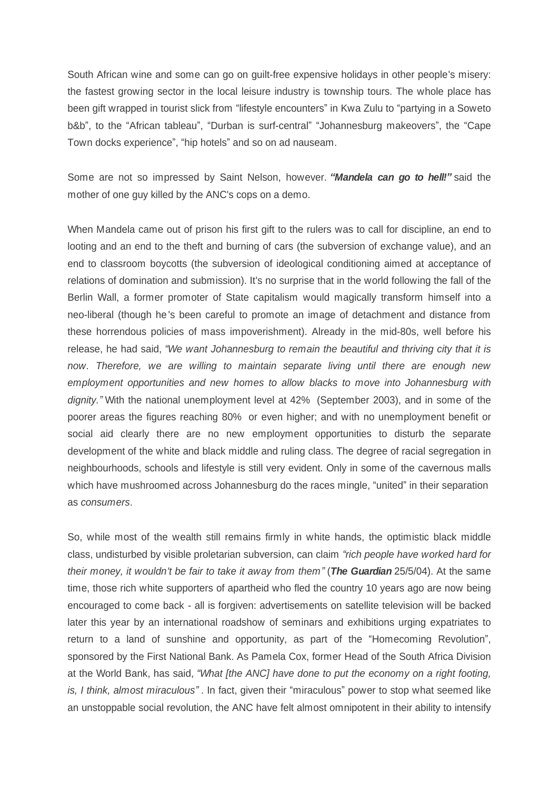South African wine and some can go on guilt-free expensive holidays in other people's misery: the fastest growing sector in the local leisure industry is township tours. The whole place has been gift wrapped in tourist slick from "lifestyle encounters" in Kwa Zulu to "partying in a Soweto b&b", to the "African tableau", "Durban is surf-central" "Johannesburg makeovers", the "Cape Town docks experience", "hip hotels" and so on ad nauseam.

Some are not so impressed by Saint Nelson, however. "Mandela can go to hell!" said the mother of one guy killed by the ANC's cops on a demo.

When Mandela came out of prison his first gift to the rulers was to call for discipline, an end to looting and an end to the theft and burning of cars (the subversion of exchange value), and an end to classroom boycotts (the subversion of ideological conditioning aimed at acceptance of relations of domination and submission). It's no surprise that in the world following the fall of the Berlin Wall, a former promoter of State capitalism would magically transform himself into a neo-liberal (though he 's been careful to promote an image of detachment and distance from these horrendous policies of mass impoverishment). Already in the mid-80s, well before his release, he had said, *³We want Johannesburg to remain the beautiful and thriving city that it is now. Therefore, we are willing to maintain separate living until there are enough new employment opportunities and new homes to allow blacks to move into Johannesburg with dignity.´* With the national unemployment level at 42% (September 2003), and in some of the poorer areas the figures reaching 80% or even higher; and with no unemployment benefit or social aid clearly there are no new employment opportunities to disturb the separate development of the white and black middle and ruling class. The degree of racial segregation in neighbourhoods, schools and lifestyle is still very evident. Only in some of the cavernous malls which have mushroomed across Johannesburg do the races mingle, "united" in their separation as *consumers*.

So, while most of the wealth still remains firmly in white hands, the optimistic black middle class, undisturbed by visible proletarian subversion, can claim *³rich people have worked hard for their money, it wouldn't be fair to take it away from them´*(*The Guardian* 25/5/04). At the same time, those rich white supporters of apartheid who fled the country 10 years ago are now being encouraged to come back - all is forgiven: advertisements on satellite television will be backed later this year by an international roadshow of seminars and exhibitions urging expatriates to return to a land of sunshine and opportunity, as part of the "Homecoming Revolution", sponsored by the First National Bank. As Pamela Cox, former Head of the South Africa Division at the World Bank, has said, *³What [the ANC] have done to put the economy on a right footing, is, I think, almost miraculous*". In fact, given their "miraculous" power to stop what seemed like an unstoppable social revolution, the ANC have felt almost omnipotent in their ability to intensify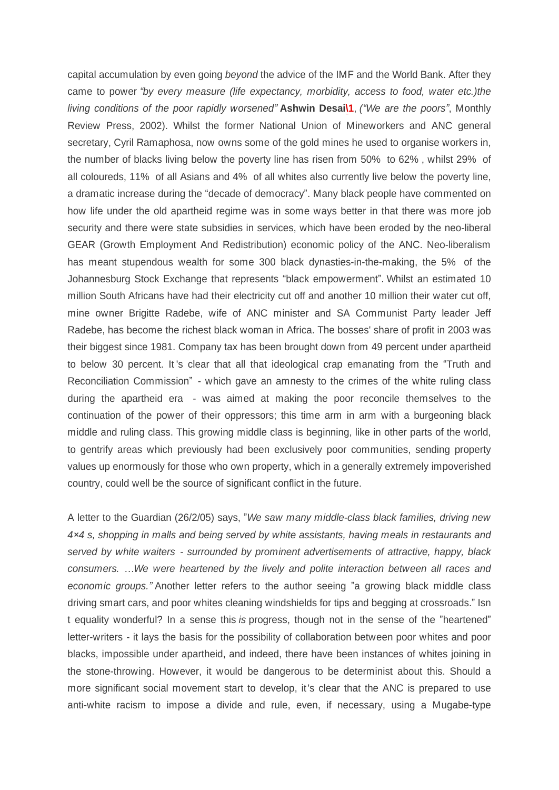capital accumulation by even going *beyond* the advice of the IMF and the World Bank. After they came to power *³by every measure (life expectancy, morbidity, access to food, water etc.)the living conditions of the poor rapidly worsened´***Ashwin Desa[i\1](file:///C:\\\\Users\\\\Nick\\\\Documents\\\\dialectical%20delinquents\\\\texts%20for%20site\\\\South%20Africa2.%20OpenOffice.org%201.1.html)**, *(³We are the poors´*, Monthly Review Press, 2002). Whilst the former National Union of Mineworkers and ANC general secretary, Cyril Ramaphosa, now owns some of the gold mines he used to organise workers in, the number of blacks living below the poverty line has risen from 50% to 62%, whilst 29% of all coloureds, 11% of all Asians and 4% of all whites also currently live below the poverty line, a dramatic increase during the "decade of democracy". Many black people have commented on how life under the old apartheid regime was in some ways better in that there was more job security and there were state subsidies in services, which have been eroded by the neo-liberal GEAR (Growth Employment And Redistribution) economic policy of the ANC. Neo-liberalism has meant stupendous wealth for some 300 black dynasties-in-the-making, the 5% of the Johannesburg Stock Exchange that represents "black empowerment". Whilst an estimated 10 million South Africans have had their electricity cut off and another 10 million their water cut off, mine owner Brigitte Radebe, wife of ANC minister and SA Communist Party leader Jeff Radebe, has become the richest black woman in Africa. The bosses' share of profit in 2003 was their biggest since 1981. Company tax has been brought down from 49 percent under apartheid to below 30 percent. It 's clear that all that ideological crap emanating from the "Truth and Reconciliation Commission" - which gave an amnesty to the crimes of the white ruling class during the apartheid era - was aimed at making the poor reconcile themselves to the continuation of the power of their oppressors; this time arm in arm with a burgeoning black middle and ruling class. This growing middle class is beginning, like in other parts of the world, to gentrify areas which previously had been exclusively poor communities, sending property values up enormously for those who own property, which in a generally extremely impoverished country, could well be the source of significant conflict in the future.

A letter to the Guardian (26/2/05) says, ´*We saw many middle-class black families, driving new 4î4 s, shopping in malls and being served by white assistants, having meals in restaurants and served by white waiters - surrounded by prominent advertisements of attractive, happy, black consumers. «We were heartened by the lively and polite interaction between all races and economic groups.´*Another letter refers to the author seeing ´a growing black middle class driving smart cars, and poor whites cleaning windshields for tips and begging at crossroads." Isn t equality wonderful? In a sense this *is* progress, though not in the sense of the "heartened" letter-writers - it lays the basis for the possibility of collaboration between poor whites and poor blacks, impossible under apartheid, and indeed, there have been instances of whites joining in the stone-throwing. However, it would be dangerous to be determinist about this. Should a more significant social movement start to develop, it's clear that the ANC is prepared to use anti-white racism to impose a divide and rule, even, if necessary, using a Mugabe-type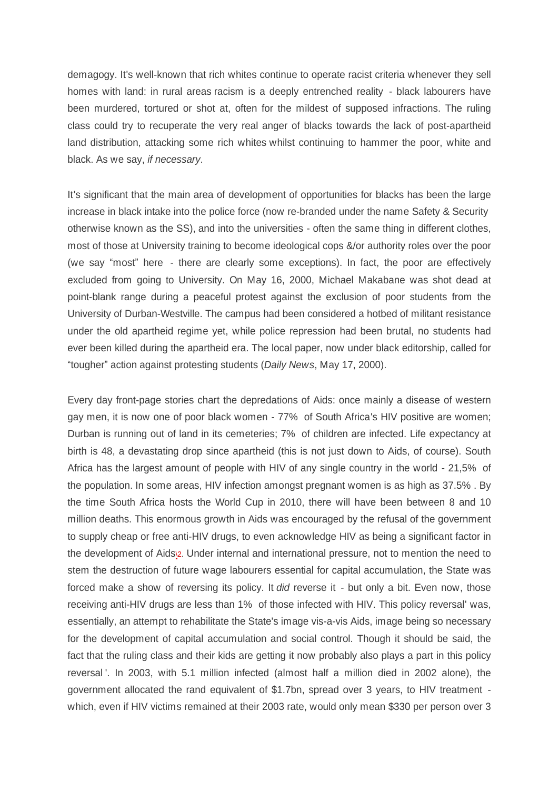demagogy. It's well-known that rich whites continue to operate racist criteria whenever they sell homes with land: in rural areas racism is a deeply entrenched reality - black labourers have been murdered, tortured or shot at, often for the mildest of supposed infractions. The ruling class could try to recuperate the very real anger of blacks towards the lack of post-apartheid land distribution, attacking some rich whites whilst continuing to hammer the poor, white and black. As we say, *if necessary*.

It's significant that the main area of development of opportunities for blacks has been the large increase in black intake into the police force (now re-branded under the name Safety & Security otherwise known as the SS), and into the universities - often the same thing in different clothes, most of those at University training to become ideological cops &/or authority roles over the poor (we say "most" here - there are clearly some exceptions). In fact, the poor are effectively excluded from going to University. On May 16, 2000, Michael Makabane was shot dead at point-blank range during a peaceful protest against the exclusion of poor students from the University of Durban-Westville. The campus had been considered a hotbed of militant resistance under the old apartheid regime yet, while police repression had been brutal, no students had ever been killed during the apartheid era. The local paper, now under black editorship, called for ³tougher´ action against protesting students (*Daily News*, May 17, 2000).

Every day front-page stories chart the depredations of Aids: once mainly a disease of western gay men, it is now one of poor black women - 77% of South Africa's HIV positive are women; Durban is running out of land in its cemeteries; 7% of children are infected. Life expectancy at birth is 48, a devastating drop since apartheid (this is not just down to Aids, of course). South Africa has the largest amount of people with HIV of any single country in the world - 21,5% of the population. In some areas, HIV infection amongst pregnant women is as high as 37.5%. By the time South Africa hosts the World Cup in 2010, there will have been between 8 and 10 million deaths. This enormous growth in Aids was encouraged by the refusal of the government to supply cheap or free anti-HIV drugs, to even acknowledge HIV as being a significant factor in the development of Aids[\2](file:///C:\\\\Users\\\\Nick\\\\Documents\\\\dialectical%20delinquents\\\\texts%20for%20site\\\\South%20Africa2.%20OpenOffice.org%201.1.html). Under internal and international pressure, not to mention the need to stem the destruction of future wage labourers essential for capital accumulation, the State was forced make a show of reversing its policy. It *did* reverse it - but only a bit. Even now, those receiving anti-HIV drugs are less than 1% of those infected with HIV. This policy reversal' was, essentially, an attempt to rehabilitate the State's image vis-a-vis Aids, image being so necessary for the development of capital accumulation and social control. Though it should be said, the fact that the ruling class and their kids are getting it now probably also plays a part in this policy reversal '. In 2003, with 5.1 million infected (almost half a million died in 2002 alone), the government allocated the rand equivalent of \$1.7bn, spread over 3 years, to HIV treatment which, even if HIV victims remained at their 2003 rate, would only mean \$330 per person over 3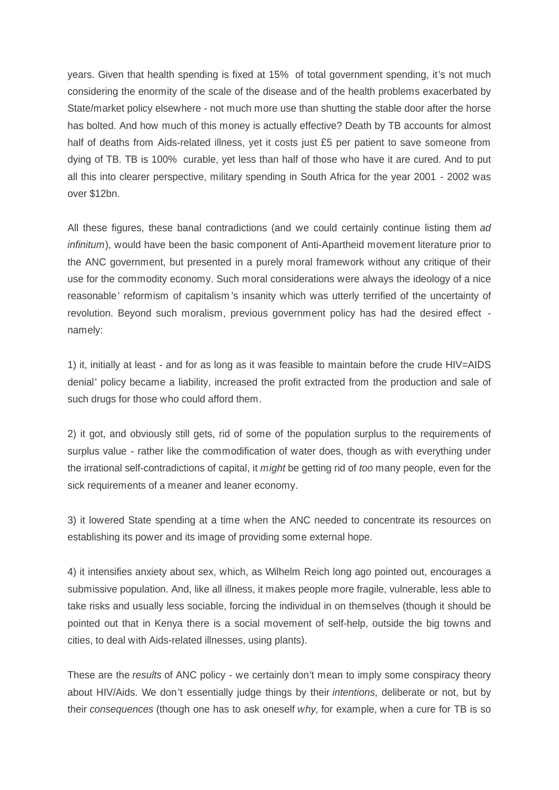years. Given that health spending is fixed at 15% of total government spending, it's not much considering the enormity of the scale of the disease and of the health problems exacerbated by State/market policy elsewhere - not much more use than shutting the stable door after the horse has bolted. And how much of this money is actually effective? Death by TB accounts for almost half of deaths from Aids-related illness, yet it costs just £5 per patient to save someone from dying of TB. TB is 100% curable, yet less than half of those who have it are cured. And to put all this into clearer perspective, military spending in South Africa for the year 2001 - 2002 was over \$12bn.

All these figures, these banal contradictions (and we could certainly continue listing them *ad infinitum*), would have been the basic component of Anti-Apartheid movement literature prior to the ANC government, but presented in a purely moral framework without any critique of their use for the commodity economy. Such moral considerations were always the ideology of a nice reasonable' reformism of capitalism's insanity which was utterly terrified of the uncertainty of revolution. Beyond such moralism, previous government policy has had the desired effect namely:

1) it, initially at least - and for as long as it was feasible to maintain before the crude HIV=AIDS denial' policy became a liability, increased the profit extracted from the production and sale of such drugs for those who could afford them.

2) it got, and obviously still gets, rid of some of the population surplus to the requirements of surplus value - rather like the commodification of water does, though as with everything under the irrational self-contradictions of capital, it *might* be getting rid of *too* many people, even for the sick requirements of a meaner and leaner economy.

3) it lowered State spending at a time when the ANC needed to concentrate its resources on establishing its power and its image of providing some external hope.

4) it intensifies anxiety about sex, which, as Wilhelm Reich long ago pointed out, encourages a submissive population. And, like all illness, it makes people more fragile, vulnerable, less able to take risks and usually less sociable, forcing the individual in on themselves (though it should be pointed out that in Kenya there is a social movement of self-help, outside the big towns and cities, to deal with Aids-related illnesses, using plants).

These are the *results* of ANC policy - we certainly don't mean to imply some conspiracy theory about HIV/Aids. We don't essentially judge things by their *intentions*, deliberate or not, but by their *consequences* (though one has to ask oneself *why,* for example, when a cure for TB is so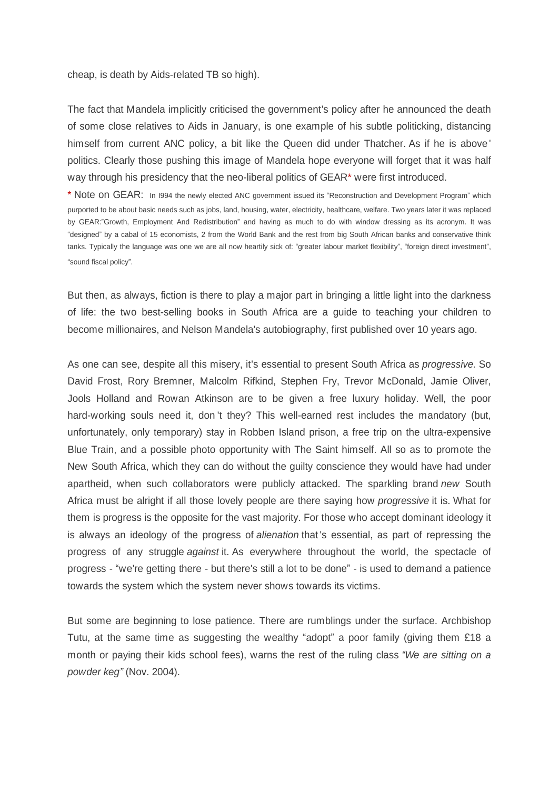cheap, is death by Aids-related TB so high).

The fact that Mandela implicitly criticised the government's policy after he announced the death of some close relatives to Aids in January, is one example of his subtle politicking, distancing himself from current ANC policy, a bit like the Queen did under Thatcher. As if he is above ' politics. Clearly those pushing this image of Mandela hope everyone will forget that it was half way through his presidency that the neo-liberal politics of GEAR\* were first introduced.

\* Note on GEAR: In 1994 the newly elected ANC government issued its "Reconstruction and Development Program" which purported to be about basic needs such as jobs, land, housing, water, electricity, healthcare, welfare. Two years later it was replaced by GEAR:"Growth, Employment And Redistribution" and having as much to do with window dressing as its acronym. It was "designed" by a cabal of 15 economists, 2 from the World Bank and the rest from big South African banks and conservative think tanks. Typically the language was one we are all now heartily sick of: "greater labour market flexibility", "foreign direct investment", "sound fiscal policy".

But then, as always, fiction is there to play a major part in bringing a little light into the darkness of life: the two best-selling books in South Africa are a guide to teaching your children to become millionaires, and Nelson Mandela's autobiography, first published over 10 years ago.

As one can see, despite all this misery, it's essential to present South Africa as *progressive.* So David Frost, Rory Bremner, Malcolm Rifkind, Stephen Fry, Trevor McDonald, Jamie Oliver, Jools Holland and Rowan Atkinson are to be given a free luxury holiday. Well, the poor hard-working souls need it, don 't they? This well-earned rest includes the mandatory (but, unfortunately, only temporary) stay in Robben Island prison, a free trip on the ultra-expensive Blue Train, and a possible photo opportunity with The Saint himself. All so as to promote the New South Africa, which they can do without the guilty conscience they would have had under apartheid, when such collaborators were publicly attacked. The sparkling brand *new* South Africa must be alright if all those lovely people are there saying how *progressive* it is. What for them is progress is the opposite for the vast majority. For those who accept dominant ideology it is always an ideology of the progress of *alienation* that 's essential, as part of repressing the progress of any struggle *against* it. As everywhere throughout the world, the spectacle of progress - "we're getting there - but there's still a lot to be done" - is used to demand a patience towards the system which the system never shows towards its victims.

But some are beginning to lose patience. There are rumblings under the surface. Archbishop Tutu, at the same time as suggesting the wealthy "adopt" a poor family (giving them £18 a month or paying their kids school fees), warns the rest of the ruling class *"We are sitting on a powder keg´* (Nov. 2004).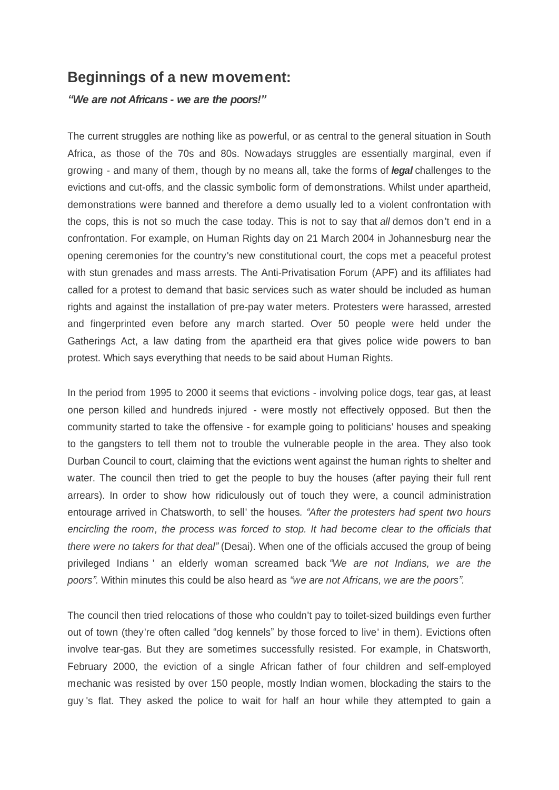# **Beginnings of a new movement:**

*³We are not Africans - we are the poors!´*

The current struggles are nothing like as powerful, or as central to the general situation in South Africa, as those of the 70s and 80s. Nowadays struggles are essentially marginal, even if growing - and many of them, though by no means all, take the forms of *legal* challenges to the evictions and cut-offs, and the classic symbolic form of demonstrations. Whilst under apartheid, demonstrations were banned and therefore a demo usually led to a violent confrontation with the cops, this is not so much the case today. This is not to say that *all* demos don't end in a confrontation. For example, on Human Rights day on 21 March 2004 in Johannesburg near the opening ceremonies for the country's new constitutional court, the cops met a peaceful protest with stun grenades and mass arrests. The Anti-Privatisation Forum (APF) and its affiliates had called for a protest to demand that basic services such as water should be included as human rights and against the installation of pre-pay water meters. Protesters were harassed, arrested and fingerprinted even before any march started. Over 50 people were held under the Gatherings Act, a law dating from the apartheid era that gives police wide powers to ban protest. Which says everything that needs to be said about Human Rights.

In the period from 1995 to 2000 it seems that evictions - involving police dogs, tear gas, at least one person killed and hundreds injured - were mostly not effectively opposed. But then the community started to take the offensive - for example going to politicians' houses and speaking to the gangsters to tell them not to trouble the vulnerable people in the area. They also took Durban Council to court, claiming that the evictions went against the human rights to shelter and water. The council then tried to get the people to buy the houses (after paying their full rent arrears). In order to show how ridiculously out of touch they were, a council administration entourage arrived in Chatsworth, to sell' the houses. "After the protesters had spent two hours *encircling the room, the process was forced to stop. It had become clear to the officials that there were no takers for that deal´*(Desai). When one of the officials accused the group of being privileged Indians ' an elderly woman screamed back *³We are not Indians, we are the poors´.* Within minutes this could be also heard as *³we are not Africans, we are the poors´.*

The council then tried relocations of those who couldn't pay to toilet-sized buildings even further out of town (they're often called "dog kennels" by those forced to live' in them). Evictions often involve tear-gas. But they are sometimes successfully resisted. For example, in Chatsworth, February 2000, the eviction of a single African father of four children and self-employed mechanic was resisted by over 150 people, mostly Indian women, blockading the stairs to the guy 's flat. They asked the police to wait for half an hour while they attempted to gain a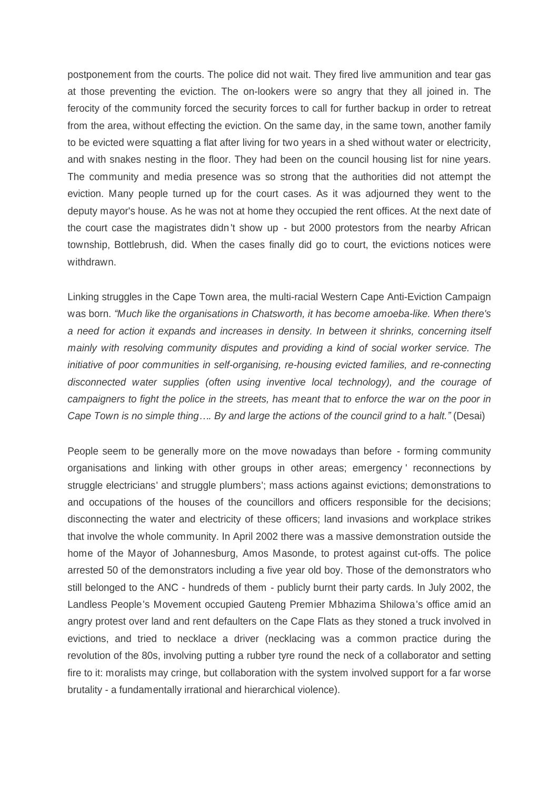postponement from the courts. The police did not wait. They fired live ammunition and tear gas at those preventing the eviction. The on-lookers were so angry that they all joined in. The ferocity of the community forced the security forces to call for further backup in order to retreat from the area, without effecting the eviction. On the same day, in the same town, another family to be evicted were squatting a flat after living for two years in a shed without water or electricity, and with snakes nesting in the floor. They had been on the council housing list for nine years. The community and media presence was so strong that the authorities did not attempt the eviction. Many people turned up for the court cases. As it was adjourned they went to the deputy mayor's house. As he was not at home they occupied the rent offices. At the next date of the court case the magistrates didn't show up - but 2000 protestors from the nearby African township, Bottlebrush, did. When the cases finally did go to court, the evictions notices were withdrawn.

Linking struggles in the Cape Town area, the multi-racial Western Cape Anti-Eviction Campaign was born. *"Much like the organisations in Chatsworth, it has become amoeba-like. When there's a need for action it expands and increases in density. In between it shrinks, concerning itself mainly with resolving community disputes and providing a kind of social worker service. The initiative of poor communities in self-organising, re-housing evicted families, and re-connecting disconnected water supplies (often using inventive local technology), and the courage of campaigners to fight the police in the streets, has meant that to enforce the war on the poor in Cape Town is no simple thing.... By and large the actions of the council grind to a halt.*<sup>*\**</sup> (Desai)

People seem to be generally more on the move nowadays than before - forming community organisations and linking with other groups in other areas; emergency ' reconnections by struggle electricians' and struggle plumbers'; mass actions against evictions; demonstrations to and occupations of the houses of the councillors and officers responsible for the decisions; disconnecting the water and electricity of these officers; land invasions and workplace strikes that involve the whole community. In April 2002 there was a massive demonstration outside the home of the Mayor of Johannesburg, Amos Masonde, to protest against cut-offs. The police arrested 50 of the demonstrators including a five year old boy. Those of the demonstrators who still belonged to the ANC - hundreds of them - publicly burnt their party cards. In July 2002, the Landless People's Movement occupied Gauteng Premier Mbhazima Shilowa's office amid an angry protest over land and rent defaulters on the Cape Flats as they stoned a truck involved in evictions, and tried to necklace a driver (necklacing was a common practice during the revolution of the 80s, involving putting a rubber tyre round the neck of a collaborator and setting fire to it: moralists may cringe, but collaboration with the system involved support for a far worse brutality - a fundamentally irrational and hierarchical violence).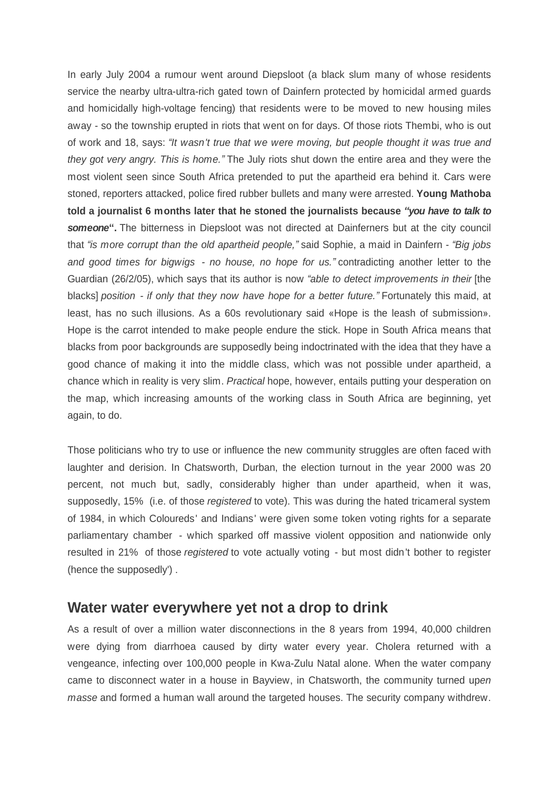In early July 2004 a rumour went around Diepsloot (a black slum many of whose residents service the nearby ultra-ultra-rich gated town of Dainfern protected by homicidal armed guards and homicidally high-voltage fencing) that residents were to be moved to new housing miles away - so the township erupted in riots that went on for days. Of those riots Thembi, who is out of work and 18, says: *³It wasn't true that we were moving, but people thought it was true and they got very angry. This is home.´*The July riots shut down the entire area and they were the most violent seen since South Africa pretended to put the apartheid era behind it. Cars were stoned, reporters attacked, police fired rubber bullets and many were arrested. **Young Mathoba told a journalist 6 months later that he stoned the journalists because** *³you have to talk to* someone". The bitterness in Diepsloot was not directed at Dainferners but at the city council that *³is more corrupt than the old apartheid people,´* said Sophie, a maid in Dainfern - *³Big jobs and good times for bigwigs - no house, no hope for us.´* contradicting another letter to the Guardian (26/2/05), which says that its author is now *³able to detect improvements in their* [the blacks] *position - if only that they now have hope for a better future.´* Fortunately this maid, at least, has no such illusions. As a 60s revolutionary said «Hope is the leash of submission». Hope is the carrot intended to make people endure the stick. Hope in South Africa means that blacks from poor backgrounds are supposedly being indoctrinated with the idea that they have a good chance of making it into the middle class, which was not possible under apartheid, a chance which in reality is very slim. *Practical* hope, however, entails putting your desperation on the map, which increasing amounts of the working class in South Africa are beginning, yet again, to do.

Those politicians who try to use or influence the new community struggles are often faced with laughter and derision. In Chatsworth, Durban, the election turnout in the year 2000 was 20 percent, not much but, sadly, considerably higher than under apartheid, when it was, supposedly, 15% (i.e. of those *registered* to vote). This was during the hated tricameral system of 1984, in which Coloureds' and Indians' were given some token voting rights for a separate parliamentary chamber - which sparked off massive violent opposition and nationwide only resulted in 21% of those *registered* to vote actually voting - but most didn't bother to register (hence the supposedly') .

## **Water water everywhere yet not a drop to drink**

As a result of over a million water disconnections in the 8 years from 1994, 40,000 children were dying from diarrhoea caused by dirty water every year. Cholera returned with a vengeance, infecting over 100,000 people in Kwa-Zulu Natal alone. When the water company came to disconnect water in a house in Bayview, in Chatsworth, the community turned up*en masse* and formed a human wall around the targeted houses. The security company withdrew.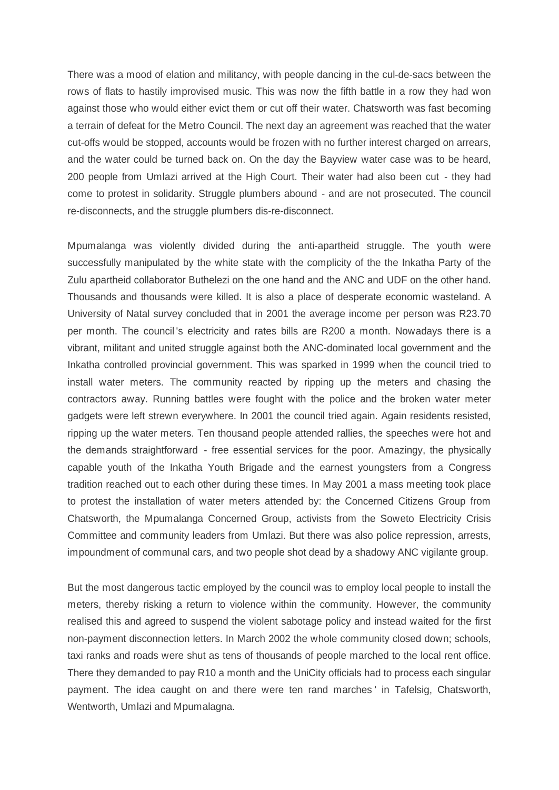There was a mood of elation and militancy, with people dancing in the cul-de-sacs between the rows of flats to hastily improvised music. This was now the fifth battle in a row they had won against those who would either evict them or cut off their water. Chatsworth was fast becoming a terrain of defeat for the Metro Council. The next day an agreement was reached that the water cut-offs would be stopped, accounts would be frozen with no further interest charged on arrears, and the water could be turned back on. On the day the Bayview water case was to be heard, 200 people from Umlazi arrived at the High Court. Their water had also been cut - they had come to protest in solidarity. Struggle plumbers abound - and are not prosecuted. The council re-disconnects, and the struggle plumbers dis-re-disconnect.

Mpumalanga was violently divided during the anti-apartheid struggle. The youth were successfully manipulated by the white state with the complicity of the the Inkatha Party of the Zulu apartheid collaborator Buthelezi on the one hand and the ANC and UDF on the other hand. Thousands and thousands were killed. It is also a place of desperate economic wasteland. A University of Natal survey concluded that in 2001 the average income per person was R23.70 per month. The council 's electricity and rates bills are R200 a month. Nowadays there is a vibrant, militant and united struggle against both the ANC-dominated local government and the Inkatha controlled provincial government. This was sparked in 1999 when the council tried to install water meters. The community reacted by ripping up the meters and chasing the contractors away. Running battles were fought with the police and the broken water meter gadgets were left strewn everywhere. In 2001 the council tried again. Again residents resisted, ripping up the water meters. Ten thousand people attended rallies, the speeches were hot and the demands straightforward - free essential services for the poor. Amazingy, the physically capable youth of the Inkatha Youth Brigade and the earnest youngsters from a Congress tradition reached out to each other during these times. In May 2001 a mass meeting took place to protest the installation of water meters attended by: the Concerned Citizens Group from Chatsworth, the Mpumalanga Concerned Group, activists from the Soweto Electricity Crisis Committee and community leaders from Umlazi. But there was also police repression, arrests, impoundment of communal cars, and two people shot dead by a shadowy ANC vigilante group.

But the most dangerous tactic employed by the council was to employ local people to install the meters, thereby risking a return to violence within the community. However, the community realised this and agreed to suspend the violent sabotage policy and instead waited for the first non-payment disconnection letters. In March 2002 the whole community closed down; schools, taxi ranks and roads were shut as tens of thousands of people marched to the local rent office. There they demanded to pay R10 a month and the UniCity officials had to process each singular payment. The idea caught on and there were ten rand marches ' in Tafelsig, Chatsworth, Wentworth, Umlazi and Mpumalagna.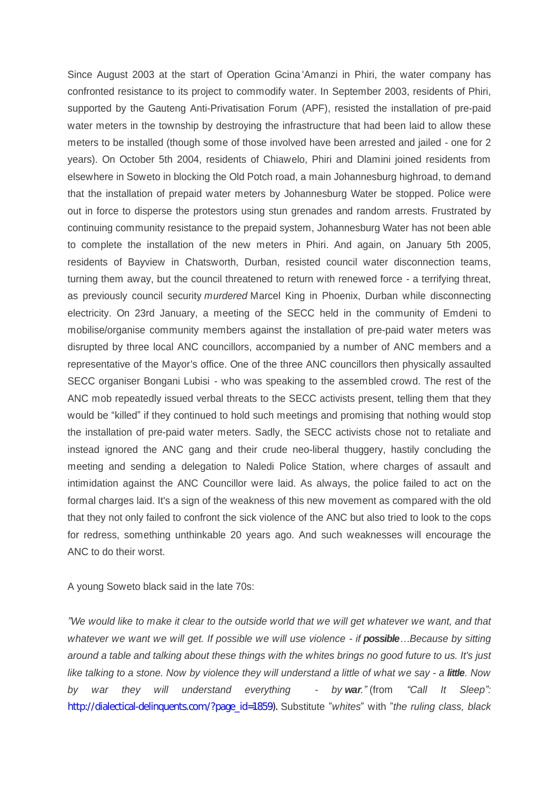Since August 2003 at the start of Operation Gcina 'Amanzi in Phiri, the water company has confronted resistance to its project to commodify water. In September 2003, residents of Phiri, supported by the Gauteng Anti-Privatisation Forum (APF), resisted the installation of pre-paid water meters in the township by destroying the infrastructure that had been laid to allow these meters to be installed (though some of those involved have been arrested and jailed - one for 2 years). On October 5th 2004, residents of Chiawelo, Phiri and Dlamini joined residents from elsewhere in Soweto in blocking the Old Potch road, a main Johannesburg highroad, to demand that the installation of prepaid water meters by Johannesburg Water be stopped. Police were out in force to disperse the protestors using stun grenades and random arrests. Frustrated by continuing community resistance to the prepaid system, Johannesburg Water has not been able to complete the installation of the new meters in Phiri. And again, on January 5th 2005, residents of Bayview in Chatsworth, Durban, resisted council water disconnection teams, turning them away, but the council threatened to return with renewed force - a terrifying threat, as previously council security *murdered* Marcel King in Phoenix, Durban while disconnecting electricity. On 23rd January, a meeting of the SECC held in the community of Emdeni to mobilise/organise community members against the installation of pre-paid water meters was disrupted by three local ANC councillors, accompanied by a number of ANC members and a representative of the Mayor's office. One of the three ANC councillors then physically assaulted SECC organiser Bongani Lubisi - who was speaking to the assembled crowd. The rest of the ANC mob repeatedly issued verbal threats to the SECC activists present, telling them that they would be "killed" if they continued to hold such meetings and promising that nothing would stop the installation of pre-paid water meters. Sadly, the SECC activists chose not to retaliate and instead ignored the ANC gang and their crude neo-liberal thuggery, hastily concluding the meeting and sending a delegation to Naledi Police Station, where charges of assault and intimidation against the ANC Councillor were laid. As always, the police failed to act on the formal charges laid. It's a sign of the weakness of this new movement as compared with the old that they not only failed to confront the sick violence of the ANC but also tried to look to the cops for redress, something unthinkable 20 years ago. And such weaknesses will encourage the ANC to do their worst.

A young Soweto black said in the late 70s:

*´We would like to make it clear to the outside world that we will get whatever we want, and that whatever we want we will get. If possible we will use violence - if possible...Because by sitting around a table and talking about these things with the whites brings no good future to us. It's just like talking to a stone. Now by violence they will understand a little of what we say - a little. Now by war they will understand everything - by war.´*(from *³Call It Sleep´:* [http://dialectical-delinquents.com/?page\\_id=1859\)](http://dialectical-delinquents.com/?page_id=1859). Substitute ´*whites*´ with ´*the ruling class, black*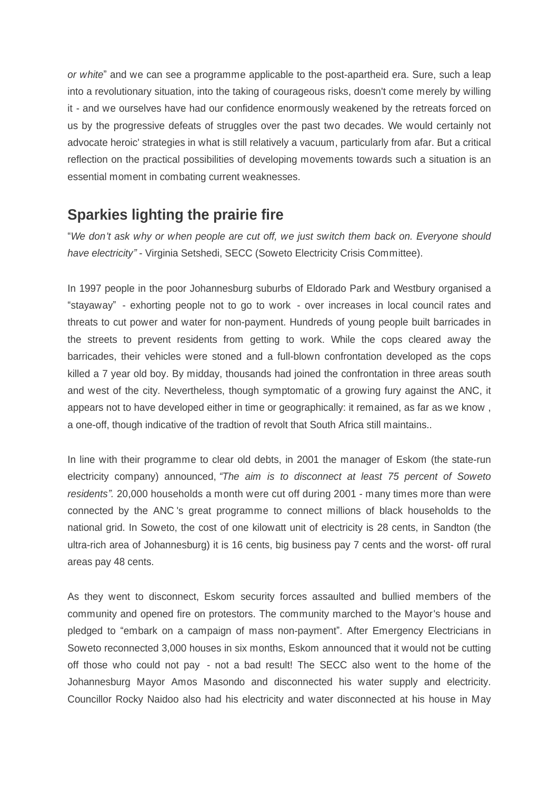*or white*´ and we can see a programme applicable to the post-apartheid era. Sure, such a leap into a revolutionary situation, into the taking of courageous risks, doesn't come merely by willing it - and we ourselves have had our confidence enormously weakened by the retreats forced on us by the progressive defeats of struggles over the past two decades. We would certainly not advocate heroic' strategies in what is still relatively a vacuum, particularly from afar. But a critical reflection on the practical possibilities of developing movements towards such a situation is an essential moment in combating current weaknesses.

# **Sparkies lighting the prairie fire**

³*We don't ask why or when people are cut off, we just switch them back on. Everyone should have electricity´*- Virginia Setshedi, SECC (Soweto Electricity Crisis Committee).

In 1997 people in the poor Johannesburg suburbs of Eldorado Park and Westbury organised a "stayaway" - exhorting people not to go to work - over increases in local council rates and threats to cut power and water for non-payment. Hundreds of young people built barricades in the streets to prevent residents from getting to work. While the cops cleared away the barricades, their vehicles were stoned and a full-blown confrontation developed as the cops killed a 7 year old boy. By midday, thousands had joined the confrontation in three areas south and west of the city. Nevertheless, though symptomatic of a growing fury against the ANC, it appears not to have developed either in time or geographically: it remained, as far as we know , a one-off, though indicative of the tradtion of revolt that South Africa still maintains..

In line with their programme to clear old debts, in 2001 the manager of Eskom (the state-run electricity company) announced, *³The aim is to disconnect at least 75 percent of Soweto residents´.* 20,000 households a month were cut off during 2001 - many times more than were connected by the ANC 's great programme to connect millions of black households to the national grid. In Soweto, the cost of one kilowatt unit of electricity is 28 cents, in Sandton (the ultra-rich area of Johannesburg) it is 16 cents, big business pay 7 cents and the worst- off rural areas pay 48 cents.

As they went to disconnect, Eskom security forces assaulted and bullied members of the community and opened fire on protestors. The community marched to the Mayor's house and pledged to "embark on a campaign of mass non-payment". After Emergency Electricians in Soweto reconnected 3,000 houses in six months, Eskom announced that it would not be cutting off those who could not pay - not a bad result! The SECC also went to the home of the Johannesburg Mayor Amos Masondo and disconnected his water supply and electricity. Councillor Rocky Naidoo also had his electricity and water disconnected at his house in May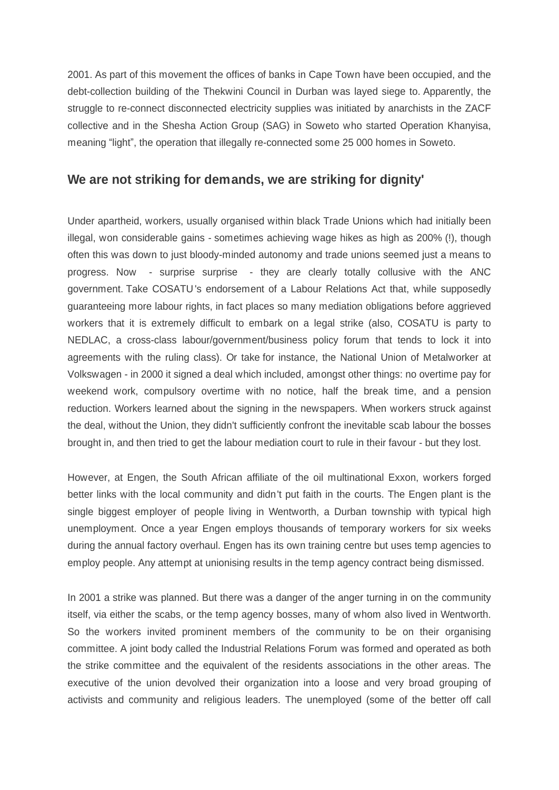2001. As part of this movement the offices of banks in Cape Town have been occupied, and the debt-collection building of the Thekwini Council in Durban was layed siege to. Apparently, the struggle to re-connect disconnected electricity supplies was initiated by anarchists in the ZACF collective and in the Shesha Action Group (SAG) in Soweto who started Operation Khanyisa, meaning "light", the operation that illegally re-connected some 25 000 homes in Soweto.

### **We are not striking for demands, we are striking for dignity'**

Under apartheid, workers, usually organised within black Trade Unions which had initially been illegal, won considerable gains - sometimes achieving wage hikes as high as 200%(!), though often this was down to just bloody-minded autonomy and trade unions seemed just a means to progress. Now - surprise surprise - they are clearly totally collusive with the ANC government. Take COSATU 's endorsement of a Labour Relations Act that, while supposedly guaranteeing more labour rights, in fact places so many mediation obligations before aggrieved workers that it is extremely difficult to embark on a legal strike (also, COSATU is party to NEDLAC, a cross-class labour/government/business policy forum that tends to lock it into agreements with the ruling class). Or take for instance, the National Union of Metalworker at Volkswagen - in 2000 it signed a deal which included, amongst other things: no overtime pay for weekend work, compulsory overtime with no notice, half the break time, and a pension reduction. Workers learned about the signing in the newspapers. When workers struck against the deal, without the Union, they didn't sufficiently confront the inevitable scab labour the bosses brought in, and then tried to get the labour mediation court to rule in their favour - but they lost.

However, at Engen, the South African affiliate of the oil multinational Exxon, workers forged better links with the local community and didn't put faith in the courts. The Engen plant is the single biggest employer of people living in Wentworth, a Durban township with typical high unemployment. Once a year Engen employs thousands of temporary workers for six weeks during the annual factory overhaul. Engen has its own training centre but uses temp agencies to employ people. Any attempt at unionising results in the temp agency contract being dismissed.

In 2001 a strike was planned. But there was a danger of the anger turning in on the community itself, via either the scabs, or the temp agency bosses, many of whom also lived in Wentworth. So the workers invited prominent members of the community to be on their organising committee. A joint body called the Industrial Relations Forum was formed and operated as both the strike committee and the equivalent of the residents associations in the other areas. The executive of the union devolved their organization into a loose and very broad grouping of activists and community and religious leaders. The unemployed (some of the better off call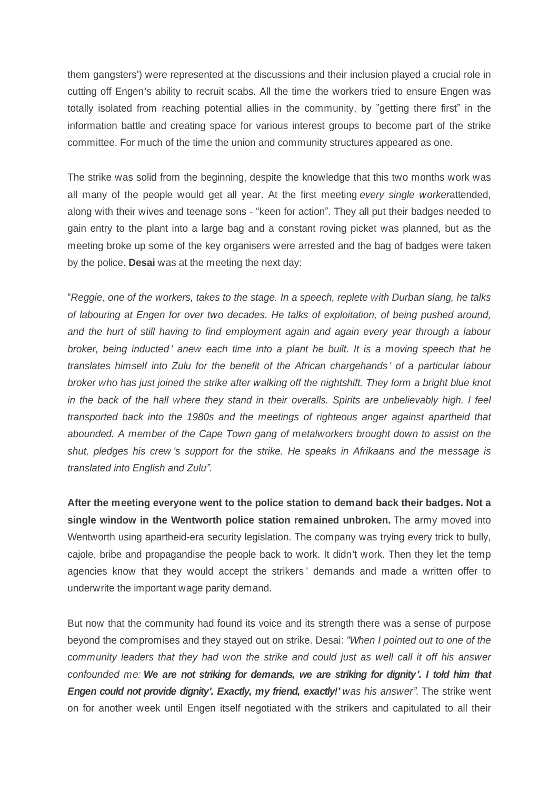them gangsters') were represented at the discussions and their inclusion played a crucial role in cutting off Engen's ability to recruit scabs. All the time the workers tried to ensure Engen was totally isolated from reaching potential allies in the community, by ´getting there first´ in the information battle and creating space for various interest groups to become part of the strike committee. For much of the time the union and community structures appeared as one.

The strike was solid from the beginning, despite the knowledge that this two months work was all many of the people would get all year. At the first meeting *every single worker*attended, along with their wives and teenage sons - "keen for action". They all put their badges needed to gain entry to the plant into a large bag and a constant roving picket was planned, but as the meeting broke up some of the key organisers were arrested and the bag of badges were taken by the police. **Desai** was at the meeting the next day:

³*Reggie, one of the workers, takes to the stage. In a speech, replete with Durban slang, he talks of labouring at Engen for over two decades. He talks of exploitation, of being pushed around, and the hurt of still having to find employment again and again every year through a labour broker, being inducted ' anew each time into a plant he built. It is a moving speech that he translates himself into Zulu for the benefit of the African chargehands ' of a particular labour broker who has just joined the strike after walking off the nightshift. They form a bright blue knot in the back of the hall where they stand in their overalls. Spirits are unbelievably high. I feel transported back into the 1980s and the meetings of righteous anger against apartheid that abounded. A member of the Cape Town gang of metalworkers brought down to assist on the shut, pledges his crew 's support for the strike. He speaks in Afrikaans and the message is translated into English and Zulu´.*

**After the meeting everyone went to the police station to demand back their badges. Not a single window in the Wentworth police station remained unbroken.** The army moved into Wentworth using apartheid-era security legislation. The company was trying every trick to bully, cajole, bribe and propagandise the people back to work. It didn't work. Then they let the temp agencies know that they would accept the strikers ' demands and made a written offer to underwrite the important wage parity demand.

But now that the community had found its voice and its strength there was a sense of purpose beyond the compromises and they stayed out on strike. Desai: *³When I pointed out to one of the community leaders that they had won the strike and could just as well call it off his answer confounded me: We are not striking for demands, we are striking for dignity '. I told him that Engen could not provide dignity'. Exactly, my friend, exactly!' was his answer´.* The strike went on for another week until Engen itself negotiated with the strikers and capitulated to all their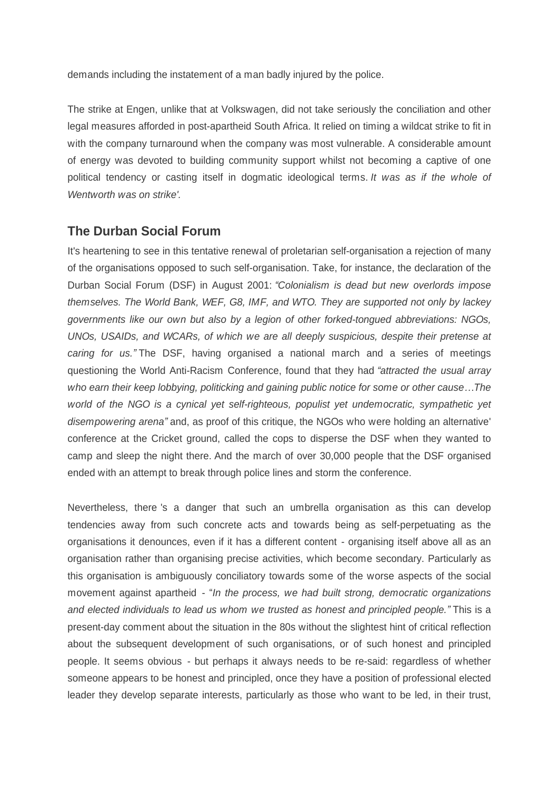demands including the instatement of a man badly injured by the police.

The strike at Engen, unlike that at Volkswagen, did not take seriously the conciliation and other legal measures afforded in post-apartheid South Africa. It relied on timing a wildcat strike to fit in with the company turnaround when the company was most vulnerable. A considerable amount of energy was devoted to building community support whilst not becoming a captive of one political tendency or casting itself in dogmatic ideological terms. *It was as if the whole of Wentworth was on strike'.*

### **The Durban Social Forum**

It's heartening to see in this tentative renewal of proletarian self-organisation a rejection of many of the organisations opposed to such self-organisation. Take, for instance, the declaration of the Durban Social Forum (DSF) in August 2001: "Colonialism is dead but new overlords impose *themselves. The World Bank, WEF, G8, IMF, and WTO. They are supported not only by lackey governments like our own but also by a legion of other forked-tongued abbreviations: NGOs, UNOs, USAIDs, and WCARs, of which we are all deeply suspicious, despite their pretense at caring for us.´*The DSF, having organised a national march and a series of meetings questioning the World Anti-Racism Conference, found that they had *³attracted the usual array* who earn their keep lobbying, politicking and gaining public notice for some or other cause...The *world of the NGO is a cynical yet self-righteous, populist yet undemocratic, sympathetic yet disempowering arena´* and, as proof of this critique, the NGOs who were holding an alternative' conference at the Cricket ground, called the cops to disperse the DSF when they wanted to camp and sleep the night there. And the march of over 30,000 people that the DSF organised ended with an attempt to break through police lines and storm the conference.

Nevertheless, there 's a danger that such an umbrella organisation as this can develop tendencies away from such concrete acts and towards being as self-perpetuating as the organisations it denounces, even if it has a different content - organising itself above all as an organisation rather than organising precise activities, which become secondary. Particularly as this organisation is ambiguously conciliatory towards some of the worse aspects of the social movement against apartheid - "*In the process, we had built strong, democratic organizations and elected individuals to lead us whom we trusted as honest and principled people.´* This is a present-day comment about the situation in the 80s without the slightest hint of critical reflection about the subsequent development of such organisations, or of such honest and principled people. It seems obvious - but perhaps it always needs to be re-said: regardless of whether someone appears to be honest and principled, once they have a position of professional elected leader they develop separate interests, particularly as those who want to be led, in their trust,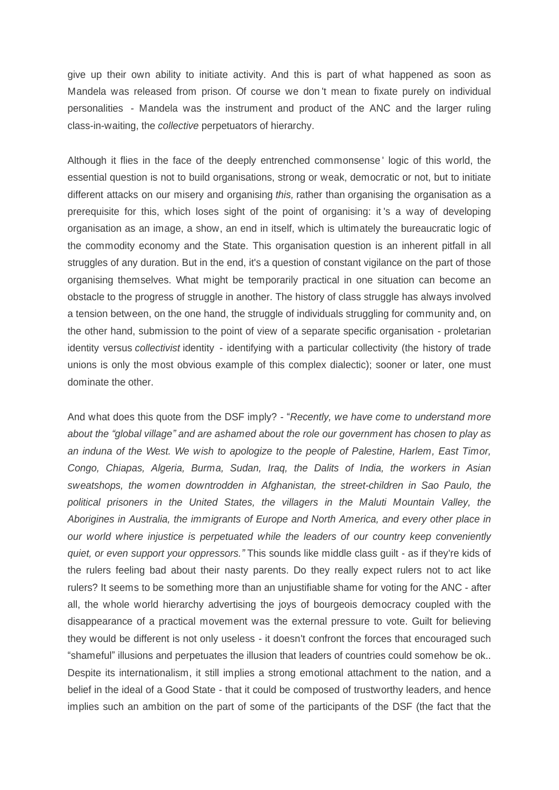give up their own ability to initiate activity. And this is part of what happened as soon as Mandela was released from prison. Of course we don 't mean to fixate purely on individual personalities - Mandela was the instrument and product of the ANC and the larger ruling class-in-waiting, the *collective* perpetuators of hierarchy.

Although it flies in the face of the deeply entrenched commonsense ' logic of this world, the essential question is not to build organisations, strong or weak, democratic or not, but to initiate different attacks on our misery and organising *this,* rather than organising the organisation as a prerequisite for this, which loses sight of the point of organising: it 's a way of developing organisation as an image, a show, an end in itself, which is ultimately the bureaucratic logic of the commodity economy and the State. This organisation question is an inherent pitfall in all struggles of any duration. But in the end, it's a question of constant vigilance on the part of those organising themselves. What might be temporarily practical in one situation can become an obstacle to the progress of struggle in another. The history of class struggle has always involved a tension between, on the one hand, the struggle of individuals struggling for community and, on the other hand, submission to the point of view of a separate specific organisation - proletarian identity versus *collectivist* identity - identifying with a particular collectivity (the history of trade unions is only the most obvious example of this complex dialectic); sooner or later, one must dominate the other.

And what does this quote from the DSF imply? - "*Recently, we have come to understand more about the ³global village´ and are ashamed about the role our government has chosen to play as an induna of the West. We wish to apologize to the people of Palestine, Harlem, East Timor, Congo, Chiapas, Algeria, Burma, Sudan, Iraq, the Dalits of India, the workers in Asian sweatshops, the women downtrodden in Afghanistan, the street-children in Sao Paulo, the political prisoners in the United States, the villagers in the Maluti Mountain Valley, the Aborigines in Australia, the immigrants of Europe and North America, and every other place in our world where injustice is perpetuated while the leaders of our country keep conveniently quiet, or even support your oppressors.´*This sounds like middle class guilt - as if they're kids of the rulers feeling bad about their nasty parents. Do they really expect rulers not to act like rulers? It seems to be something more than an unjustifiable shame for voting for the ANC - after all, the whole world hierarchy advertising the joys of bourgeois democracy coupled with the disappearance of a practical movement was the external pressure to vote. Guilt for believing they would be different is not only useless - it doesn't confront the forces that encouraged such "shameful" illusions and perpetuates the illusion that leaders of countries could somehow be ok.. Despite its internationalism, it still implies a strong emotional attachment to the nation, and a belief in the ideal of a Good State - that it could be composed of trustworthy leaders, and hence implies such an ambition on the part of some of the participants of the DSF (the fact that the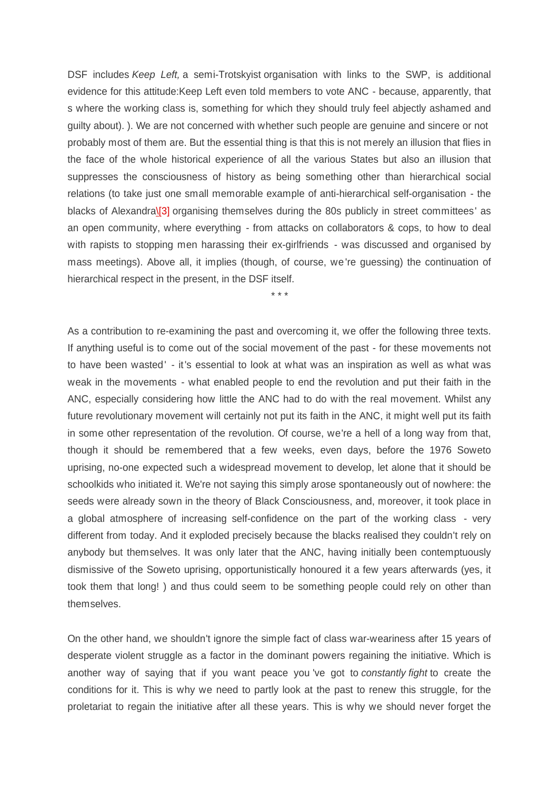DSF includes *Keep Left,* a semi-Trotskyist organisation with links to the SWP, is additional evidence for this attitude:Keep Left even told members to vote ANC - because, apparently, that s where the working class is, something for which they should truly feel abjectly ashamed and guilty about). ). We are not concerned with whether such people are genuine and sincere or not probably most of them are. But the essential thing is that this is not merely an illusion that flies in the face of the whole historical experience of all the various States but also an illusion that suppresses the consciousness of history as being something other than hierarchical social relations (to take just one small memorable example of anti-hierarchical self-organisation - the blacks of Alexandr[a\\[3\]](file:///C:\\\\Users\\\\Nick\\\\
Documents\\\\dialectical%20delinquents\\\\texts%20for%20site\\\\South%20Africa2.%20OpenOffice.org%201.1.html) organising themselves during the 80s publicly in street committees' as an open community, where everything - from attacks on collaborators & cops, to how to deal with rapists to stopping men harassing their ex-girlfriends - was discussed and organised by mass meetings). Above all, it implies (though, of course, we 're guessing) the continuation of hierarchical respect in the present, in the DSF itself.

*\* \* \**

As a contribution to re-examining the past and overcoming it, we offer the following three texts. If anything useful is to come out of the social movement of the past - for these movements not to have been wasted' - it's essential to look at what was an inspiration as well as what was weak in the movements - what enabled people to end the revolution and put their faith in the ANC, especially considering how little the ANC had to do with the real movement. Whilst any future revolutionary movement will certainly not put its faith in the ANC, it might well put its faith in some other representation of the revolution. Of course, we're a hell of a long way from that, though it should be remembered that a few weeks, even days, before the 1976 Soweto uprising, no-one expected such a widespread movement to develop, let alone that it should be schoolkids who initiated it. We're not saying this simply arose spontaneously out of nowhere: the seeds were already sown in the theory of Black Consciousness, and, moreover, it took place in a global atmosphere of increasing self-confidence on the part of the working class - very different from today. And it exploded precisely because the blacks realised they couldn't rely on anybody but themselves. It was only later that the ANC, having initially been contemptuously dismissive of the Soweto uprising, opportunistically honoured it a few years afterwards (yes, it took them that long! ) and thus could seem to be something people could rely on other than themselves.

On the other hand, we shouldn't ignore the simple fact of class war-weariness after 15 years of desperate violent struggle as a factor in the dominant powers regaining the initiative. Which is another way of saying that if you want peace you 've got to *constantly fight* to create the conditions for it. This is why we need to partly look at the past to renew this struggle, for the proletariat to regain the initiative after all these years. This is why we should never forget the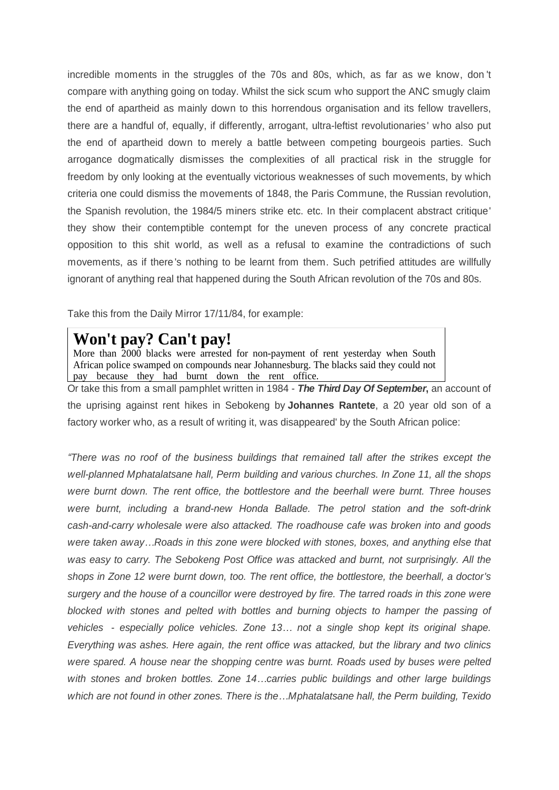incredible moments in the struggles of the 70s and 80s, which, as far as we know, don 't compare with anything going on today. Whilst the sick scum who support the ANC smugly claim the end of apartheid as mainly down to this horrendous organisation and its fellow travellers, there are a handful of, equally, if differently, arrogant, ultra-leftist revolutionaries' who also put the end of apartheid down to merely a battle between competing bourgeois parties. Such arrogance dogmatically dismisses the complexities of all practical risk in the struggle for freedom by only looking at the eventually victorious weaknesses of such movements, by which criteria one could dismiss the movements of 1848, the Paris Commune, the Russian revolution, the Spanish revolution, the 1984/5 miners strike etc. etc. In their complacent abstract critique' they show their contemptible contempt for the uneven process of any concrete practical opposition to this shit world, as well as a refusal to examine the contradictions of such movements, as if there 's nothing to be learnt from them. Such petrified attitudes are willfully ignorant of anything real that happened during the South African revolution of the 70s and 80s.

Take this from the Daily Mirror 17/11/84, for example:

# **Won't pay? Can't pay!**

More than 2000 blacks were arrested for non-payment of rent yesterday when South African police swamped on compounds near Johannesburg. The blacks said they could not pay because they had burnt down the rent office.

Or take this from a small pamphlet written in 1984 - *The Third Day Of September***,** an account of the uprising against rent hikes in Sebokeng by **Johannes Rantete**, a 20 year old son of a factory worker who, as a result of writing it, was disappeared' by the South African police:

*³There was no roof of the business buildings that remained tall after the strikes except the well-planned Mphatalatsane hall, Perm building and various churches. In Zone 11, all the shops were burnt down. The rent office, the bottlestore and the beerhall were burnt. Three houses were burnt, including a brand-new Honda Ballade. The petrol station and the soft-drink cash-and-carry wholesale were also attacked. The roadhouse cafe was broken into and goods were taken away«Roads in this zone were blocked with stones, boxes, and anything else that was easy to carry. The Sebokeng Post Office was attacked and burnt, not surprisingly. All the shops in Zone 12 were burnt down, too. The rent office, the bottlestore, the beerhall, a doctor's surgery and the house of a councillor were destroyed by fire. The tarred roads in this zone were blocked with stones and pelted with bottles and burning objects to hamper the passing of vehicles - especially police vehicles. Zone 13« not a single shop kept its original shape. Everything was ashes. Here again, the rent office was attacked, but the library and two clinics were spared. A house near the shopping centre was burnt. Roads used by buses were pelted* with stones and broken bottles. Zone 14...carries public buildings and other large buildings which are not found in other zones. There is the...Mphatalatsane hall, the Perm building, Texido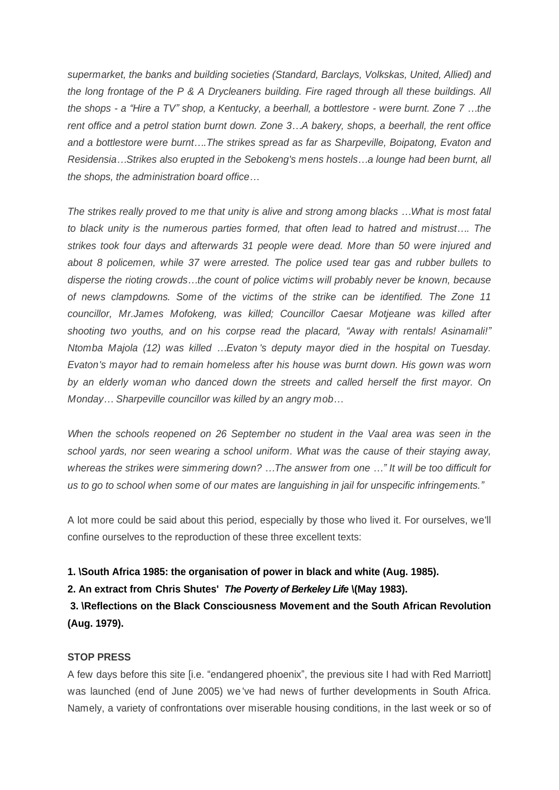*supermarket, the banks and building societies (Standard, Barclays, Volkskas, United, Allied) and the long frontage of the P & A Drycleaners building. Fire raged through all these buildings. All the shops - a ³Hire a TV´ shop, a Kentucky, a beerhall, a bottlestore - were burnt. Zone 7 «the rent office and a petrol station burnt down. Zone 3«A bakery, shops, a beerhall, the rent office and a bottlestore were burnt«.The strikes spread as far as Sharpeville, Boipatong, Evaton and Residensia«Strikes also erupted in the Sebokeng's mens hostels«a lounge had been burnt, all the shops, the administration board office...* 

*The strikes really proved to me that unity is alive and strong among blacks «What is most fatal to black unity is the numerous parties formed, that often lead to hatred and mistrust.... The strikes took four days and afterwards 31 people were dead. More than 50 were injured and about 8 policemen, while 37 were arrested. The police used tear gas and rubber bullets to disperse the rioting crowds«the count of police victims will probably never be known, because of news clampdowns. Some of the victims of the strike can be identified. The Zone 11 councillor, Mr.James Mofokeng, was killed; Councillor Caesar Motjeane was killed after* shooting two youths, and on his corpse read the placard, "Away with rentals! Asinamali!" *Ntomba Majola (12) was killed «Evaton 's deputy mayor died in the hospital on Tuesday. Evaton's mayor had to remain homeless after his house was burnt down. His gown was worn by an elderly woman who danced down the streets and called herself the first mayor. On Monday* ... Sharpeville councillor was killed by an angry mob...

*When the schools reopened on 26 September no student in the Vaal area was seen in the school yards, nor seen wearing a school uniform. What was the cause of their staying away, whereas the strikes were simmering down? «The answer from one «´ It will be too difficult for us to go to school when some of our mates are languishing in jail for unspecific infringements.´*

A lot more could be said about this period, especially by those who lived it. For ourselves, we'll confine ourselves to the reproduction of these three excellent texts:

**1. [\South Africa 1985: the organisation of power in black and white \(Aug. 1985\).](file:///C:\\\\Users\\\\Nick\\\\Documents\\\\dialectical%20delinquents\\\\texts%20for%20site\\\\SAfrica%20pt%202.html)**

**2. An extract from Chris Shutes'** *[The Poverty of Berkeley Life](file:///C:\\\\Users\\\\Nick\\\\Documents\\\\dialectical%20delinquents\\\\texts%20for%20site\\\\SAfrica%20pt%203.html)* **[\\(May 1983\).](file:///C:\\\\Users\\\\Nick\\\\Documents\\\\dialectical%20delinquents\\\\texts%20for%20site\\\\SAfrica%20pt%203.html)**

**[3. \Reflections on the Black Consciousness Movement and the South African Revolution](file:///C:\\\\Users\\\\Nick\\\\Documents\\\\dialectical%20delinquents\\\\texts%20for%20site\\\\SAfrica%20pt%203.html) [\(Aug. 1979\).](file:///C:\\\\Users\\\\Nick\\\\Documents\\\\dialectical%20delinquents\\\\texts%20for%20site\\\\SAfrica%20pt%203.html)**

#### **STOP PRESS**

A few days before this site [i.e. "endangered phoenix", the previous site I had with Red Marriott] was launched (end of June 2005) we 've had news of further developments in South Africa. Namely, a variety of confrontations over miserable housing conditions, in the last week or so of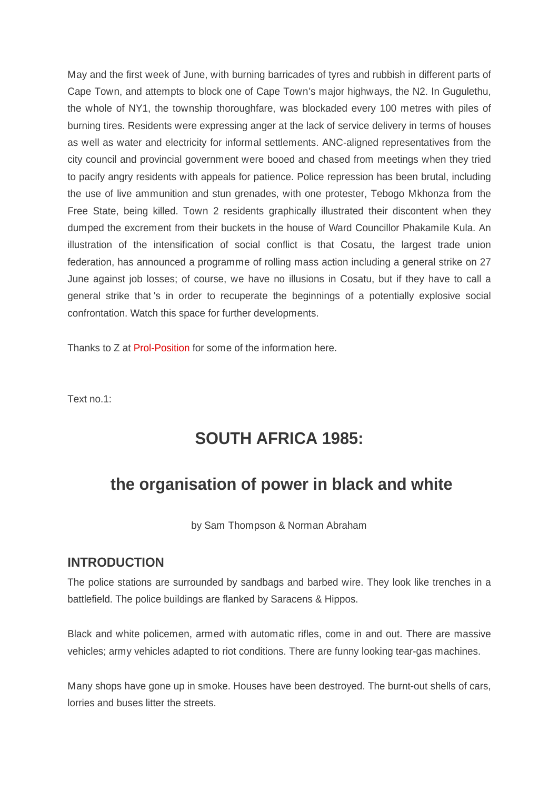May and the first week of June, with burning barricades of tyres and rubbish in different parts of Cape Town, and attempts to block one of Cape Town's major highways, the N2. In Gugulethu, the whole of NY1, the township thoroughfare, was blockaded every 100 metres with piles of burning tires. Residents were expressing anger at the lack of service delivery in terms of houses as well as water and electricity for informal settlements. ANC-aligned representatives from the city council and provincial government were booed and chased from meetings when they tried to pacify angry residents with appeals for patience. Police repression has been brutal, including the use of live ammunition and stun grenades, with one protester, Tebogo Mkhonza from the Free State, being killed. Town 2 residents graphically illustrated their discontent when they dumped the excrement from their buckets in the house of Ward Councillor Phakamile Kula. An illustration of the intensification of social conflict is that Cosatu, the largest trade union federation, has announced a programme of rolling mass action including a general strike on 27 June against job losses; of course, we have no illusions in Cosatu, but if they have to call a general strike that 's in order to recuperate the beginnings of a potentially explosive social confrontation. Watch this space for further developments.

Thanks to Z at [Prol-Position](http://www.prol-position.net/) for some of the information here.

Text no.1:

# **SOUTH AFRICA 1985:**

## **the organisation of power in black and white**

by Sam Thompson & Norman Abraham

#### **INTRODUCTION**

The police stations are surrounded by sandbags and barbed wire. They look like trenches in a battlefield. The police buildings are flanked by Saracens & Hippos.

Black and white policemen, armed with automatic rifles, come in and out. There are massive vehicles; army vehicles adapted to riot conditions. There are funny looking tear-gas machines.

Many shops have gone up in smoke. Houses have been destroyed. The burnt-out shells of cars, lorries and buses litter the streets.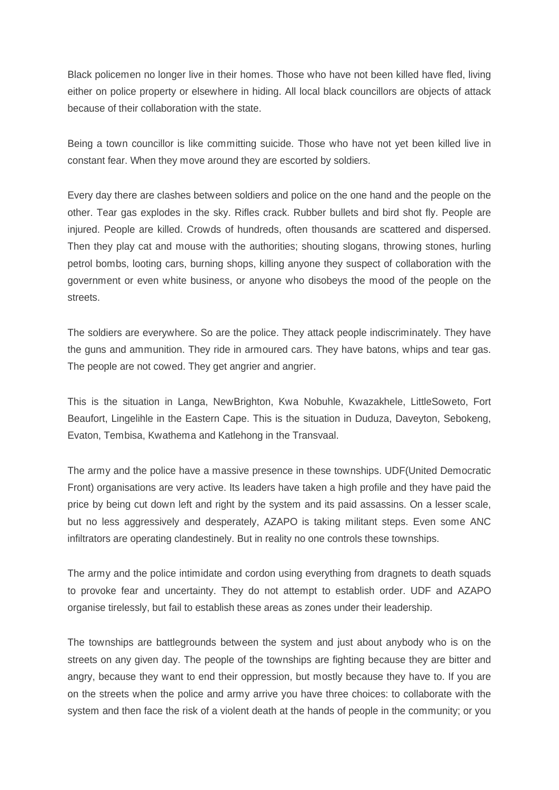Black policemen no longer live in their homes. Those who have not been killed have fled, living either on police property or elsewhere in hiding. All local black councillors are objects of attack because of their collaboration with the state.

Being a town councillor is like committing suicide. Those who have not yet been killed live in constant fear. When they move around they are escorted by soldiers.

Every day there are clashes between soldiers and police on the one hand and the people on the other. Tear gas explodes in the sky. Rifles crack. Rubber bullets and bird shot fly. People are injured. People are killed. Crowds of hundreds, often thousands are scattered and dispersed. Then they play cat and mouse with the authorities; shouting slogans, throwing stones, hurling petrol bombs, looting cars, burning shops, killing anyone they suspect of collaboration with the government or even white business, or anyone who disobeys the mood of the people on the streets.

The soldiers are everywhere. So are the police. They attack people indiscriminately. They have the guns and ammunition. They ride in armoured cars. They have batons, whips and tear gas. The people are not cowed. They get angrier and angrier.

This is the situation in Langa, NewBrighton, Kwa Nobuhle, Kwazakhele, LittleSoweto, Fort Beaufort, Lingelihle in the Eastern Cape. This is the situation in Duduza, Daveyton, Sebokeng, Evaton, Tembisa, Kwathema and Katlehong in the Transvaal.

The army and the police have a massive presence in these townships. UDF(United Democratic Front) organisations are very active. Its leaders have taken a high profile and they have paid the price by being cut down left and right by the system and its paid assassins. On a lesser scale, but no less aggressively and desperately, AZAPO is taking militant steps. Even some ANC infiltrators are operating clandestinely. But in reality no one controls these townships.

The army and the police intimidate and cordon using everything from dragnets to death squads to provoke fear and uncertainty. They do not attempt to establish order. UDF and AZAPO organise tirelessly, but fail to establish these areas as zones under their leadership.

The townships are battlegrounds between the system and just about anybody who is on the streets on any given day. The people of the townships are fighting because they are bitter and angry, because they want to end their oppression, but mostly because they have to. If you are on the streets when the police and army arrive you have three choices: to collaborate with the system and then face the risk of a violent death at the hands of people in the community; or you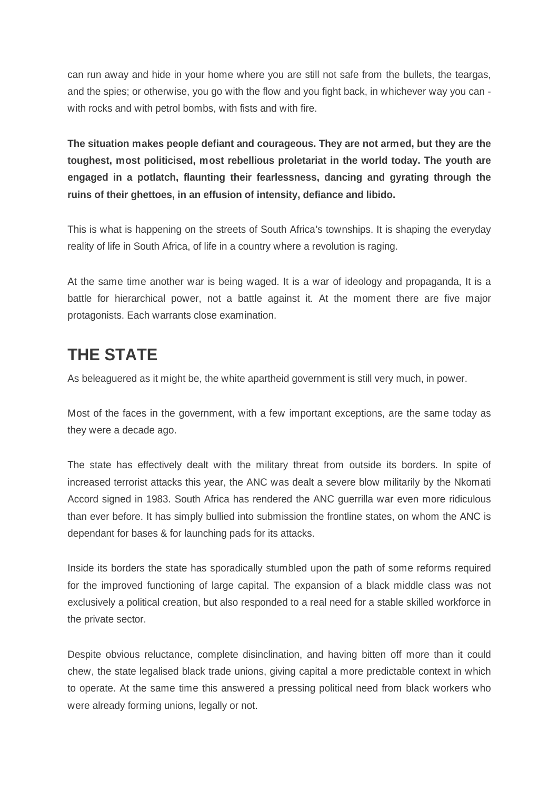can run away and hide in your home where you are still not safe from the bullets, the teargas, and the spies; or otherwise, you go with the flow and you fight back, in whichever way you can with rocks and with petrol bombs, with fists and with fire.

**The situation makes people defiant and courageous. They are not armed, but they are the toughest, most politicised, most rebellious proletariat in the world today. The youth are engaged in a potlatch, flaunting their fearlessness, dancing and gyrating through the ruins of their ghettoes, in an effusion of intensity, defiance and libido.**

This is what is happening on the streets of South Africa's townships. It is shaping the everyday reality of life in South Africa, of life in a country where a revolution is raging.

At the same time another war is being waged. It is a war of ideology and propaganda, It is a battle for hierarchical power, not a battle against it. At the moment there are five major protagonists. Each warrants close examination.

# **THE STATE**

As beleaguered as it might be, the white apartheid government is still very much, in power.

Most of the faces in the government, with a few important exceptions, are the same today as they were a decade ago.

The state has effectively dealt with the military threat from outside its borders. In spite of increased terrorist attacks this year, the ANC was dealt a severe blow militarily by the Nkomati Accord signed in 1983. South Africa has rendered the ANC guerrilla war even more ridiculous than ever before. It has simply bullied into submission the frontline states, on whom the ANC is dependant for bases & for launching pads for its attacks.

Inside its borders the state has sporadically stumbled upon the path of some reforms required for the improved functioning of large capital. The expansion of a black middle class was not exclusively a political creation, but also responded to a real need for a stable skilled workforce in the private sector.

Despite obvious reluctance, complete disinclination, and having bitten off more than it could chew, the state legalised black trade unions, giving capital a more predictable context in which to operate. At the same time this answered a pressing political need from black workers who were already forming unions, legally or not.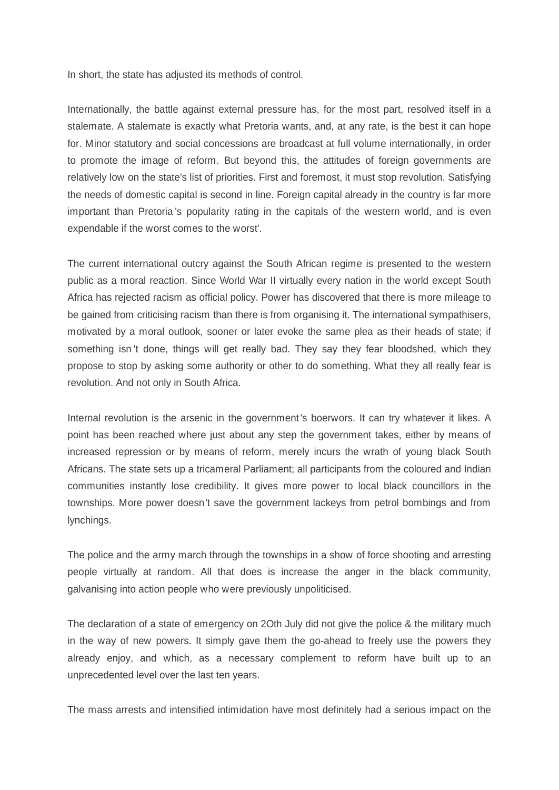In short, the state has adjusted its methods of control.

Internationally, the battle against external pressure has, for the most part, resolved itself in a stalemate. A stalemate is exactly what Pretoria wants, and, at any rate, is the best it can hope for. Minor statutory and social concessions are broadcast at full volume internationally, in order to promote the image of reform. But beyond this, the attitudes of foreign governments are relatively low on the state's list of priorities. First and foremost, it must stop revolution. Satisfying the needs of domestic capital is second in line. Foreign capital already in the country is far more important than Pretoria 's popularity rating in the capitals of the western world, and is even expendable if the worst comes to the worst'.

The current international outcry against the South African regime is presented to the western public as a moral reaction. Since World War II virtually every nation in the world except South Africa has rejected racism as official policy. Power has discovered that there is more mileage to be gained from criticising racism than there is from organising it. The international sympathisers, motivated by a moral outlook, sooner or later evoke the same plea as their heads of state; if something isn 't done, things will get really bad. They say they fear bloodshed, which they propose to stop by asking some authority or other to do something. What they all really fear is revolution. And not only in South Africa.

Internal revolution is the arsenic in the government's boerwors. It can try whatever it likes. A point has been reached where just about any step the government takes, either by means of increased repression or by means of reform, merely incurs the wrath of young black South Africans. The state sets up a tricameral Parliament; all participants from the coloured and Indian communities instantly lose credibility. It gives more power to local black councillors in the townships. More power doesn't save the government lackeys from petrol bombings and from lynchings.

The police and the army march through the townships in a show of force shooting and arresting people virtually at random. All that does is increase the anger in the black community, galvanising into action people who were previously unpoliticised.

The declaration of a state of emergency on 2Oth July did not give the police & the military much in the way of new powers. It simply gave them the go-ahead to freely use the powers they already enjoy, and which, as a necessary complement to reform have built up to an unprecedented level over the last ten years.

The mass arrests and intensified intimidation have most definitely had a serious impact on the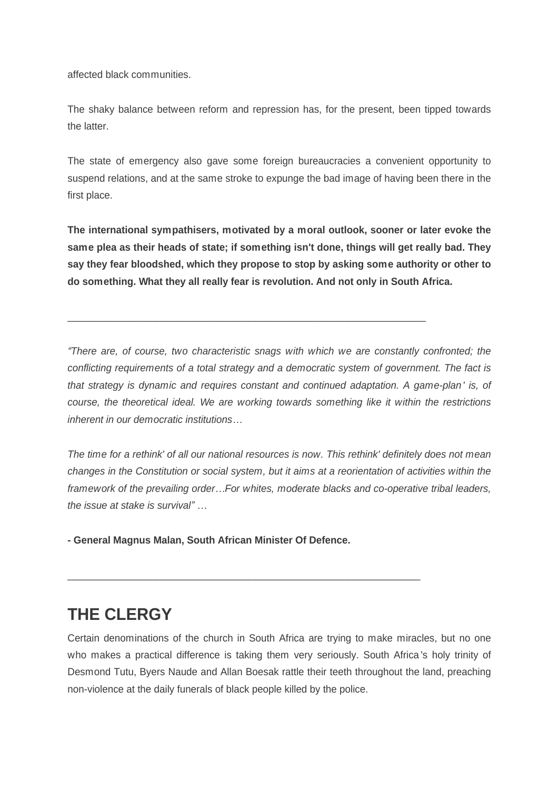affected black communities.

The shaky balance between reform and repression has, for the present, been tipped towards the latter.

The state of emergency also gave some foreign bureaucracies a convenient opportunity to suspend relations, and at the same stroke to expunge the bad image of having been there in the first place.

**The international sympathisers, motivated by a moral outlook, sooner or later evoke the same plea as their heads of state; if something isn't done, things will get really bad. They say they fear bloodshed, which they propose to stop by asking some authority or other to do something. What they all really fear is revolution. And not only in South Africa.**

\_\_\_\_\_\_\_\_\_\_\_\_\_\_\_\_\_\_\_\_\_\_\_\_\_\_\_\_\_\_\_\_\_\_\_\_\_\_\_\_\_\_\_\_\_\_\_\_\_\_\_\_\_\_\_\_\_\_\_\_\_\_\_\_\_

*³There are, of course, two characteristic snags with which we are constantly confronted; the conflicting requirements of a total strategy and a democratic system of government. The fact is that strategy is dynamic and requires constant and continued adaptation. A game-plan' is, of course, the theoretical ideal. We are working towards something like it within the restrictions inherent in our democratic institutions* 

*The time for a rethink' of all our national resources is now. This rethink' definitely does not mean changes in the Constitution or social system, but it aims at a reorientation of activities within the framework of the prevailing order«For whites, moderate blacks and co-operative tribal leaders, the issue at stake is survival*<sup>*"...*</sup>

**- General Magnus Malan, South African Minister Of Defence.**

\_\_\_\_\_\_\_\_\_\_\_\_\_\_\_\_\_\_\_\_\_\_\_\_\_\_\_\_\_\_\_\_\_\_\_\_\_\_\_\_\_\_\_\_\_\_\_\_\_\_\_\_\_\_\_\_\_\_\_\_\_\_\_\_

# **THE CLERGY**

Certain denominations of the church in South Africa are trying to make miracles, but no one who makes a practical difference is taking them very seriously. South Africa 's holy trinity of Desmond Tutu, Byers Naude and Allan Boesak rattle their teeth throughout the land, preaching non-violence at the daily funerals of black people killed by the police.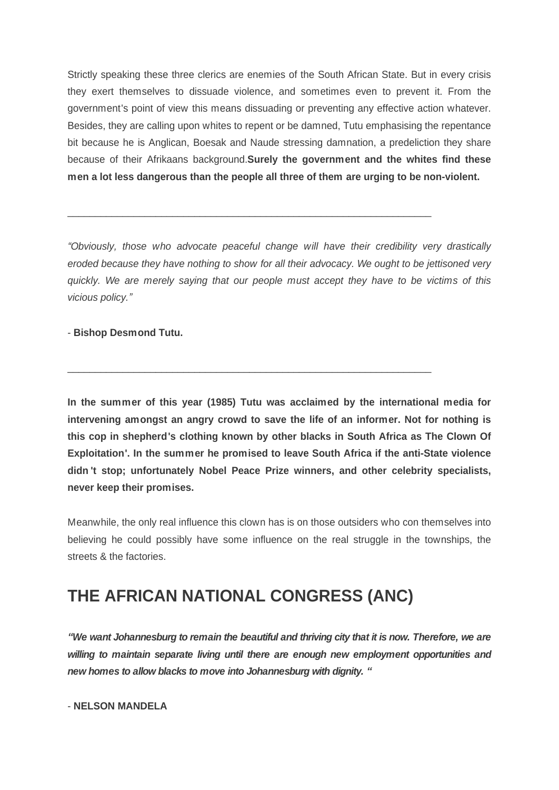Strictly speaking these three clerics are enemies of the South African State. But in every crisis they exert themselves to dissuade violence, and sometimes even to prevent it. From the government's point of view this means dissuading or preventing any effective action whatever. Besides, they are calling upon whites to repent or be damned, Tutu emphasising the repentance bit because he is Anglican, Boesak and Naude stressing damnation, a predeliction they share because of their Afrikaans background.**Surely the government and the whites find these men a lot less dangerous than the people all three of them are urging to be non-violent.**

*³Obviously, those who advocate peaceful change will have their credibility very drastically eroded because they have nothing to show for all their advocacy. We ought to be jettisoned very quickly. We are merely saying that our people must accept they have to be victims of this vicious policy.´*

\_\_\_\_\_\_\_\_\_\_\_\_\_\_\_\_\_\_\_\_\_\_\_\_\_\_\_\_\_\_\_\_\_\_\_\_\_\_\_\_\_\_\_\_\_\_\_\_\_\_\_\_\_\_\_\_\_\_\_\_\_\_\_\_\_\_

\_\_\_\_\_\_\_\_\_\_\_\_\_\_\_\_\_\_\_\_\_\_\_\_\_\_\_\_\_\_\_\_\_\_\_\_\_\_\_\_\_\_\_\_\_\_\_\_\_\_\_\_\_\_\_\_\_\_\_\_\_\_\_\_\_\_

- **Bishop Desmond Tutu.**

**In the summer of this year (1985) Tutu was acclaimed by the international media for intervening amongst an angry crowd to save the life of an informer. Not for nothing is this cop in shepherd's clothing known by other blacks in South Africa as The Clown Of Exploitation'. In the summer he promised to leave South Africa if the anti-State violence didn 't stop; unfortunately Nobel Peace Prize winners, and other celebrity specialists, never keep their promises.**

Meanwhile, the only real influence this clown has is on those outsiders who con themselves into believing he could possibly have some influence on the real struggle in the townships, the streets & the factories.

# **THE AFRICAN NATIONAL CONGRESS (ANC)**

*³We want Johannesburg to remain the beautiful and thriving city that it is now. Therefore, we are willing to maintain separate living until there are enough new employment opportunities and new homes to allow blacks to move into Johannesburg with dignity. ³*

- **NELSON MANDELA**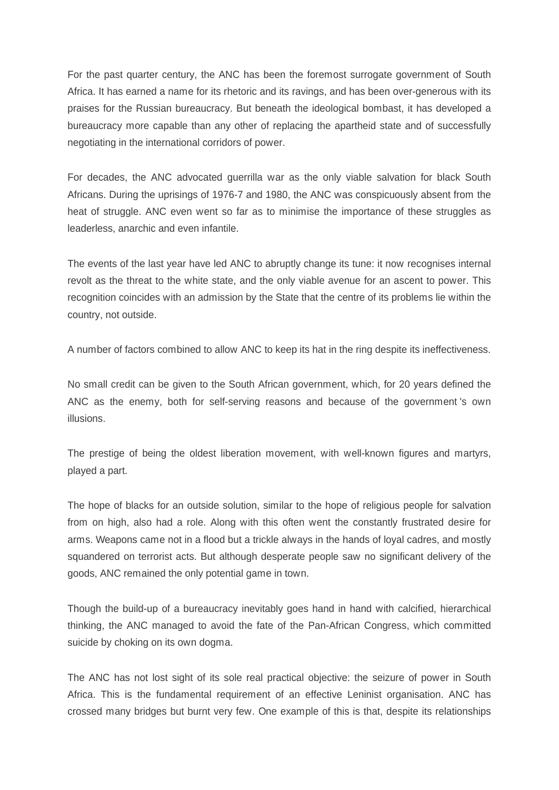For the past quarter century, the ANC has been the foremost surrogate government of South Africa. It has earned a name for its rhetoric and its ravings, and has been over-generous with its praises for the Russian bureaucracy. But beneath the ideological bombast, it has developed a bureaucracy more capable than any other of replacing the apartheid state and of successfully negotiating in the international corridors of power.

For decades, the ANC advocated guerrilla war as the only viable salvation for black South Africans. During the uprisings of 1976-7 and 1980, the ANC was conspicuously absent from the heat of struggle. ANC even went so far as to minimise the importance of these struggles as leaderless, anarchic and even infantile.

The events of the last year have led ANC to abruptly change its tune: it now recognises internal revolt as the threat to the white state, and the only viable avenue for an ascent to power. This recognition coincides with an admission by the State that the centre of its problems lie within the country, not outside.

A number of factors combined to allow ANC to keep its hat in the ring despite its ineffectiveness.

No small credit can be given to the South African government, which, for 20 years defined the ANC as the enemy, both for self-serving reasons and because of the government 's own illusions.

The prestige of being the oldest liberation movement, with well-known figures and martyrs, played a part.

The hope of blacks for an outside solution, similar to the hope of religious people for salvation from on high, also had a role. Along with this often went the constantly frustrated desire for arms. Weapons came not in a flood but a trickle always in the hands of loyal cadres, and mostly squandered on terrorist acts. But although desperate people saw no significant delivery of the goods, ANC remained the only potential game in town.

Though the build-up of a bureaucracy inevitably goes hand in hand with calcified, hierarchical thinking, the ANC managed to avoid the fate of the Pan-African Congress, which committed suicide by choking on its own dogma.

The ANC has not lost sight of its sole real practical objective: the seizure of power in South Africa. This is the fundamental requirement of an effective Leninist organisation. ANC has crossed many bridges but burnt very few. One example of this is that, despite its relationships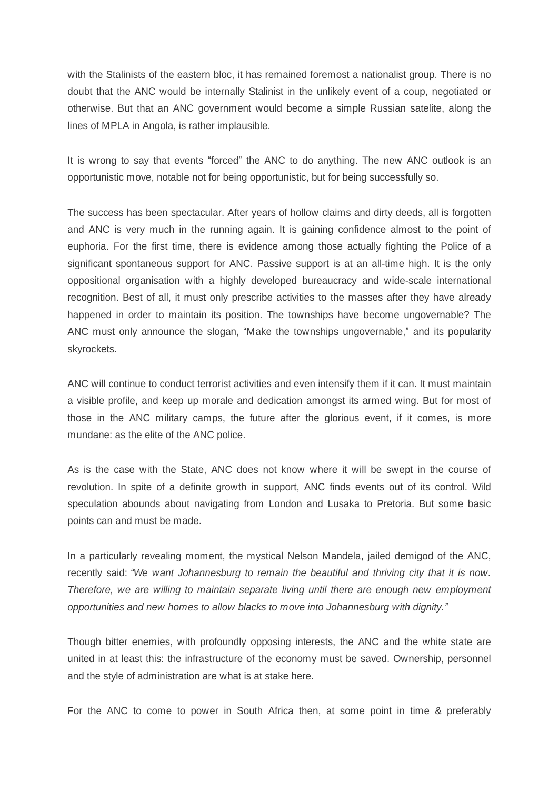with the Stalinists of the eastern bloc, it has remained foremost a nationalist group. There is no doubt that the ANC would be internally Stalinist in the unlikely event of a coup, negotiated or otherwise. But that an ANC government would become a simple Russian satelite, along the lines of MPLA in Angola, is rather implausible.

It is wrong to say that events "forced" the ANC to do anything. The new ANC outlook is an opportunistic move, notable not for being opportunistic, but for being successfully so.

The success has been spectacular. After years of hollow claims and dirty deeds, all is forgotten and ANC is very much in the running again. It is gaining confidence almost to the point of euphoria. For the first time, there is evidence among those actually fighting the Police of a significant spontaneous support for ANC. Passive support is at an all-time high. It is the only oppositional organisation with a highly developed bureaucracy and wide-scale international recognition. Best of all, it must only prescribe activities to the masses after they have already happened in order to maintain its position. The townships have become ungovernable? The ANC must only announce the slogan, "Make the townships ungovernable," and its popularity skyrockets.

ANC will continue to conduct terrorist activities and even intensify them if it can. It must maintain a visible profile, and keep up morale and dedication amongst its armed wing. But for most of those in the ANC military camps, the future after the glorious event, if it comes, is more mundane: as the elite of the ANC police.

As is the case with the State, ANC does not know where it will be swept in the course of revolution. In spite of a definite growth in support, ANC finds events out of its control. Wild speculation abounds about navigating from London and Lusaka to Pretoria. But some basic points can and must be made.

In a particularly revealing moment, the mystical Nelson Mandela, jailed demigod of the ANC, recently said: "We want Johannesburg to remain the beautiful and thriving city that it is now. *Therefore, we are willing to maintain separate living until there are enough new employment opportunities and new homes to allow blacks to move into Johannesburg with dignity.´*

Though bitter enemies, with profoundly opposing interests, the ANC and the white state are united in at least this: the infrastructure of the economy must be saved. Ownership, personnel and the style of administration are what is at stake here.

For the ANC to come to power in South Africa then, at some point in time & preferably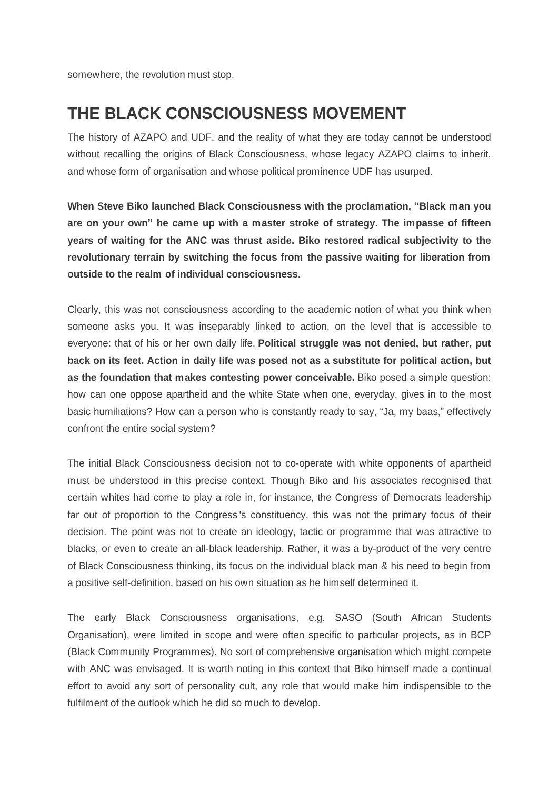somewhere, the revolution must stop.

# **THE BLACK CONSCIOUSNESS MOVEMENT**

The history of AZAPO and UDF, and the reality of what they are today cannot be understood without recalling the origins of Black Consciousness, whose legacy AZAPO claims to inherit, and whose form of organisation and whose political prominence UDF has usurped.

**When Steve Biko launched Black Consciousness with the proclamation, ³Black man you are on your own´ he came up with a master stroke of strategy. The impasse of fifteen years of waiting for the ANC was thrust aside. Biko restored radical subjectivity to the revolutionary terrain by switching the focus from the passive waiting for liberation from outside to the realm of individual consciousness.**

Clearly, this was not consciousness according to the academic notion of what you think when someone asks you. It was inseparably linked to action, on the level that is accessible to everyone: that of his or her own daily life. **Political struggle was not denied, but rather, put back on its feet. Action in daily life was posed not as a substitute for political action, but as the foundation that makes contesting power conceivable.** Biko posed a simple question: how can one oppose apartheid and the white State when one, everyday, gives in to the most basic humiliations? How can a person who is constantly ready to say, "Ja, my baas," effectively confront the entire social system?

The initial Black Consciousness decision not to co-operate with white opponents of apartheid must be understood in this precise context. Though Biko and his associates recognised that certain whites had come to play a role in, for instance, the Congress of Democrats leadership far out of proportion to the Congress 's constituency, this was not the primary focus of their decision. The point was not to create an ideology, tactic or programme that was attractive to blacks, or even to create an all-black leadership. Rather, it was a by-product of the very centre of Black Consciousness thinking, its focus on the individual black man & his need to begin from a positive self-definition, based on his own situation as he himself determined it.

The early Black Consciousness organisations, e.g. SASO (South African Students Organisation), were limited in scope and were often specific to particular projects, as in BCP (Black Community Programmes). No sort of comprehensive organisation which might compete with ANC was envisaged. It is worth noting in this context that Biko himself made a continual effort to avoid any sort of personality cult, any role that would make him indispensible to the fulfilment of the outlook which he did so much to develop.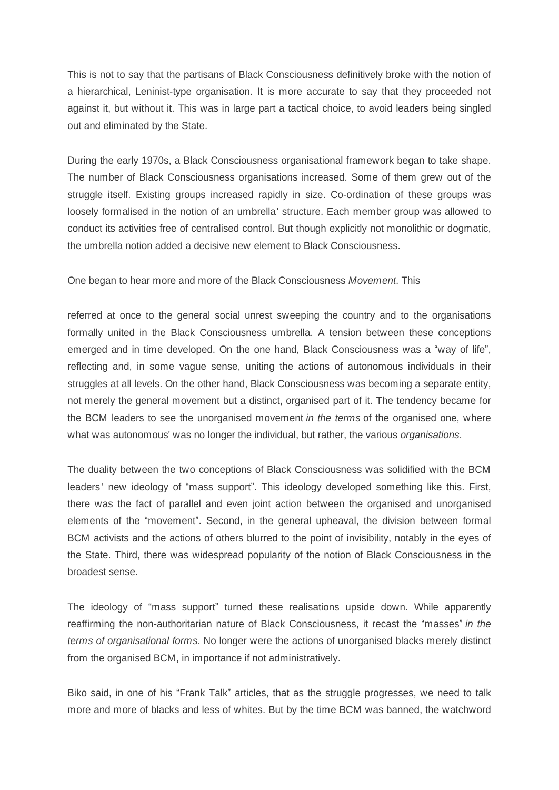This is not to say that the partisans of Black Consciousness definitively broke with the notion of a hierarchical, Leninist-type organisation. It is more accurate to say that they proceeded not against it, but without it. This was in large part a tactical choice, to avoid leaders being singled out and eliminated by the State.

During the early 1970s, a Black Consciousness organisational framework began to take shape. The number of Black Consciousness organisations increased. Some of them grew out of the struggle itself. Existing groups increased rapidly in size. Co-ordination of these groups was loosely formalised in the notion of an umbrella' structure. Each member group was allowed to conduct its activities free of centralised control. But though explicitly not monolithic or dogmatic, the umbrella notion added a decisive new element to Black Consciousness.

One began to hear more and more of the Black Consciousness *Movement*. This

referred at once to the general social unrest sweeping the country and to the organisations formally united in the Black Consciousness umbrella. A tension between these conceptions emerged and in time developed. On the one hand, Black Consciousness was a "way of life", reflecting and, in some vague sense, uniting the actions of autonomous individuals in their struggles at all levels. On the other hand, Black Consciousness was becoming a separate entity, not merely the general movement but a distinct, organised part of it. The tendency became for the BCM leaders to see the unorganised movement *in the terms* of the organised one, where what was autonomous' was no longer the individual, but rather, the various *organisations*.

The duality between the two conceptions of Black Consciousness was solidified with the BCM leaders' new ideology of "mass support". This ideology developed something like this. First, there was the fact of parallel and even joint action between the organised and unorganised elements of the "movement". Second, in the general upheaval, the division between formal BCM activists and the actions of others blurred to the point of invisibility, notably in the eyes of the State. Third, there was widespread popularity of the notion of Black Consciousness in the broadest sense.

The ideology of "mass support" turned these realisations upside down. While apparently reaffirming the non-authoritarian nature of Black Consciousness, it recast the "masses" in the *terms of organisational forms*. No longer were the actions of unorganised blacks merely distinct from the organised BCM, in importance if not administratively.

Biko said, in one of his "Frank Talk" articles, that as the struggle progresses, we need to talk more and more of blacks and less of whites. But by the time BCM was banned, the watchword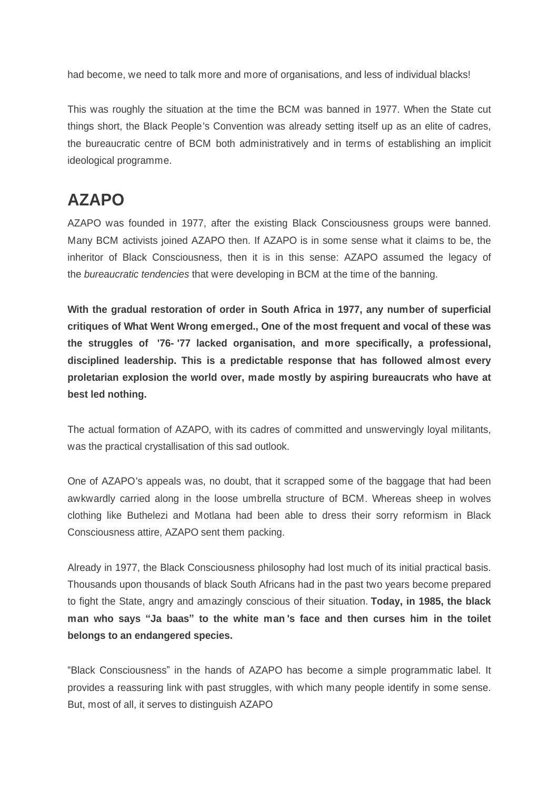had become, we need to talk more and more of organisations, and less of individual blacks!

This was roughly the situation at the time the BCM was banned in 1977. When the State cut things short, the Black People's Convention was already setting itself up as an elite of cadres, the bureaucratic centre of BCM both administratively and in terms of establishing an implicit ideological programme.

# **AZAPO**

AZAPO was founded in 1977, after the existing Black Consciousness groups were banned. Many BCM activists joined AZAPO then. If AZAPO is in some sense what it claims to be, the inheritor of Black Consciousness, then it is in this sense: AZAPO assumed the legacy of the *bureaucratic tendencies* that were developing in BCM at the time of the banning.

**With the gradual restoration of order in South Africa in 1977, any number of superficial critiques of What Went Wrong emerged., One of the most frequent and vocal of these was the struggles of '76- '77 lacked organisation, and more specifically, a professional, disciplined leadership. This is a predictable response that has followed almost every proletarian explosion the world over, made mostly by aspiring bureaucrats who have at best led nothing.**

The actual formation of AZAPO, with its cadres of committed and unswervingly loyal militants, was the practical crystallisation of this sad outlook.

One of AZAPO's appeals was, no doubt, that it scrapped some of the baggage that had been awkwardly carried along in the loose umbrella structure of BCM. Whereas sheep in wolves clothing like Buthelezi and Motlana had been able to dress their sorry reformism in Black Consciousness attire, AZAPO sent them packing.

Already in 1977, the Black Consciousness philosophy had lost much of its initial practical basis. Thousands upon thousands of black South Africans had in the past two years become prepared to fight the State, angry and amazingly conscious of their situation. **Today, in 1985, the black man who says ³Ja baas´ to the white man 's face and then curses him in the toilet belongs to an endangered species.**

"Black Consciousness" in the hands of AZAPO has become a simple programmatic label. It provides a reassuring link with past struggles, with which many people identify in some sense. But, most of all, it serves to distinguish AZAPO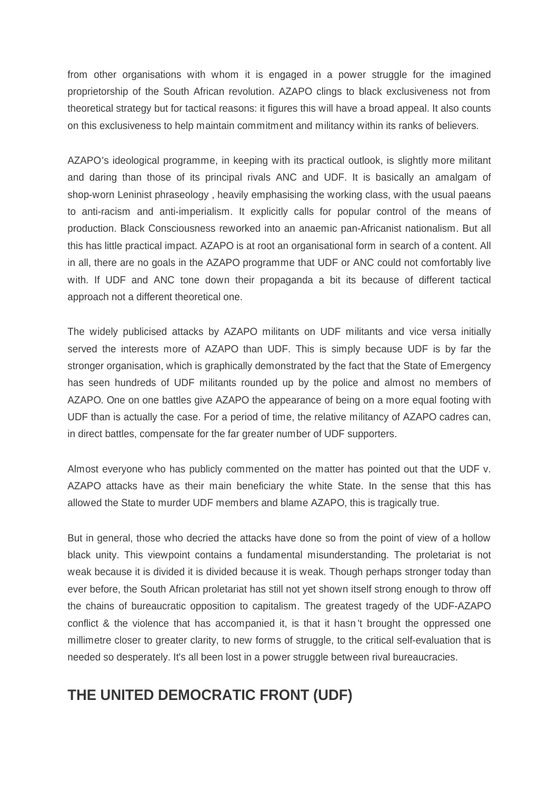from other organisations with whom it is engaged in a power struggle for the imagined proprietorship of the South African revolution. AZAPO clings to black exclusiveness not from theoretical strategy but for tactical reasons: it figures this will have a broad appeal. It also counts on this exclusiveness to help maintain commitment and militancy within its ranks of believers.

AZAPO's ideological programme, in keeping with its practical outlook, is slightly more militant and daring than those of its principal rivals ANC and UDF. It is basically an amalgam of shop-worn Leninist phraseology , heavily emphasising the working class, with the usual paeans to anti-racism and anti-imperialism. It explicitly calls for popular control of the means of production. Black Consciousness reworked into an anaemic pan-Africanist nationalism. But all this has little practical impact. AZAPO is at root an organisational form in search of a content. All in all, there are no goals in the AZAPO programme that UDF or ANC could not comfortably live with. If UDF and ANC tone down their propaganda a bit its because of different tactical approach not a different theoretical one.

The widely publicised attacks by AZAPO militants on UDF militants and vice versa initially served the interests more of AZAPO than UDF. This is simply because UDF is by far the stronger organisation, which is graphically demonstrated by the fact that the State of Emergency has seen hundreds of UDF militants rounded up by the police and almost no members of AZAPO. One on one battles give AZAPO the appearance of being on a more equal footing with UDF than is actually the case. For a period of time, the relative militancy of AZAPO cadres can, in direct battles, compensate for the far greater number of UDF supporters.

Almost everyone who has publicly commented on the matter has pointed out that the UDF v. AZAPO attacks have as their main beneficiary the white State. In the sense that this has allowed the State to murder UDF members and blame AZAPO, this is tragically true.

But in general, those who decried the attacks have done so from the point of view of a hollow black unity. This viewpoint contains a fundamental misunderstanding. The proletariat is not weak because it is divided it is divided because it is weak. Though perhaps stronger today than ever before, the South African proletariat has still not yet shown itself strong enough to throw off the chains of bureaucratic opposition to capitalism. The greatest tragedy of the UDF-AZAPO conflict & the violence that has accompanied it, is that it hasn 't brought the oppressed one millimetre closer to greater clarity, to new forms of struggle, to the critical self-evaluation that is needed so desperately. It's all been lost in a power struggle between rival bureaucracies.

# **THE UNITED DEMOCRATIC FRONT (UDF)**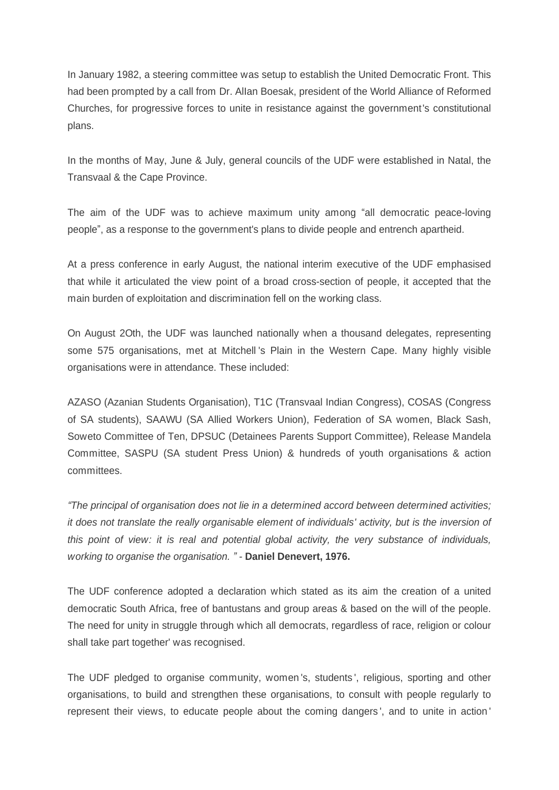In January 1982, a steering committee was setup to establish the United Democratic Front. This had been prompted by a call from Dr. AlIan Boesak, president of the World Alliance of Reformed Churches, for progressive forces to unite in resistance against the government's constitutional plans.

In the months of May, June & July, general councils of the UDF were established in Natal, the Transvaal & the Cape Province.

The aim of the UDF was to achieve maximum unity among "all democratic peace-loving people´, as a response to the government's plans to divide people and entrench apartheid.

At a press conference in early August, the national interim executive of the UDF emphasised that while it articulated the view point of a broad cross-section of people, it accepted that the main burden of exploitation and discrimination fell on the working class.

On August 2Oth, the UDF was launched nationally when a thousand delegates, representing some 575 organisations, met at Mitchell 's Plain in the Western Cape. Many highly visible organisations were in attendance. These included:

AZASO (Azanian Students Organisation), T1C (Transvaal Indian Congress), COSAS (Congress of SA students), SAAWU (SA Allied Workers Union), Federation of SA women, Black Sash, Soweto Committee of Ten, DPSUC (Detainees Parents Support Committee), Release Mandela Committee, SASPU (SA student Press Union) & hundreds of youth organisations & action committees.

*³The principal of organisation does not lie in a determined accord between determined activities; it does not translate the really organisable element of individuals' activity, but is the inversion of this point of view: it is real and potential global activity, the very substance of individuals, working to organise the organisation. ´ -* **Daniel Denevert, 1976.**

The UDF conference adopted a declaration which stated as its aim the creation of a united democratic South Africa, free of bantustans and group areas & based on the will of the people. The need for unity in struggle through which all democrats, regardless of race, religion or colour shall take part together' was recognised.

The UDF pledged to organise community, women 's, students ', religious, sporting and other organisations, to build and strengthen these organisations, to consult with people regularly to represent their views, to educate people about the coming dangers ', and to unite in action '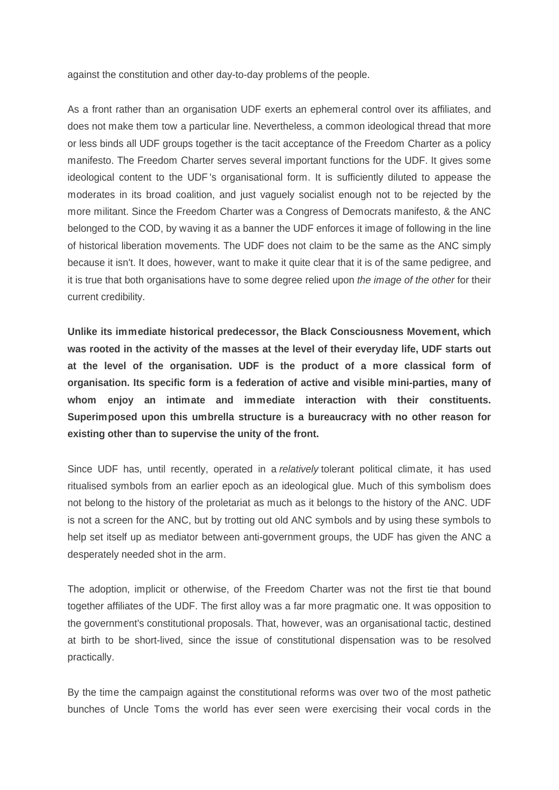against the constitution and other day-to-day problems of the people.

As a front rather than an organisation UDF exerts an ephemeral control over its affiliates, and does not make them tow a particular line. Nevertheless, a common ideological thread that more or less binds all UDF groups together is the tacit acceptance of the Freedom Charter as a policy manifesto. The Freedom Charter serves several important functions for the UDF. It gives some ideological content to the UDF 's organisational form. It is sufficiently diluted to appease the moderates in its broad coalition, and just vaguely socialist enough not to be rejected by the more militant. Since the Freedom Charter was a Congress of Democrats manifesto, & the ANC belonged to the COD, by waving it as a banner the UDF enforces it image of following in the line of historical liberation movements. The UDF does not claim to be the same as the ANC simply because it isn't. It does, however, want to make it quite clear that it is of the same pedigree, and it is true that both organisations have to some degree relied upon *the image of the other* for their current credibility.

**Unlike its immediate historical predecessor, the Black Consciousness Movement, which was rooted in the activity of the masses at the level of their everyday life, UDF starts out at the level of the organisation. UDF is the product of a more classical form of organisation. Its specific form is a federation of active and visible mini-parties, many of whom enjoy an intimate and immediate interaction with their constituents. Superimposed upon this umbrella structure is a bureaucracy with no other reason for existing other than to supervise the unity of the front.**

Since UDF has, until recently, operated in a *relatively* tolerant political climate, it has used ritualised symbols from an earlier epoch as an ideological glue. Much of this symbolism does not belong to the history of the proletariat as much as it belongs to the history of the ANC. UDF is not a screen for the ANC, but by trotting out old ANC symbols and by using these symbols to help set itself up as mediator between anti-government groups, the UDF has given the ANC a desperately needed shot in the arm.

The adoption, implicit or otherwise, of the Freedom Charter was not the first tie that bound together affiliates of the UDF. The first alloy was a far more pragmatic one. It was opposition to the government's constitutional proposals. That, however, was an organisational tactic, destined at birth to be short-lived, since the issue of constitutional dispensation was to be resolved practically.

By the time the campaign against the constitutional reforms was over two of the most pathetic bunches of Uncle Toms the world has ever seen were exercising their vocal cords in the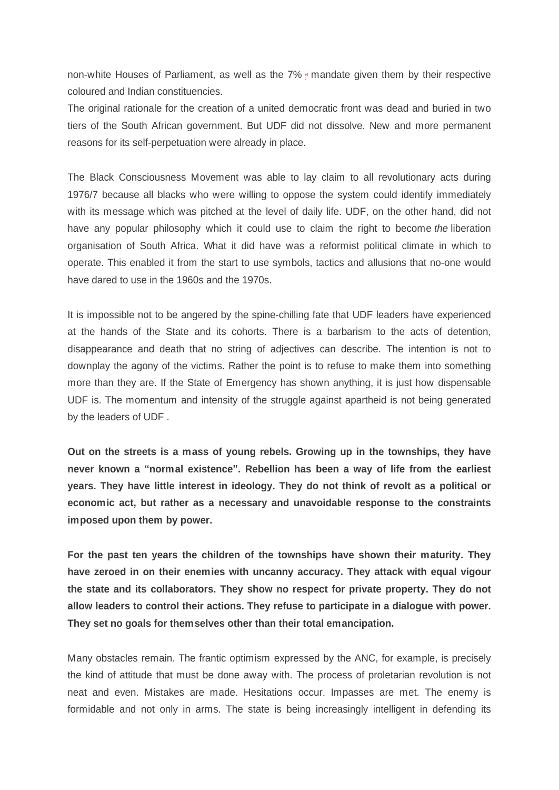non-white Houses of Parliament, as well as the  $7\% \times m$  mandate given them by their respective coloured and Indian constituencies.

The original rationale for the creation of a united democratic front was dead and buried in two tiers of the South African government. But UDF did not dissolve. New and more permanent reasons for its self-perpetuation were already in place.

The Black Consciousness Movement was able to lay claim to all revolutionary acts during 1976/7 because all blacks who were willing to oppose the system could identify immediately with its message which was pitched at the level of daily life. UDF, on the other hand, did not have any popular philosophy which it could use to claim the right to become *the* liberation organisation of South Africa. What it did have was a reformist political climate in which to operate. This enabled it from the start to use symbols, tactics and allusions that no-one would have dared to use in the 1960s and the 1970s.

It is impossible not to be angered by the spine-chilling fate that UDF leaders have experienced at the hands of the State and its cohorts. There is a barbarism to the acts of detention, disappearance and death that no string of adjectives can describe. The intention is not to downplay the agony of the victims. Rather the point is to refuse to make them into something more than they are. If the State of Emergency has shown anything, it is just how dispensable UDF is. The momentum and intensity of the struggle against apartheid is not being generated by the leaders of UDF .

**Out on the streets is a mass of young rebels. Growing up in the townships, they have never known a ³normal existence´. Rebellion has been a way of life from the earliest years. They have little interest in ideology. They do not think of revolt as a political or economic act, but rather as a necessary and unavoidable response to the constraints imposed upon them by power.**

**For the past ten years the children of the townships have shown their maturity. They have zeroed in on their enemies with uncanny accuracy. They attack with equal vigour the state and its collaborators. They show no respect for private property. They do not allow leaders to control their actions. They refuse to participate in a dialogue with power. They set no goals for themselves other than their total emancipation.**

Many obstacles remain. The frantic optimism expressed by the ANC, for example, is precisely the kind of attitude that must be done away with. The process of proletarian revolution is not neat and even. Mistakes are made. Hesitations occur. Impasses are met. The enemy is formidable and not only in arms. The state is being increasingly intelligent in defending its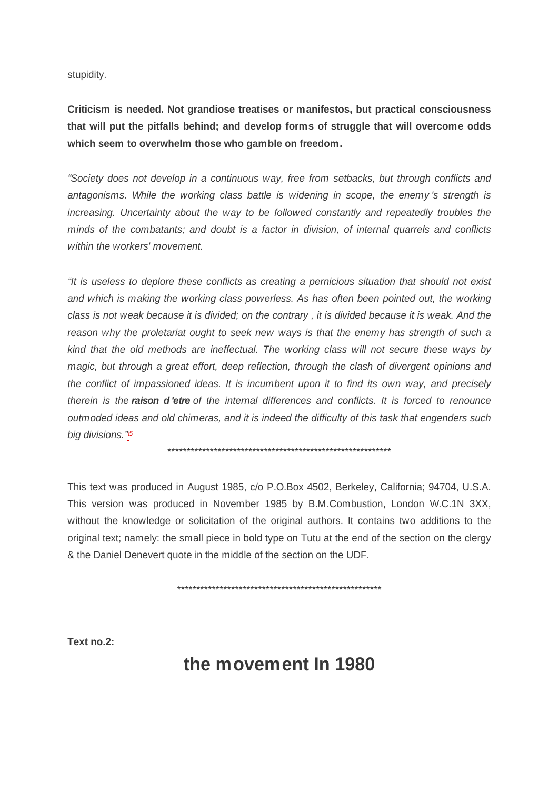stupidity.

**Criticism is needed. Not grandiose treatises or manifestos, but practical consciousness that will put the pitfalls behind; and develop forms of struggle that will overcome odds which seem to overwhelm those who gamble on freedom.**

*³Society does not develop in a continuous way, free from setbacks, but through conflicts and antagonisms. While the working class battle is widening in scope, the enemy 's strength is increasing. Uncertainty about the way to be followed constantly and repeatedly troubles the minds of the combatants; and doubt is a factor in division, of internal quarrels and conflicts within the workers' movement.*

*³It is useless to deplore these conflicts as creating a pernicious situation that should not exist and which is making the working class powerless. As has often been pointed out, the working class is not weak because it is divided; on the contrary , it is divided because it is weak. And the reason why the proletariat ought to seek new ways is that the enemy has strength of such a kind that the old methods are ineffectual. The working class will not secure these ways by magic, but through a great effort, deep reflection, through the clash of divergent opinions and the conflict of impassioned ideas. It is incumbent upon it to find its own way, and precisely therein is the raison d 'etre of the internal differences and conflicts. It is forced to renounce outmoded ideas and old chimeras, and it is indeed the difficulty of this task that engenders such big divisions.[´](file:///C:\\\\Users\\\\Nick\\\\Documents\\\\dialectical%20delinquents\\\\texts%20for%20site\\\\SAfrica%20pt%202.html)\5*

\*\*\*\*\*\*\*\*\*\*\*\*\*\*\*\*\*\*\*\*\*\*\*\*\*\*\*\*\*\*\*\*\*\*\*\*\*\*\*\*\*\*\*\*\*\*\*\*\*\*\*\*\*\*\*\*\*\*

This text was produced in August 1985, c/o P.O.Box 4502, Berkeley, California; 94704, U.S.A. This version was produced in November 1985 by B.M.Combustion, London W.C.1N 3XX, without the knowledge or solicitation of the original authors. It contains two additions to the original text; namely: the small piece in bold type on Tutu at the end of the section on the clergy & the Daniel Denevert quote in the middle of the section on the UDF.

\*\*\*\*\*\*\*\*\*\*\*\*\*\*\*\*\*\*\*\*\*\*\*\*\*\*\*\*\*\*\*\*\*\*\*\*\*\*\*\*\*\*\*\*\*\*\*\*\*\*\*\*\*

**Text no.2:**

# **the movement In 1980**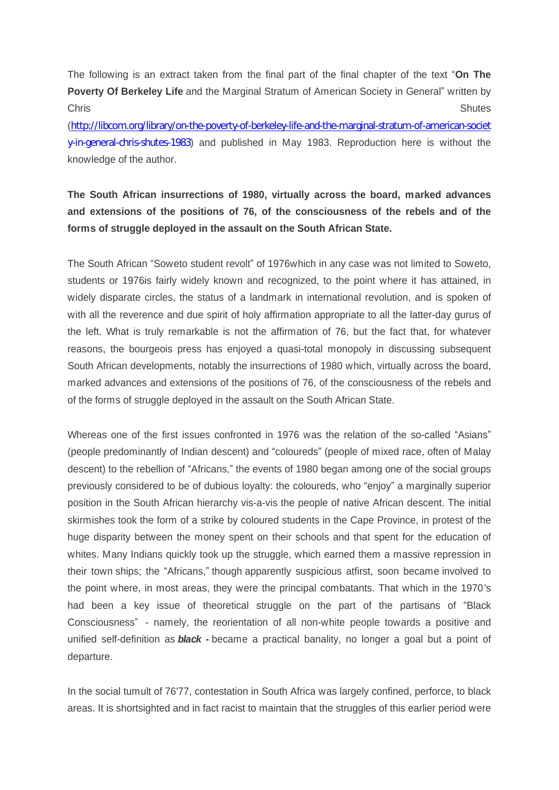The following is an extract taken from the final part of the final chapter of the text "On The **Poverty Of Berkeley Life** and the Marginal Stratum of American Society in General<sup>"</sup> written by Chris Shutes

([http://libcom.org/library/on-the-poverty-of-berkeley-life-and-the-marginal-stratum-of-american-societ](http://libcom.org/library/on-the-poverty-of-berkeley-life-and-the-marginal-stratum-of-american-society-in-general-chris-shutes-1983) [y-in-general-chris-shutes-1983](http://libcom.org/library/on-the-poverty-of-berkeley-life-and-the-marginal-stratum-of-american-society-in-general-chris-shutes-1983)) and published in May 1983. Reproduction here is without the knowledge of the author.

## **The South African insurrections of 1980, virtually across the board, marked advances and extensions of the positions of 76, of the consciousness of the rebels and of the forms of struggle deployed in the assault on the South African State.**

The South African "Soweto student revolt" of 1976which in any case was not limited to Soweto, students or 1976is fairly widely known and recognized, to the point where it has attained, in widely disparate circles, the status of a landmark in international revolution, and is spoken of with all the reverence and due spirit of holy affirmation appropriate to all the latter-day gurus of the left. What is truly remarkable is not the affirmation of 76, but the fact that, for whatever reasons, the bourgeois press has enjoyed a quasi-total monopoly in discussing subsequent South African developments, notably the insurrections of 1980 which, virtually across the board, marked advances and extensions of the positions of 76, of the consciousness of the rebels and of the forms of struggle deployed in the assault on the South African State.

Whereas one of the first issues confronted in 1976 was the relation of the so-called "Asians" (people predominantly of Indian descent) and "coloureds" (people of mixed race, often of Malay descent) to the rebellion of "Africans," the events of 1980 began among one of the social groups previously considered to be of dubious loyalty: the coloureds, who "enjoy" a marginally superior position in the South African hierarchy vis-a-vis the people of native African descent. The initial skirmishes took the form of a strike by coloured students in the Cape Province, in protest of the huge disparity between the money spent on their schools and that spent for the education of whites. Many Indians quickly took up the struggle, which earned them a massive repression in their town ships; the "Africans," though apparently suspicious atfirst, soon became involved to the point where, in most areas, they were the principal combatants. That which in the 1970's had been a key issue of theoretical struggle on the part of the partisans of "Black" Consciousness" - namely, the reorientation of all non-white people towards a positive and unified self-definition as *black -* became a practical banality, no longer a goal but a point of departure.

In the social tumult of 76'77, contestation in South Africa was largely confined, perforce, to black areas. It is shortsighted and in fact racist to maintain that the struggles of this earlier period were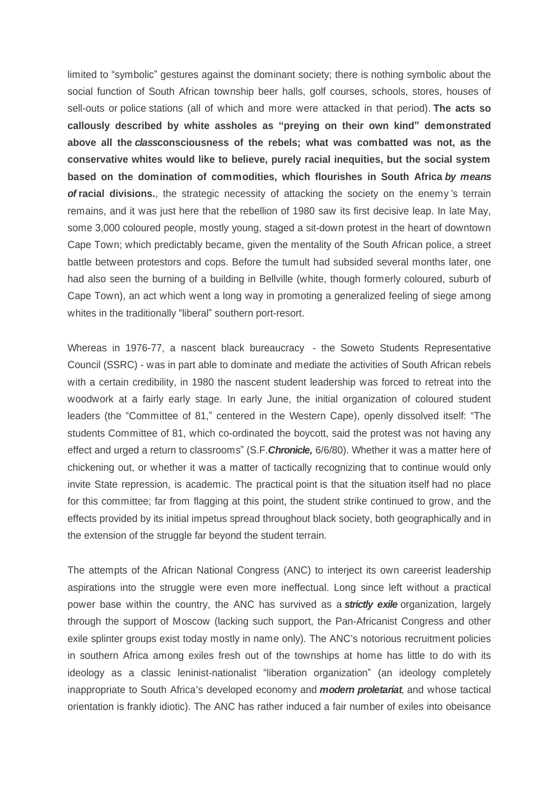limited to "symbolic" gestures against the dominant society; there is nothing symbolic about the social function of South African township beer halls, golf courses, schools, stores, houses of sell-outs or police stations (all of which and more were attacked in that period). **The acts so callously described by white assholes as ³preying on their own kind´ demonstrated above all the** *class***consciousness of the rebels; what was combatted was not, as the conservative whites would like to believe, purely racial inequities, but the social system based on the domination of commodities, which flourishes in South Africa** *by means of* **racial divisions.**, the strategic necessity of attacking the society on the enemy 's terrain remains, and it was just here that the rebellion of 1980 saw its first decisive leap. In late May, some 3,000 coloured people, mostly young, staged a sit-down protest in the heart of downtown Cape Town; which predictably became, given the mentality of the South African police, a street battle between protestors and cops. Before the tumult had subsided several months later, one had also seen the burning of a building in Bellville (white, though formerly coloured, suburb of Cape Town), an act which went a long way in promoting a generalized feeling of siege among whites in the traditionally "liberal" southern port-resort.

Whereas in 1976-77, a nascent black bureaucracy - the Soweto Students Representative Council (SSRC) - was in part able to dominate and mediate the activities of South African rebels with a certain credibility, in 1980 the nascent student leadership was forced to retreat into the woodwork at a fairly early stage. In early June, the initial organization of coloured student leaders (the "Committee of 81," centered in the Western Cape), openly dissolved itself: "The students Committee of 81, which co-ordinated the boycott, said the protest was not having any effect and urged a return to classrooms´ (S.F.*Chronicle,* 6/6/80). Whether it was a matter here of chickening out, or whether it was a matter of tactically recognizing that to continue would only invite State repression, is academic. The practical point is that the situation itself had no place for this committee; far from flagging at this point, the student strike continued to grow, and the effects provided by its initial impetus spread throughout black society, both geographically and in the extension of the struggle far beyond the student terrain.

The attempts of the African National Congress (ANC) to interject its own careerist leadership aspirations into the struggle were even more ineffectual. Long since left without a practical power base within the country, the ANC has survived as a *strictly exile* organization, largely through the support of Moscow (lacking such support, the Pan-Africanist Congress and other exile splinter groups exist today mostly in name only). The ANC's notorious recruitment policies in southern Africa among exiles fresh out of the townships at home has little to do with its ideology as a classic leninist-nationalist "liberation organization" (an ideology completely inappropriate to South Africa's developed economy and *modern proletariat,* and whose tactical orientation is frankly idiotic). The ANC has rather induced a fair number of exiles into obeisance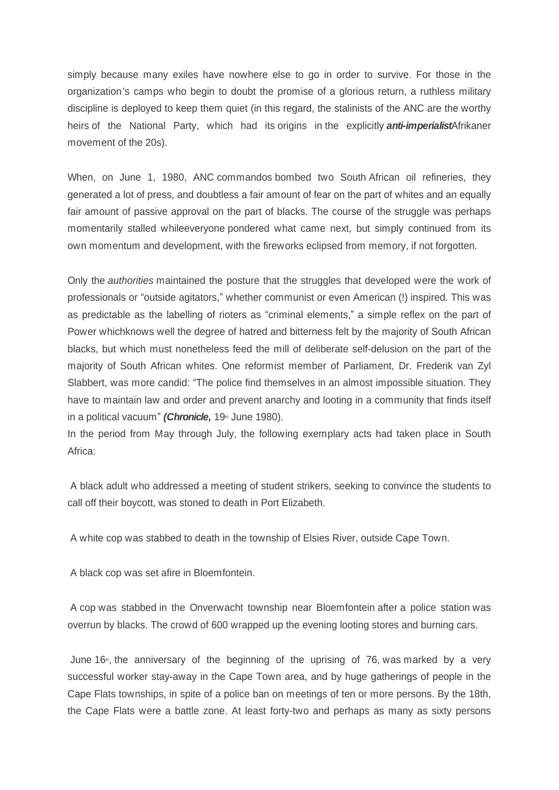simply because many exiles have nowhere else to go in order to survive. For those in the organization's camps who begin to doubt the promise of a glorious return, a ruthless military discipline is deployed to keep them quiet (in this regard, the stalinists of the ANC are the worthy heirs of the National Party, which had its origins in the explicitly *anti-imperialist*Afrikaner movement of the 20s).

When, on June 1, 1980, ANC commandos bombed two South African oil refineries, they generated a lot of press, and doubtless a fair amount of fear on the part of whites and an equally fair amount of passive approval on the part of blacks. The course of the struggle was perhaps momentarily stalled whileeveryone pondered what came next, but simply continued from its own momentum and development, with the fireworks eclipsed from memory, if not forgotten.

Only the *authorities* maintained the posture that the struggles that developed were the work of professionals or "outside agitators," whether communist or even American (!) inspired. This was as predictable as the labelling of rioters as "criminal elements," a simple reflex on the part of Power whichknows well the degree of hatred and bitterness felt by the majority of South African blacks, but which must nonetheless feed the mill of deliberate self-delusion on the part of the majority of South African whites. One reformist member of Parliament, Dr. Frederik van Zyl Slabbert, was more candid: "The police find themselves in an almost impossible situation. They have to maintain law and order and prevent anarchy and looting in a community that finds itself in a political vacuum<sup>"</sup> (Chronicle, 19<sup>th</sup> June 1980).

In the period from May through July, the following exemplary acts had taken place in South Africa:

 A black adult who addressed a meeting of student strikers, seeking to convince the students to call off their boycott, was stoned to death in Port Elizabeth.

A white cop was stabbed to death in the township of Elsies River, outside Cape Town.

A black cop was set afire in Bloemfontein.

 A cop was stabbed in the Onverwacht township near Bloemfontein after a police station was overrun by blacks. The crowd of 600 wrapped up the evening looting stores and burning cars.

June  $16<sup>th</sup>$ , the anniversary of the beginning of the uprising of 76, was marked by a very successful worker stay-away in the Cape Town area, and by huge gatherings of people in the Cape Flats townships, in spite of a police ban on meetings of ten or more persons. By the 18th, the Cape Flats were a battle zone. At least forty-two and perhaps as many as sixty persons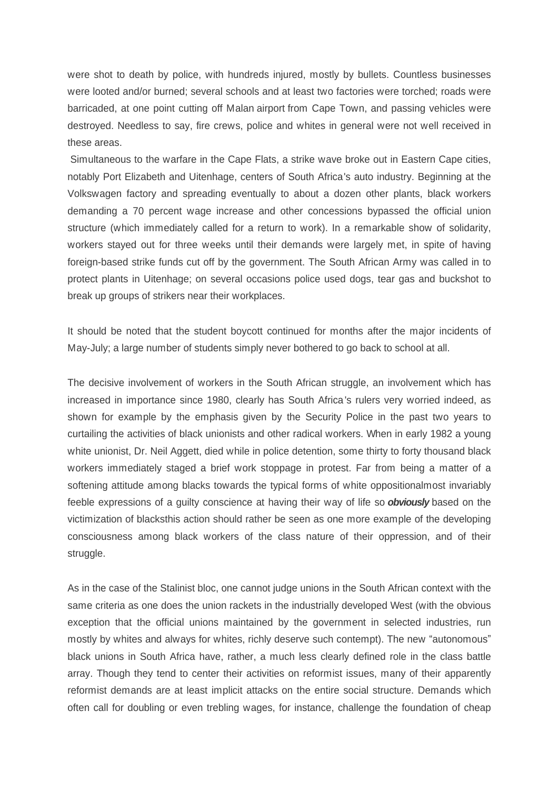were shot to death by police, with hundreds injured, mostly by bullets. Countless businesses were looted and/or burned; several schools and at least two factories were torched; roads were barricaded, at one point cutting off Malan airport from Cape Town, and passing vehicles were destroyed. Needless to say, fire crews, police and whites in general were not well received in these areas.

 Simultaneous to the warfare in the Cape Flats, a strike wave broke out in Eastern Cape cities, notably Port Elizabeth and Uitenhage, centers of South Africa's auto industry. Beginning at the Volkswagen factory and spreading eventually to about a dozen other plants, black workers demanding a 70 percent wage increase and other concessions bypassed the official union structure (which immediately called for a return to work). In a remarkable show of solidarity, workers stayed out for three weeks until their demands were largely met, in spite of having foreign-based strike funds cut off by the government. The South African Army was called in to protect plants in Uitenhage; on several occasions police used dogs, tear gas and buckshot to break up groups of strikers near their workplaces.

It should be noted that the student boycott continued for months after the major incidents of May-July; a large number of students simply never bothered to go back to school at all.

The decisive involvement of workers in the South African struggle, an involvement which has increased in importance since 1980, clearly has South Africa's rulers very worried indeed, as shown for example by the emphasis given by the Security Police in the past two years to curtailing the activities of black unionists and other radical workers. When in early 1982 a young white unionist, Dr. Neil Aggett, died while in police detention, some thirty to forty thousand black workers immediately staged a brief work stoppage in protest. Far from being a matter of a softening attitude among blacks towards the typical forms of white oppositionalmost invariably feeble expressions of a guilty conscience at having their way of life so *obviously* based on the victimization of blacksthis action should rather be seen as one more example of the developing consciousness among black workers of the class nature of their oppression, and of their struggle.

As in the case of the Stalinist bloc, one cannot judge unions in the South African context with the same criteria as one does the union rackets in the industrially developed West (with the obvious exception that the official unions maintained by the government in selected industries, run mostly by whites and always for whites, richly deserve such contempt). The new "autonomous" black unions in South Africa have, rather, a much less clearly defined role in the class battle array. Though they tend to center their activities on reformist issues, many of their apparently reformist demands are at least implicit attacks on the entire social structure. Demands which often call for doubling or even trebling wages, for instance, challenge the foundation of cheap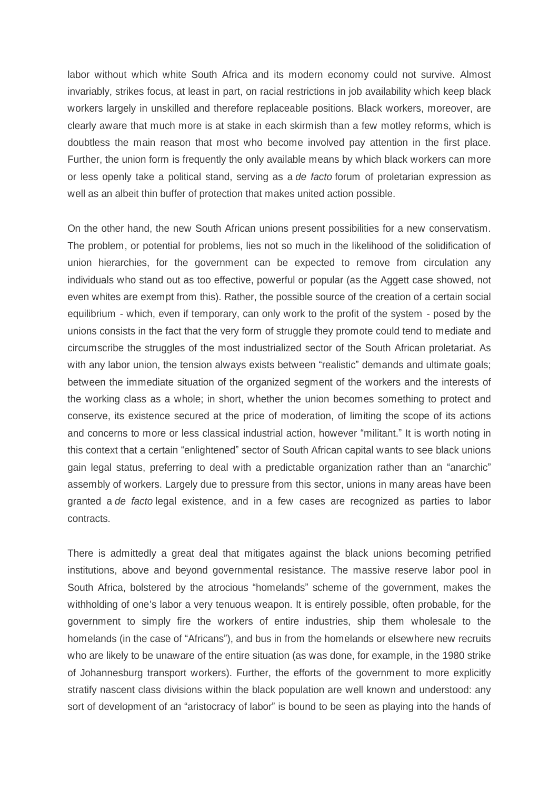labor without which white South Africa and its modern economy could not survive. Almost invariably, strikes focus, at least in part, on racial restrictions in job availability which keep black workers largely in unskilled and therefore replaceable positions. Black workers, moreover, are clearly aware that much more is at stake in each skirmish than a few motley reforms, which is doubtless the main reason that most who become involved pay attention in the first place. Further, the union form is frequently the only available means by which black workers can more or less openly take a political stand, serving as a *de facto* forum of proletarian expression as well as an albeit thin buffer of protection that makes united action possible.

On the other hand, the new South African unions present possibilities for a new conservatism. The problem, or potential for problems, lies not so much in the likelihood of the solidification of union hierarchies, for the government can be expected to remove from circulation any individuals who stand out as too effective, powerful or popular (as the Aggett case showed, not even whites are exempt from this). Rather, the possible source of the creation of a certain social equilibrium - which, even if temporary, can only work to the profit of the system - posed by the unions consists in the fact that the very form of struggle they promote could tend to mediate and circumscribe the struggles of the most industrialized sector of the South African proletariat. As with any labor union, the tension always exists between "realistic" demands and ultimate goals; between the immediate situation of the organized segment of the workers and the interests of the working class as a whole; in short, whether the union becomes something to protect and conserve, its existence secured at the price of moderation, of limiting the scope of its actions and concerns to more or less classical industrial action, however "militant." It is worth noting in this context that a certain "enlightened" sector of South African capital wants to see black unions gain legal status, preferring to deal with a predictable organization rather than an "anarchic" assembly of workers. Largely due to pressure from this sector, unions in many areas have been granted a *de facto* legal existence, and in a few cases are recognized as parties to labor contracts.

There is admittedly a great deal that mitigates against the black unions becoming petrified institutions, above and beyond governmental resistance. The massive reserve labor pool in South Africa, bolstered by the atrocious "homelands" scheme of the government, makes the withholding of one's labor a very tenuous weapon. It is entirely possible, often probable, for the government to simply fire the workers of entire industries, ship them wholesale to the homelands (in the case of "Africans"), and bus in from the homelands or elsewhere new recruits who are likely to be unaware of the entire situation (as was done, for example, in the 1980 strike of Johannesburg transport workers). Further, the efforts of the government to more explicitly stratify nascent class divisions within the black population are well known and understood: any sort of development of an "aristocracy of labor" is bound to be seen as playing into the hands of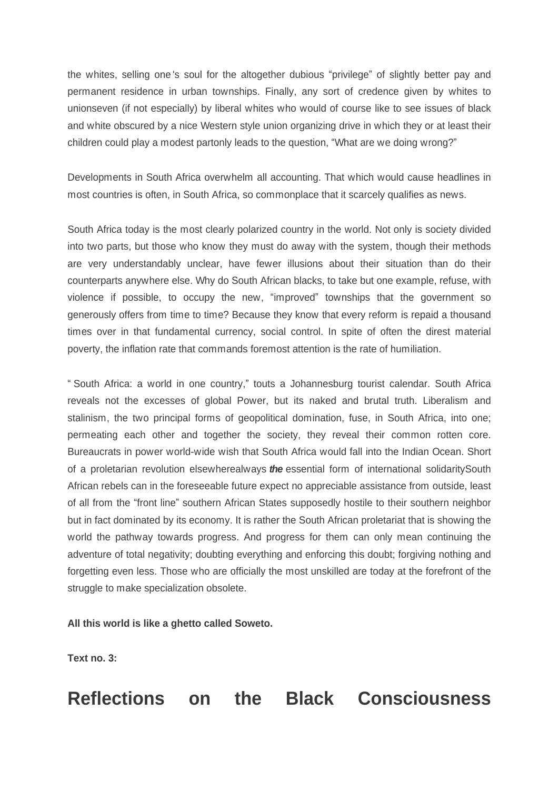the whites, selling one's soul for the altogether dubious "privilege" of slightly better pay and permanent residence in urban townships. Finally, any sort of credence given by whites to unionseven (if not especially) by liberal whites who would of course like to see issues of black and white obscured by a nice Western style union organizing drive in which they or at least their children could play a modest partonly leads to the question, "What are we doing wrong?"

Developments in South Africa overwhelm all accounting. That which would cause headlines in most countries is often, in South Africa, so commonplace that it scarcely qualifies as news.

South Africa today is the most clearly polarized country in the world. Not only is society divided into two parts, but those who know they must do away with the system, though their methods are very understandably unclear, have fewer illusions about their situation than do their counterparts anywhere else. Why do South African blacks, to take but one example, refuse, with violence if possible, to occupy the new, "improved" townships that the government so generously offers from time to time? Because they know that every reform is repaid a thousand times over in that fundamental currency, social control. In spite of often the direst material poverty, the inflation rate that commands foremost attention is the rate of humiliation.

³ South Africa: a world in one country,´ touts a Johannesburg tourist calendar. South Africa reveals not the excesses of global Power, but its naked and brutal truth. Liberalism and stalinism, the two principal forms of geopolitical domination, fuse, in South Africa, into one; permeating each other and together the society, they reveal their common rotten core. Bureaucrats in power world-wide wish that South Africa would fall into the Indian Ocean. Short of a proletarian revolution elsewherealways *the* essential form of international solidaritySouth African rebels can in the foreseeable future expect no appreciable assistance from outside, least of all from the "front line" southern African States supposedly hostile to their southern neighbor but in fact dominated by its economy. It is rather the South African proletariat that is showing the world the pathway towards progress. And progress for them can only mean continuing the adventure of total negativity; doubting everything and enforcing this doubt; forgiving nothing and forgetting even less. Those who are officially the most unskilled are today at the forefront of the struggle to make specialization obsolete.

**All this world is like a ghetto called Soweto.**

**Text no. 3:**

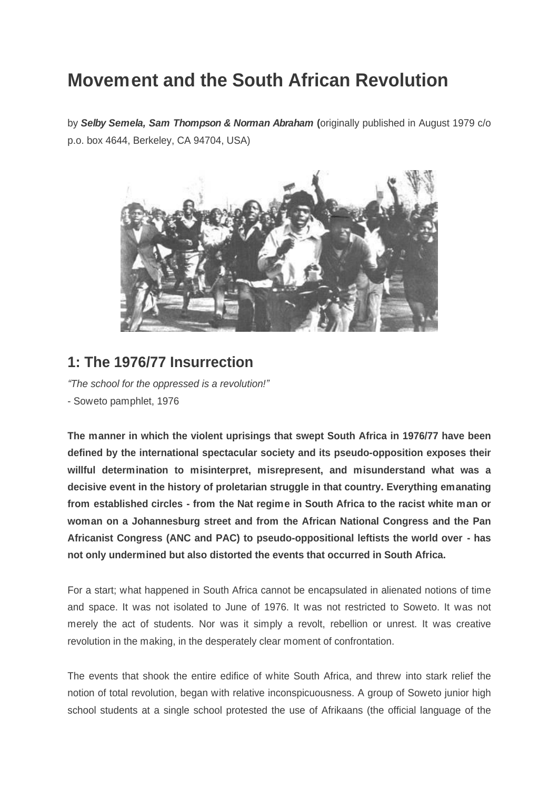# **Movement and the South African Revolution**

by *Selby Semela, Sam Thompson & Norman Abraham* **(**originally published in August 1979 c/o p.o. box 4644, Berkeley, CA 94704, USA)



# **1: The 1976/77 Insurrection**

*³The school for the oppressed is a revolution!´* - Soweto pamphlet, 1976

**The manner in which the violent uprisings that swept South Africa in 1976/77 have been defined by the international spectacular society and its pseudo-opposition exposes their willful determination to misinterpret, misrepresent, and misunderstand what was a decisive event in the history of proletarian struggle in that country. Everything emanating from established circles - from the Nat regime in South Africa to the racist white man or woman on a Johannesburg street and from the African National Congress and the Pan Africanist Congress (ANC and PAC) to pseudo-oppositional leftists the world over - has not only undermined but also distorted the events that occurred in South Africa.**

For a start; what happened in South Africa cannot be encapsulated in alienated notions of time and space. It was not isolated to June of 1976. It was not restricted to Soweto. It was not merely the act of students. Nor was it simply a revolt, rebellion or unrest. It was creative revolution in the making, in the desperately clear moment of confrontation.

The events that shook the entire edifice of white South Africa, and threw into stark relief the notion of total revolution, began with relative inconspicuousness. A group of Soweto junior high school students at a single school protested the use of Afrikaans (the official language of the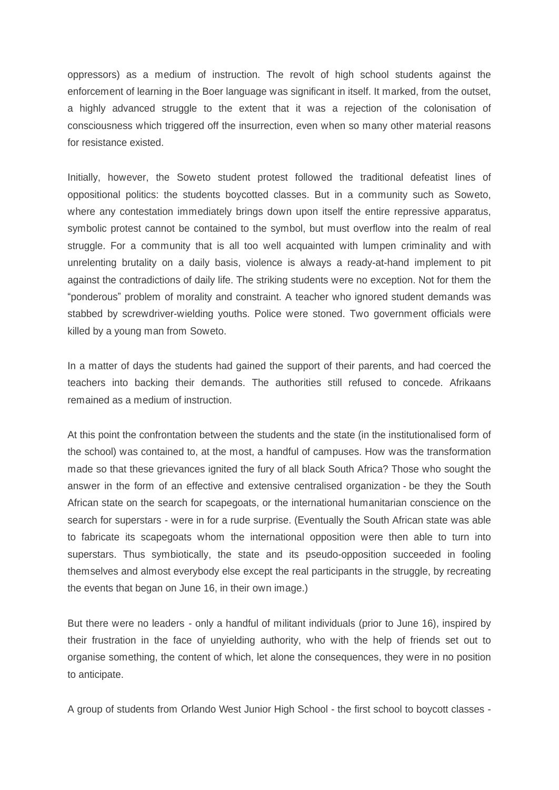oppressors) as a medium of instruction. The revolt of high school students against the enforcement of learning in the Boer language was significant in itself. It marked, from the outset, a highly advanced struggle to the extent that it was a rejection of the colonisation of consciousness which triggered off the insurrection, even when so many other material reasons for resistance existed.

Initially, however, the Soweto student protest followed the traditional defeatist lines of oppositional politics: the students boycotted classes. But in a community such as Soweto, where any contestation immediately brings down upon itself the entire repressive apparatus, symbolic protest cannot be contained to the symbol, but must overflow into the realm of real struggle. For a community that is all too well acquainted with lumpen criminality and with unrelenting brutality on a daily basis, violence is always a ready-at-hand implement to pit against the contradictions of daily life. The striking students were no exception. Not for them the "ponderous" problem of morality and constraint. A teacher who ignored student demands was stabbed by screwdriver-wielding youths. Police were stoned. Two government officials were killed by a young man from Soweto.

In a matter of days the students had gained the support of their parents, and had coerced the teachers into backing their demands. The authorities still refused to concede. Afrikaans remained as a medium of instruction.

At this point the confrontation between the students and the state (in the institutionalised form of the school) was contained to, at the most, a handful of campuses. How was the transformation made so that these grievances ignited the fury of all black South Africa? Those who sought the answer in the form of an effective and extensive centralised organization - be they the South African state on the search for scapegoats, or the international humanitarian conscience on the search for superstars - were in for a rude surprise. (Eventually the South African state was able to fabricate its scapegoats whom the international opposition were then able to turn into superstars. Thus symbiotically, the state and its pseudo-opposition succeeded in fooling themselves and almost everybody else except the real participants in the struggle, by recreating the events that began on June 16, in their own image.)

But there were no leaders - only a handful of militant individuals (prior to June 16), inspired by their frustration in the face of unyielding authority, who with the help of friends set out to organise something, the content of which, let alone the consequences, they were in no position to anticipate.

A group of students from Orlando West Junior High School - the first school to boycott classes -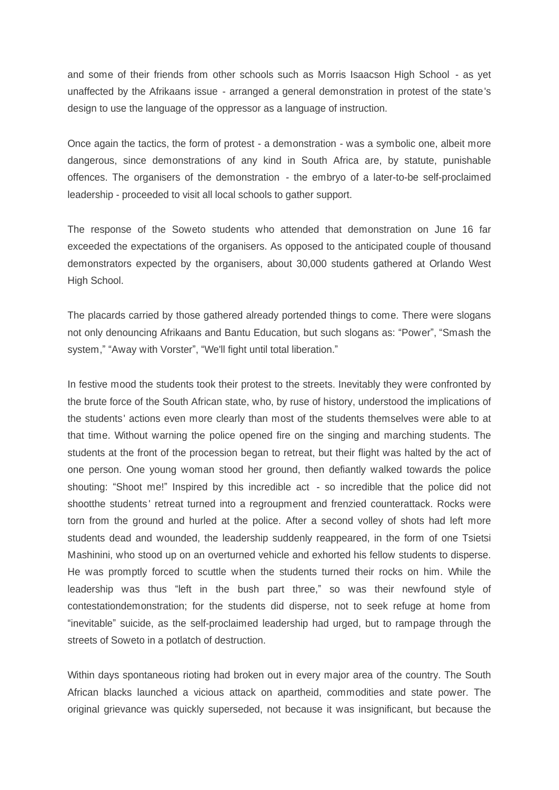and some of their friends from other schools such as Morris Isaacson High School - as yet unaffected by the Afrikaans issue - arranged a general demonstration in protest of the state's design to use the language of the oppressor as a language of instruction.

Once again the tactics, the form of protest - a demonstration - was a symbolic one, albeit more dangerous, since demonstrations of any kind in South Africa are, by statute, punishable offences. The organisers of the demonstration - the embryo of a later-to-be self-proclaimed leadership - proceeded to visit all local schools to gather support.

The response of the Soweto students who attended that demonstration on June 16 far exceeded the expectations of the organisers. As opposed to the anticipated couple of thousand demonstrators expected by the organisers, about 30,000 students gathered at Orlando West High School.

The placards carried by those gathered already portended things to come. There were slogans not only denouncing Afrikaans and Bantu Education, but such slogans as: "Power", "Smash the system," "Away with Vorster", "We'll fight until total liberation."

In festive mood the students took their protest to the streets. Inevitably they were confronted by the brute force of the South African state, who, by ruse of history, understood the implications of the students' actions even more clearly than most of the students themselves were able to at that time. Without warning the police opened fire on the singing and marching students. The students at the front of the procession began to retreat, but their flight was halted by the act of one person. One young woman stood her ground, then defiantly walked towards the police shouting: "Shoot me!" Inspired by this incredible act - so incredible that the police did not shootthe students' retreat turned into a regroupment and frenzied counterattack. Rocks were torn from the ground and hurled at the police. After a second volley of shots had left more students dead and wounded, the leadership suddenly reappeared, in the form of one Tsietsi Mashinini, who stood up on an overturned vehicle and exhorted his fellow students to disperse. He was promptly forced to scuttle when the students turned their rocks on him. While the leadership was thus "left in the bush part three," so was their newfound style of contestationdemonstration; for the students did disperse, not to seek refuge at home from "inevitable" suicide, as the self-proclaimed leadership had urged, but to rampage through the streets of Soweto in a potlatch of destruction.

Within days spontaneous rioting had broken out in every major area of the country. The South African blacks launched a vicious attack on apartheid, commodities and state power. The original grievance was quickly superseded, not because it was insignificant, but because the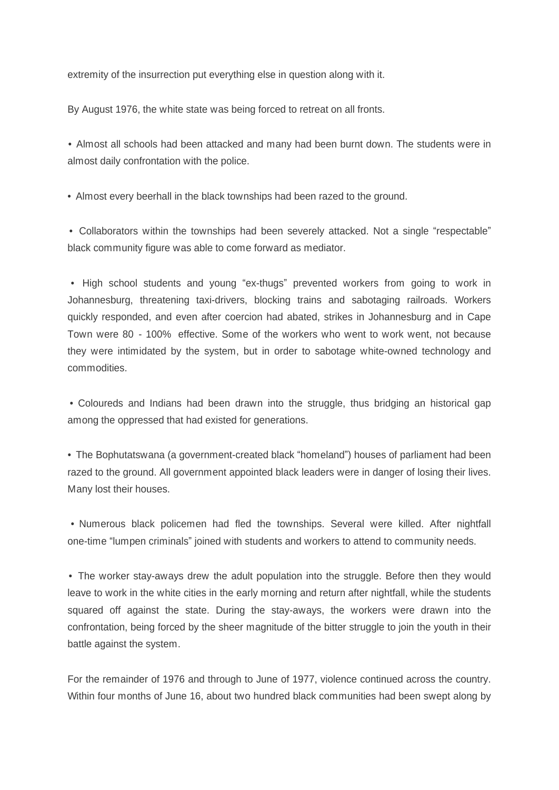extremity of the insurrection put everything else in question along with it.

By August 1976, the white state was being forced to retreat on all fronts.

• Almost all schools had been attacked and many had been burnt down. The students were in almost daily confrontation with the police.

• Almost every beerhall in the black townships had been razed to the ground.

• Collaborators within the townships had been severely attacked. Not a single "respectable" black community figure was able to come forward as mediator.

• High school students and young "ex-thugs" prevented workers from going to work in Johannesburg, threatening taxi-drivers, blocking trains and sabotaging railroads. Workers quickly responded, and even after coercion had abated, strikes in Johannesburg and in Cape Town were 80 - 100% effective. Some of the workers who went to work went, not because they were intimidated by the system, but in order to sabotage white-owned technology and commodities.

• Coloureds and Indians had been drawn into the struggle, thus bridging an historical gap among the oppressed that had existed for generations.

• The Bophutatswana (a government-created black "homeland") houses of parliament had been razed to the ground. All government appointed black leaders were in danger of losing their lives. Many lost their houses.

• Numerous black policemen had fled the townships. Several were killed. After nightfall one-time "lumpen criminals" joined with students and workers to attend to community needs.

• The worker stay-aways drew the adult population into the struggle. Before then they would leave to work in the white cities in the early morning and return after nightfall, while the students squared off against the state. During the stay-aways, the workers were drawn into the confrontation, being forced by the sheer magnitude of the bitter struggle to join the youth in their battle against the system.

For the remainder of 1976 and through to June of 1977, violence continued across the country. Within four months of June 16, about two hundred black communities had been swept along by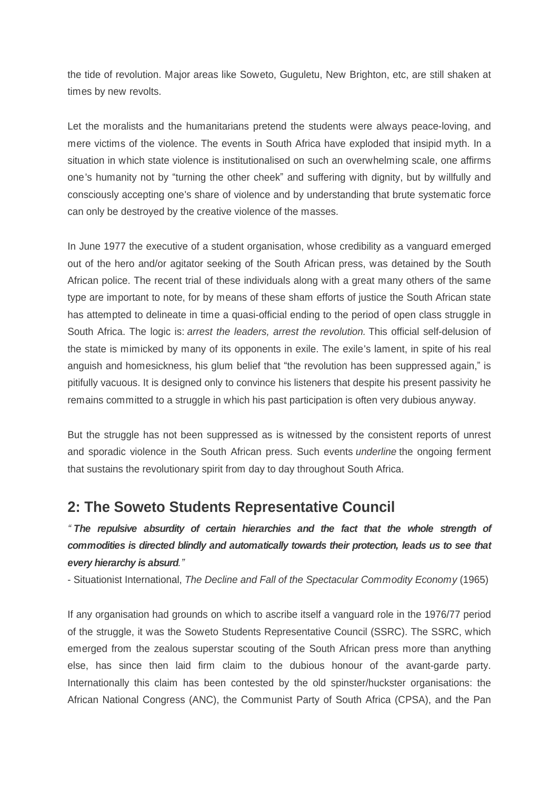the tide of revolution. Major areas like Soweto, Guguletu, New Brighton, etc, are still shaken at times by new revolts.

Let the moralists and the humanitarians pretend the students were always peace-loving, and mere victims of the violence. The events in South Africa have exploded that insipid myth. In a situation in which state violence is institutionalised on such an overwhelming scale, one affirms one's humanity not by "turning the other cheek" and suffering with dignity, but by willfully and consciously accepting one's share of violence and by understanding that brute systematic force can only be destroyed by the creative violence of the masses.

In June 1977 the executive of a student organisation, whose credibility as a vanguard emerged out of the hero and/or agitator seeking of the South African press, was detained by the South African police. The recent trial of these individuals along with a great many others of the same type are important to note, for by means of these sham efforts of justice the South African state has attempted to delineate in time a quasi-official ending to the period of open class struggle in South Africa. The logic is: *arrest the leaders, arrest the revolution.* This official self-delusion of the state is mimicked by many of its opponents in exile. The exile's lament, in spite of his real anguish and homesickness, his glum belief that "the revolution has been suppressed again," is pitifully vacuous. It is designed only to convince his listeners that despite his present passivity he remains committed to a struggle in which his past participation is often very dubious anyway.

But the struggle has not been suppressed as is witnessed by the consistent reports of unrest and sporadic violence in the South African press. Such events *underline* the ongoing ferment that sustains the revolutionary spirit from day to day throughout South Africa.

## **2: The Soweto Students Representative Council**

*³The repulsive absurdity of certain hierarchies and the fact that the whole strength of commodities is directed blindly and automatically towards their protection, leads us to see that every hierarchy is absurd.´*

- Situationist International, *The Decline and Fall of the Spectacular Commodity Economy* (1965)

If any organisation had grounds on which to ascribe itself a vanguard role in the 1976/77 period of the struggle, it was the Soweto Students Representative Council (SSRC). The SSRC, which emerged from the zealous superstar scouting of the South African press more than anything else, has since then laid firm claim to the dubious honour of the avant-garde party. Internationally this claim has been contested by the old spinster/huckster organisations: the African National Congress (ANC), the Communist Party of South Africa (CPSA), and the Pan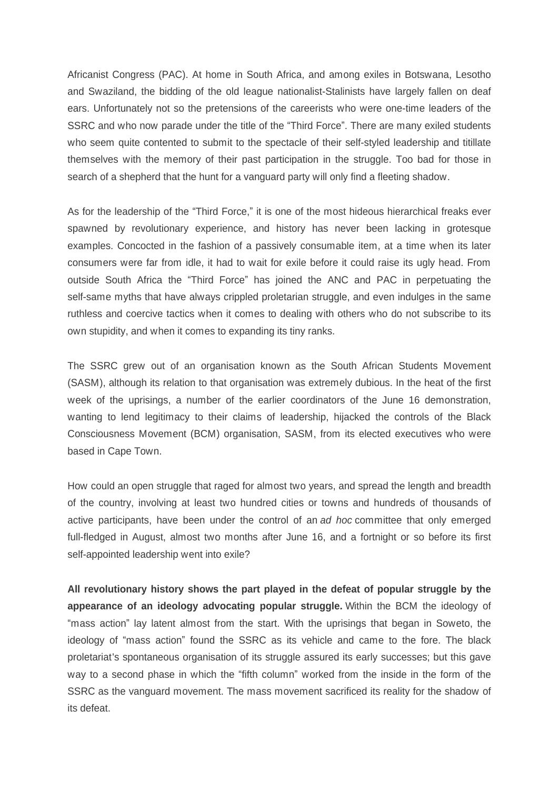Africanist Congress (PAC). At home in South Africa, and among exiles in Botswana, Lesotho and Swaziland, the bidding of the old league nationalist-Stalinists have largely fallen on deaf ears. Unfortunately not so the pretensions of the careerists who were one-time leaders of the SSRC and who now parade under the title of the "Third Force". There are many exiled students who seem quite contented to submit to the spectacle of their self-styled leadership and titillate themselves with the memory of their past participation in the struggle. Too bad for those in search of a shepherd that the hunt for a vanguard party will only find a fleeting shadow.

As for the leadership of the "Third Force," it is one of the most hideous hierarchical freaks ever spawned by revolutionary experience, and history has never been lacking in grotesque examples. Concocted in the fashion of a passively consumable item, at a time when its later consumers were far from idle, it had to wait for exile before it could raise its ugly head. From outside South Africa the "Third Force" has joined the ANC and PAC in perpetuating the self-same myths that have always crippled proletarian struggle, and even indulges in the same ruthless and coercive tactics when it comes to dealing with others who do not subscribe to its own stupidity, and when it comes to expanding its tiny ranks.

The SSRC grew out of an organisation known as the South African Students Movement (SASM), although its relation to that organisation was extremely dubious. In the heat of the first week of the uprisings, a number of the earlier coordinators of the June 16 demonstration, wanting to lend legitimacy to their claims of leadership, hijacked the controls of the Black Consciousness Movement (BCM) organisation, SASM, from its elected executives who were based in Cape Town.

How could an open struggle that raged for almost two years, and spread the length and breadth of the country, involving at least two hundred cities or towns and hundreds of thousands of active participants, have been under the control of an *ad hoc* committee that only emerged full-fledged in August, almost two months after June 16, and a fortnight or so before its first self-appointed leadership went into exile?

**All revolutionary history shows the part played in the defeat of popular struggle by the appearance of an ideology advocating popular struggle.** Within the BCM the ideology of "mass action" lay latent almost from the start. With the uprisings that began in Soweto, the ideology of "mass action" found the SSRC as its vehicle and came to the fore. The black proletariat's spontaneous organisation of its struggle assured its early successes; but this gave way to a second phase in which the "fifth column" worked from the inside in the form of the SSRC as the vanguard movement. The mass movement sacrificed its reality for the shadow of its defeat.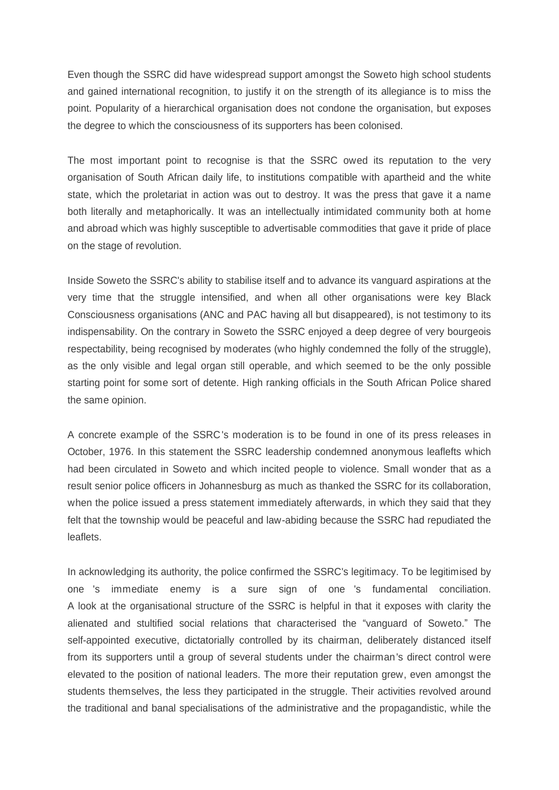Even though the SSRC did have widespread support amongst the Soweto high school students and gained international recognition, to justify it on the strength of its allegiance is to miss the point. Popularity of a hierarchical organisation does not condone the organisation, but exposes the degree to which the consciousness of its supporters has been colonised.

The most important point to recognise is that the SSRC owed its reputation to the very organisation of South African daily life, to institutions compatible with apartheid and the white state, which the proletariat in action was out to destroy. It was the press that gave it a name both literally and metaphorically. It was an intellectually intimidated community both at home and abroad which was highly susceptible to advertisable commodities that gave it pride of place on the stage of revolution.

Inside Soweto the SSRC's ability to stabilise itself and to advance its vanguard aspirations at the very time that the struggle intensified, and when all other organisations were key Black Consciousness organisations (ANC and PAC having all but disappeared), is not testimony to its indispensability. On the contrary in Soweto the SSRC enjoyed a deep degree of very bourgeois respectability, being recognised by moderates (who highly condemned the folly of the struggle), as the only visible and legal organ still operable, and which seemed to be the only possible starting point for some sort of detente. High ranking officials in the South African Police shared the same opinion.

A concrete example of the SSRC's moderation is to be found in one of its press releases in October, 1976. In this statement the SSRC leadership condemned anonymous leaflefts which had been circulated in Soweto and which incited people to violence. Small wonder that as a result senior police officers in Johannesburg as much as thanked the SSRC for its collaboration, when the police issued a press statement immediately afterwards, in which they said that they felt that the township would be peaceful and law-abiding because the SSRC had repudiated the leaflets.

In acknowledging its authority, the police confirmed the SSRC's legitimacy. To be legitimised by one 's immediate enemy is a sure sign of one 's fundamental conciliation. A look at the organisational structure of the SSRC is helpful in that it exposes with clarity the alienated and stultified social relations that characterised the "vanguard of Soweto." The self-appointed executive, dictatorially controlled by its chairman, deliberately distanced itself from its supporters until a group of several students under the chairman's direct control were elevated to the position of national leaders. The more their reputation grew, even amongst the students themselves, the less they participated in the struggle. Their activities revolved around the traditional and banal specialisations of the administrative and the propagandistic, while the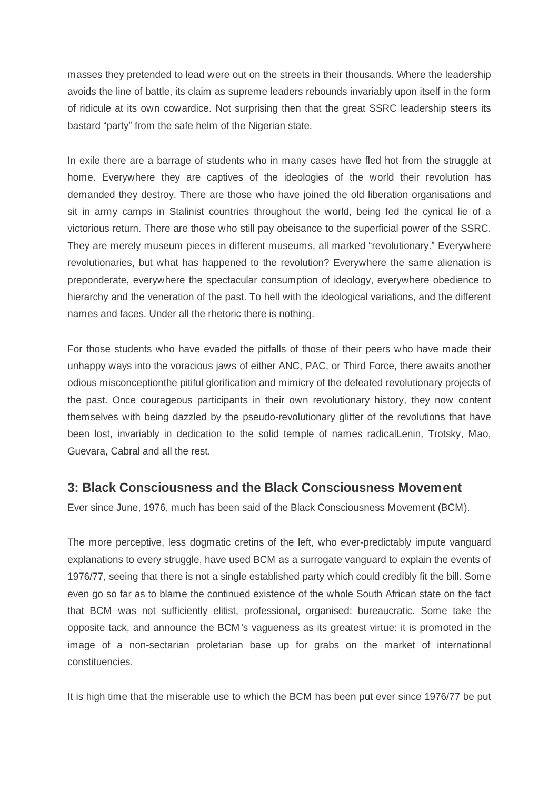masses they pretended to lead were out on the streets in their thousands. Where the leadership avoids the line of battle, its claim as supreme leaders rebounds invariably upon itself in the form of ridicule at its own cowardice. Not surprising then that the great SSRC leadership steers its bastard "party" from the safe helm of the Nigerian state.

In exile there are a barrage of students who in many cases have fled hot from the struggle at home. Everywhere they are captives of the ideologies of the world their revolution has demanded they destroy. There are those who have joined the old liberation organisations and sit in army camps in Stalinist countries throughout the world, being fed the cynical lie of a victorious return. There are those who still pay obeisance to the superficial power of the SSRC. They are merely museum pieces in different museums, all marked "revolutionary." Everywhere revolutionaries, but what has happened to the revolution? Everywhere the same alienation is preponderate, everywhere the spectacular consumption of ideology, everywhere obedience to hierarchy and the veneration of the past. To hell with the ideological variations, and the different names and faces. Under all the rhetoric there is nothing.

For those students who have evaded the pitfalls of those of their peers who have made their unhappy ways into the voracious jaws of either ANC, PAC, or Third Force, there awaits another odious misconceptionthe pitiful glorification and mimicry of the defeated revolutionary projects of the past. Once courageous participants in their own revolutionary history, they now content themselves with being dazzled by the pseudo-revolutionary glitter of the revolutions that have been lost, invariably in dedication to the solid temple of names radicalLenin, Trotsky, Mao, Guevara, Cabral and all the rest.

### **3: Black Consciousness and the Black Consciousness Movement**

Ever since June, 1976, much has been said of the Black Consciousness Movement (BCM).

The more perceptive, less dogmatic cretins of the left, who ever-predictably impute vanguard explanations to every struggle, have used BCM as a surrogate vanguard to explain the events of 1976/77, seeing that there is not a single established party which could credibly fit the bill. Some even go so far as to blame the continued existence of the whole South African state on the fact that BCM was not sufficiently elitist, professional, organised: bureaucratic. Some take the opposite tack, and announce the BCM's vagueness as its greatest virtue: it is promoted in the image of a non-sectarian proletarian base up for grabs on the market of international constituencies.

It is high time that the miserable use to which the BCM has been put ever since 1976/77 be put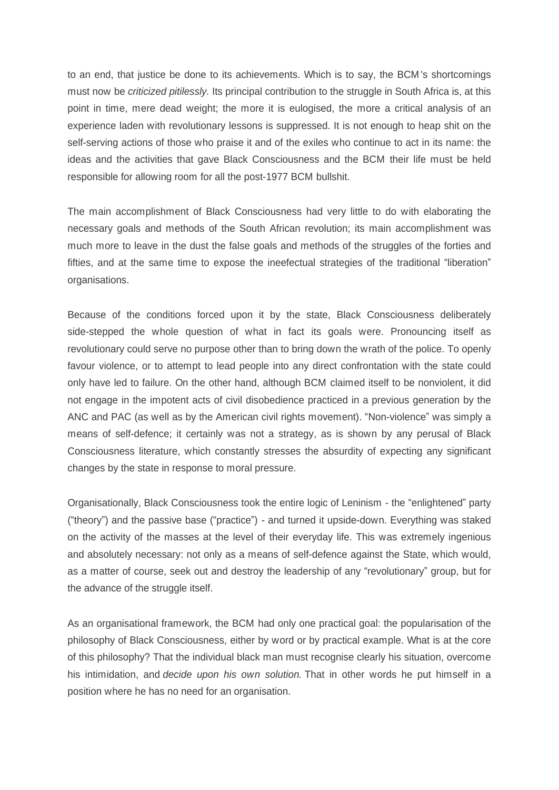to an end, that justice be done to its achievements. Which is to say, the BCM's shortcomings must now be *criticized pitilessly.* Its principal contribution to the struggle in South Africa is, at this point in time, mere dead weight; the more it is eulogised, the more a critical analysis of an experience laden with revolutionary lessons is suppressed. It is not enough to heap shit on the self-serving actions of those who praise it and of the exiles who continue to act in its name: the ideas and the activities that gave Black Consciousness and the BCM their life must be held responsible for allowing room for all the post-1977 BCM bullshit.

The main accomplishment of Black Consciousness had very little to do with elaborating the necessary goals and methods of the South African revolution; its main accomplishment was much more to leave in the dust the false goals and methods of the struggles of the forties and fifties, and at the same time to expose the ineefectual strategies of the traditional "liberation" organisations.

Because of the conditions forced upon it by the state, Black Consciousness deliberately side-stepped the whole question of what in fact its goals were. Pronouncing itself as revolutionary could serve no purpose other than to bring down the wrath of the police. To openly favour violence, or to attempt to lead people into any direct confrontation with the state could only have led to failure. On the other hand, although BCM claimed itself to be nonviolent, it did not engage in the impotent acts of civil disobedience practiced in a previous generation by the ANC and PAC (as well as by the American civil rights movement). "Non-violence" was simply a means of self-defence; it certainly was not a strategy, as is shown by any perusal of Black Consciousness literature, which constantly stresses the absurdity of expecting any significant changes by the state in response to moral pressure.

Organisationally, Black Consciousness took the entire logic of Leninism - the "enlightened" party ("theory") and the passive base ("practice") - and turned it upside-down. Everything was staked on the activity of the masses at the level of their everyday life. This was extremely ingenious and absolutely necessary: not only as a means of self-defence against the State, which would, as a matter of course, seek out and destroy the leadership of any "revolutionary" group, but for the advance of the struggle itself.

As an organisational framework, the BCM had only one practical goal: the popularisation of the philosophy of Black Consciousness, either by word or by practical example. What is at the core of this philosophy? That the individual black man must recognise clearly his situation, overcome his intimidation, and *decide upon his own solution.* That in other words he put himself in a position where he has no need for an organisation.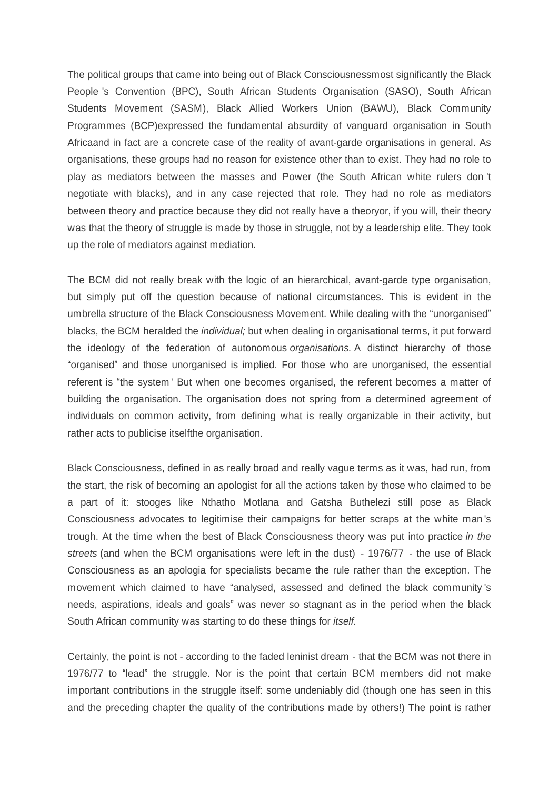The political groups that came into being out of Black Consciousnessmost significantly the Black People 's Convention (BPC), South African Students Organisation (SASO), South African Students Movement (SASM), Black Allied Workers Union (BAWU), Black Community Programmes (BCP)expressed the fundamental absurdity of vanguard organisation in South Africaand in fact are a concrete case of the reality of avant-garde organisations in general. As organisations, these groups had no reason for existence other than to exist. They had no role to play as mediators between the masses and Power (the South African white rulers don 't negotiate with blacks), and in any case rejected that role. They had no role as mediators between theory and practice because they did not really have a theoryor, if you will, their theory was that the theory of struggle is made by those in struggle, not by a leadership elite. They took up the role of mediators against mediation.

The BCM did not really break with the logic of an hierarchical, avant-garde type organisation, but simply put off the question because of national circumstances. This is evident in the umbrella structure of the Black Consciousness Movement. While dealing with the "unorganised" blacks, the BCM heralded the *individual;* but when dealing in organisational terms, it put forward the ideology of the federation of autonomous *organisations.* A distinct hierarchy of those ³organised´ and those unorganised is implied. For those who are unorganised, the essential referent is "the system' But when one becomes organised, the referent becomes a matter of building the organisation. The organisation does not spring from a determined agreement of individuals on common activity, from defining what is really organizable in their activity, but rather acts to publicise itselfthe organisation.

Black Consciousness, defined in as really broad and really vague terms as it was, had run, from the start, the risk of becoming an apologist for all the actions taken by those who claimed to be a part of it: stooges like Nthatho Motlana and Gatsha Buthelezi still pose as Black Consciousness advocates to legitimise their campaigns for better scraps at the white man 's trough. At the time when the best of Black Consciousness theory was put into practice *in the streets* (and when the BCM organisations were left in the dust) - 1976/77 - the use of Black Consciousness as an apologia for specialists became the rule rather than the exception. The movement which claimed to have "analysed, assessed and defined the black community 's needs, aspirations, ideals and goals´ was never so stagnant as in the period when the black South African community was starting to do these things for *itself.*

Certainly, the point is not - according to the faded leninist dream - that the BCM was not there in 1976/77 to "lead" the struggle. Nor is the point that certain BCM members did not make important contributions in the struggle itself: some undeniably did (though one has seen in this and the preceding chapter the quality of the contributions made by others!) The point is rather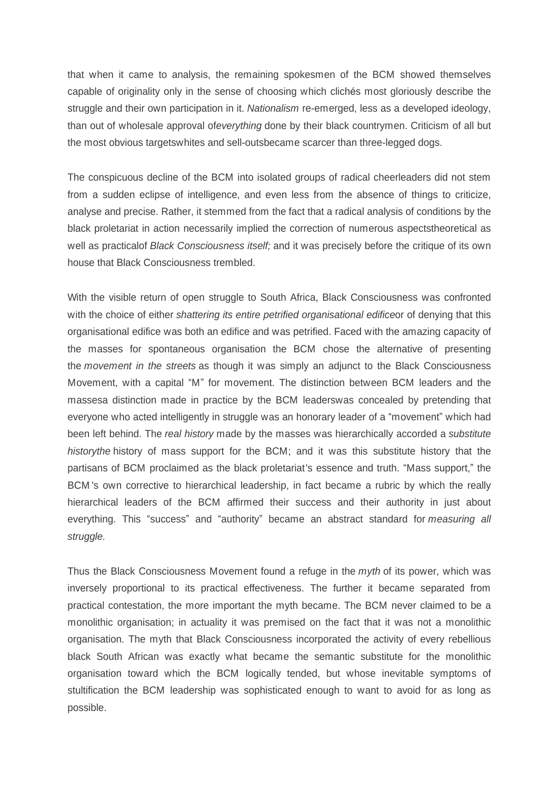that when it came to analysis, the remaining spokesmen of the BCM showed themselves capable of originality only in the sense of choosing which cliches most gloriously describe the struggle and their own participation in it. *Nationalism* re-emerged, less as a developed ideology, than out of wholesale approval of*everything* done by their black countrymen. Criticism of all but the most obvious targetswhites and sell-outsbecame scarcer than three-legged dogs.

The conspicuous decline of the BCM into isolated groups of radical cheerleaders did not stem from a sudden eclipse of intelligence, and even less from the absence of things to criticize, analyse and precise. Rather, it stemmed from the fact that a radical analysis of conditions by the black proletariat in action necessarily implied the correction of numerous aspectstheoretical as well as practicalof *Black Consciousness itself;* and it was precisely before the critique of its own house that Black Consciousness trembled.

With the visible return of open struggle to South Africa, Black Consciousness was confronted with the choice of either *shattering its entire petrified organisational edifice*or of denying that this organisational edifice was both an edifice and was petrified. Faced with the amazing capacity of the masses for spontaneous organisation the BCM chose the alternative of presenting the *movement in the streets* as though it was simply an adjunct to the Black Consciousness Movement, with a capital "M" for movement. The distinction between BCM leaders and the massesa distinction made in practice by the BCM leaderswas concealed by pretending that everyone who acted intelligently in struggle was an honorary leader of a "movement" which had been left behind. The *real history* made by the masses was hierarchically accorded a *substitute historythe* history of mass support for the BCM; and it was this substitute history that the partisans of BCM proclaimed as the black proletariat's essence and truth. "Mass support," the BCM 's own corrective to hierarchical leadership, in fact became a rubric by which the really hierarchical leaders of the BCM affirmed their success and their authority in just about everything. This "success" and "authority" became an abstract standard for *measuring all struggle.*

Thus the Black Consciousness Movement found a refuge in the *myth* of its power, which was inversely proportional to its practical effectiveness. The further it became separated from practical contestation, the more important the myth became. The BCM never claimed to be a monolithic organisation; in actuality it was premised on the fact that it was not a monolithic organisation. The myth that Black Consciousness incorporated the activity of every rebellious black South African was exactly what became the semantic substitute for the monolithic organisation toward which the BCM logically tended, but whose inevitable symptoms of stultification the BCM leadership was sophisticated enough to want to avoid for as long as possible.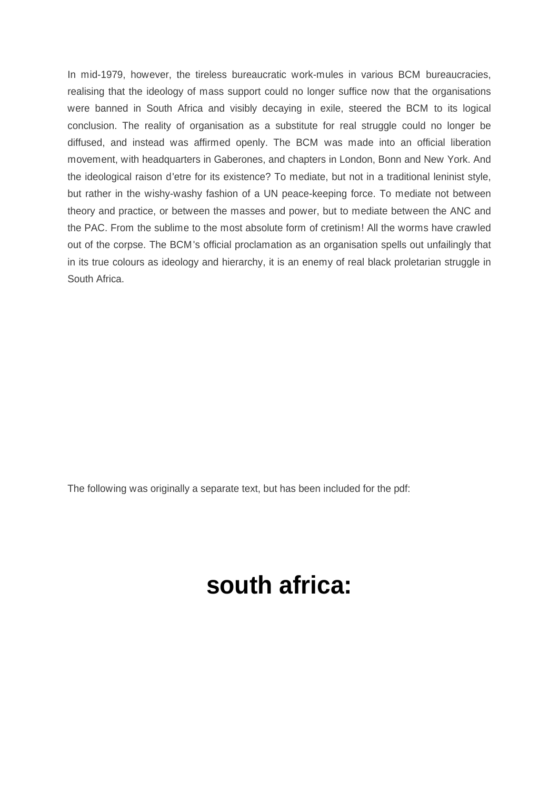In mid-1979, however, the tireless bureaucratic work-mules in various BCM bureaucracies, realising that the ideology of mass support could no longer suffice now that the organisations were banned in South Africa and visibly decaying in exile, steered the BCM to its logical conclusion. The reality of organisation as a substitute for real struggle could no longer be diffused, and instead was affirmed openly. The BCM was made into an official liberation movement, with headquarters in Gaberones, and chapters in London, Bonn and New York. And the ideological raison d'etre for its existence? To mediate, but not in a traditional leninist style, but rather in the wishy-washy fashion of a UN peace-keeping force. To mediate not between theory and practice, or between the masses and power, but to mediate between the ANC and the PAC. From the sublime to the most absolute form of cretinism! All the worms have crawled out of the corpse. The BCM's official proclamation as an organisation spells out unfailingly that in its true colours as ideology and hierarchy, it is an enemy of real black proletarian struggle in South Africa.

The following was originally a separate text, but has been included for the pdf:

# **south africa:**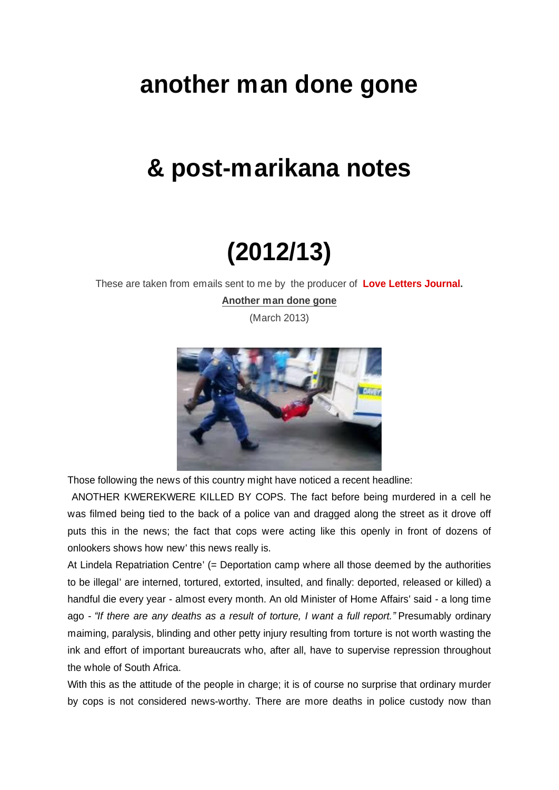# **another man done gone**

# **& post-marikana notes**

# **(2012/13)**

These are taken from emails sent to me by the producer of **[Love Letters Journal](http://lovelettersjournal.blogspot.fr/).**

**Another man done gone**

(March 2013)



Those following the news of this country might have noticed a recent headline:

 ANOTHER KWEREKWERE KILLED BY COPS. The fact before being murdered in a cell he was filmed being tied to the back of a police van and dragged along the street as it drove off puts this in the news; the fact that cops were acting like this openly in front of dozens of onlookers shows how new' this news really is.

At Lindela Repatriation Centre' (= Deportation camp where all those deemed by the authorities to be illegal' are interned, tortured, extorted, insulted, and finally: deported, released or killed) a handful die every year - almost every month. An old Minister of Home Affairs' said - a long time ago - *³If there are any deaths as a result of torture, I want a full report.´*Presumably ordinary maiming, paralysis, blinding and other petty injury resulting from torture is not worth wasting the ink and effort of important bureaucrats who, after all, have to supervise repression throughout the whole of South Africa.

With this as the attitude of the people in charge; it is of course no surprise that ordinary murder by cops is not considered news-worthy. There are more deaths in police custody now than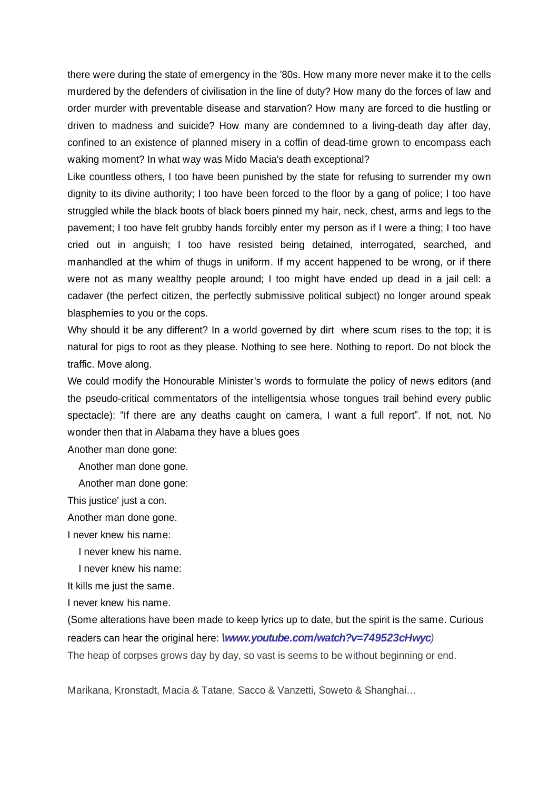there were during the state of emergency in the '80s. How many more never make it to the cells murdered by the defenders of civilisation in the line of duty? How many do the forces of law and order murder with preventable disease and starvation? How many are forced to die hustling or driven to madness and suicide? How many are condemned to a living-death day after day, confined to an existence of planned misery in a coffin of dead-time grown to encompass each waking moment? In what way was Mido Macia's death exceptional?

Like countless others, I too have been punished by the state for refusing to surrender my own dignity to its divine authority; I too have been forced to the floor by a gang of police; I too have struggled while the black boots of black boers pinned my hair, neck, chest, arms and legs to the pavement; I too have felt grubby hands forcibly enter my person as if I were a thing; I too have cried out in anguish; I too have resisted being detained, interrogated, searched, and manhandled at the whim of thugs in uniform. If my accent happened to be wrong, or if there were not as many wealthy people around; I too might have ended up dead in a jail cell: a cadaver (the perfect citizen, the perfectly submissive political subject) no longer around speak blasphemies to you or the cops.

Why should it be any different? In a world governed by dirt where scum rises to the top; it is natural for pigs to root as they please. Nothing to see here. Nothing to report. Do not block the traffic. Move along.

We could modify the Honourable Minister's words to formulate the policy of news editors (and the pseudo-critical commentators of the intelligentsia whose tongues trail behind every public spectacle): "If there are any deaths caught on camera, I want a full report". If not, not. No wonder then that in Alabama they have a blues goes

Another man done gone:

Another man done gone.

Another man done gone:

This justice' just a con.

Another man done gone.

I never knew his name:

I never knew his name.

I never knew his name:

It kills me just the same.

I never knew his name.

(Some alterations have been made to keep lyrics up to date, but the spirit is the same. Curious readers can hear the original here: *[\www.youtube.com/watch?v=749523cHwyc](http://www.youtube.com/watch?v=749523cHwyc))*

The heap of corpses grows day by day, so vast is seems to be without beginning or end.

Marikana, Kronstadt, Macia & Tatane, Sacco & Vanzetti, Soweto & Shanghai...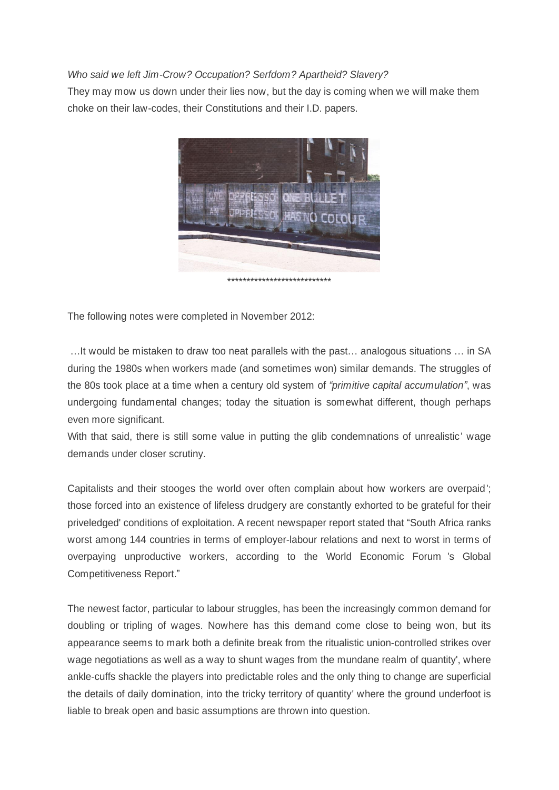#### *Who said we left Jim-Crow? Occupation? Serfdom? Apartheid? Slavery?*

They may mow us down under their lies now, but the day is coming when we will make them choke on their law-codes, their Constitutions and their I.D. papers.



The following notes were completed in November 2012:

...It would be mistaken to draw too neat parallels with the past... analogous situations ... in SA during the 1980s when workers made (and sometimes won) similar demands. The struggles of the 80s took place at a time when a century old system of "primitive capital accumulation", was undergoing fundamental changes; today the situation is somewhat different, though perhaps even more significant.

With that said, there is still some value in putting the glib condemnations of unrealistic' wage demands under closer scrutiny.

Capitalists and their stooges the world over often complain about how workers are overpaid'; those forced into an existence of lifeless drudgery are constantly exhorted to be grateful for their priveledged' conditions of exploitation. A recent newspaper report stated that "South Africa ranks" worst among 144 countries in terms of employer-labour relations and next to worst in terms of overpaying unproductive workers, according to the World Economic Forum 's Global Competitiveness Report."

The newest factor, particular to labour struggles, has been the increasingly common demand for doubling or tripling of wages. Nowhere has this demand come close to being won, but its appearance seems to mark both a definite break from the ritualistic union-controlled strikes over wage negotiations as well as a way to shunt wages from the mundane realm of quantity', where ankle-cuffs shackle the players into predictable roles and the only thing to change are superficial the details of daily domination, into the tricky territory of quantity' where the ground underfoot is liable to break open and basic assumptions are thrown into question.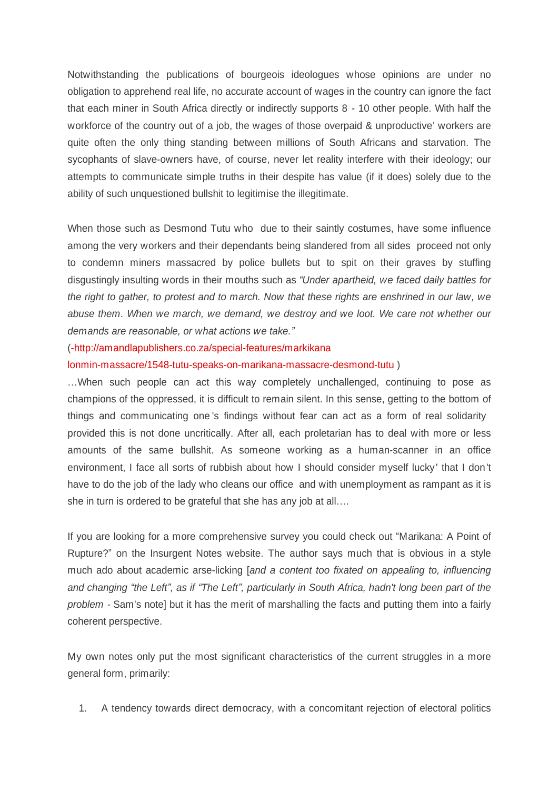Notwithstanding the publications of bourgeois ideologues whose opinions are under no obligation to apprehend real life, no accurate account of wages in the country can ignore the fact that each miner in South Africa directly or indirectly supports 8 - 10 other people. With half the workforce of the country out of a job, the wages of those overpaid & unproductive' workers are quite often the only thing standing between millions of South Africans and starvation. The sycophants of slave-owners have, of course, never let reality interfere with their ideology; our attempts to communicate simple truths in their despite has value (if it does) solely due to the ability of such unquestioned bullshit to legitimise the illegitimate.

When those such as Desmond Tutu who due to their saintly costumes, have some influence among the very workers and their dependants being slandered from all sides proceed not only to condemn miners massacred by police bullets but to spit on their graves by stuffing disgustingly insulting words in their mouths such as "Under apartheid, we faced daily battles for *the right to gather, to protest and to march. Now that these rights are enshrined in our law, we abuse them. When we march, we demand, we destroy and we loot. We care not whether our demands are reasonable, or what actions we take.´*

#### ([-http://amandlapublishers.co.za/special-features/markikana](http://amandlapublishers.co.za/special-features/markikana--lonmin-massacre/1548-tutu-speaks-on-marikana-massacre--desmond-tutu)

[lonmin-massacre/1548-tutu-speaks-on-marikana-massacre-desmond-tutu](http://amandlapublishers.co.za/special-features/markikana--lonmin-massacre/1548-tutu-speaks-on-marikana-massacre--desmond-tutu) )

...When such people can act this way completely unchallenged, continuing to pose as champions of the oppressed, it is difficult to remain silent. In this sense, getting to the bottom of things and communicating one 's findings without fear can act as a form of real solidarity provided this is not done uncritically. After all, each proletarian has to deal with more or less amounts of the same bullshit. As someone working as a human-scanner in an office environment, I face all sorts of rubbish about how I should consider myself lucky' that I don't have to do the job of the lady who cleans our office and with unemployment as rampant as it is she in turn is ordered to be grateful that she has any job at all....

If you are looking for a more comprehensive survey you could check out "Marikana: A Point of Rupture?´ on the Insurgent Notes website. The author says much that is obvious in a style much ado about academic arse-licking [*and a content too fixated on appealing to, influencing and changing ³the Left´, as if ³The Left´, particularly in South Africa, hadn't long been part of the problem -* Sam's note] but it has the merit of marshalling the facts and putting them into a fairly coherent perspective.

My own notes only put the most significant characteristics of the current struggles in a more general form, primarily:

1. A tendency towards direct democracy, with a concomitant rejection of electoral politics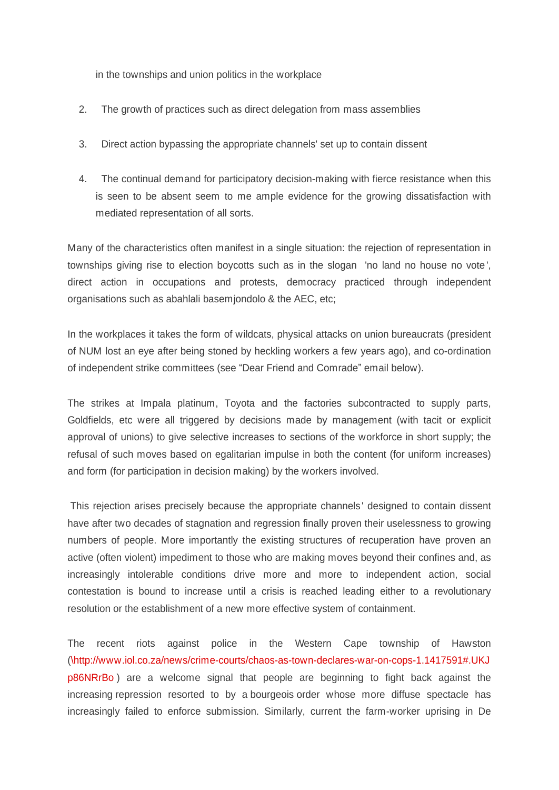in the townships and union politics in the workplace

- 2. The growth of practices such as direct delegation from mass assemblies
- 3. Direct action bypassing the appropriate channels' set up to contain dissent
- 4. The continual demand for participatory decision-making with fierce resistance when this is seen to be absent seem to me ample evidence for the growing dissatisfaction with mediated representation of all sorts.

Many of the characteristics often manifest in a single situation: the rejection of representation in townships giving rise to election boycotts such as in the slogan 'no land no house no vote', direct action in occupations and protests, democracy practiced through independent organisations such as abahlali basemjondolo & the AEC, etc;

In the workplaces it takes the form of wildcats, physical attacks on union bureaucrats (president of NUM lost an eye after being stoned by heckling workers a few years ago), and co-ordination of independent strike committees (see "Dear Friend and Comrade" email below).

The strikes at Impala platinum, Toyota and the factories subcontracted to supply parts, Goldfields, etc were all triggered by decisions made by management (with tacit or explicit approval of unions) to give selective increases to sections of the workforce in short supply; the refusal of such moves based on egalitarian impulse in both the content (for uniform increases) and form (for participation in decision making) by the workers involved.

 This rejection arises precisely because the appropriate channels' designed to contain dissent have after two decades of stagnation and regression finally proven their uselessness to growing numbers of people. More importantly the existing structures of recuperation have proven an active (often violent) impediment to those who are making moves beyond their confines and, as increasingly intolerable conditions drive more and more to independent action, social contestation is bound to increase until a crisis is reached leading either to a revolutionary resolution or the establishment of a new more effective system of containment.

The recent riots against police in the Western Cape township of Hawston ([\http://www.iol.co.za/news/crime-courts/chaos-as-town-declares-war-on-cops-1.1417591#.UKJ](http://www.iol.co.za/news/crime-courts/chaos-as-town-declares-war-on-cops-1.1417591) [p86NRrBo](http://www.iol.co.za/news/crime-courts/chaos-as-town-declares-war-on-cops-1.1417591) ) are a welcome signal that people are beginning to fight back against the increasing repression resorted to by a bourgeois order whose more diffuse spectacle has increasingly failed to enforce submission. Similarly, current the farm-worker uprising in De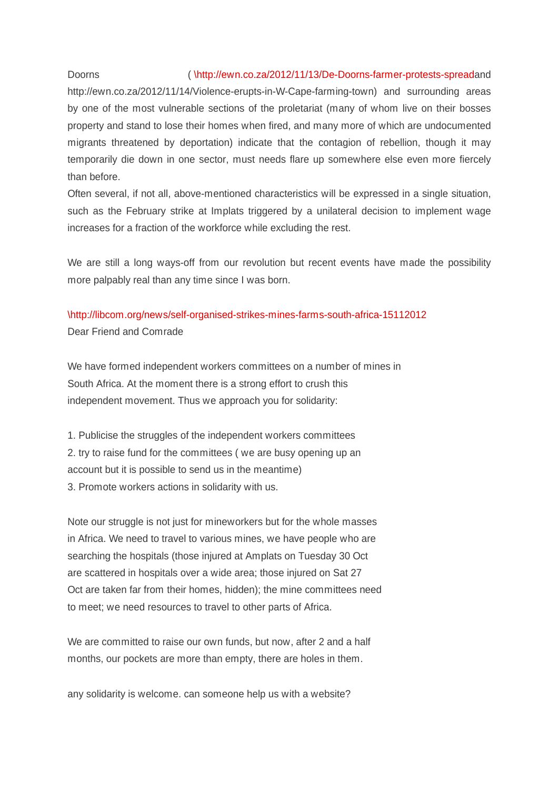# Doorns ([\http://ewn.co.za/2012/11/13/De-Doorns-farmer-protests-spread](http://ewn.co.za/2012/11/13/De-Doorns-farmer-protests-spread)and

http://ewn.co.za/2012/11/14/Violence-erupts-in-W-Cape-farming-town) and surrounding areas by one of the most vulnerable sections of the proletariat (many of whom live on their bosses property and stand to lose their homes when fired, and many more of which are undocumented migrants threatened by deportation) indicate that the contagion of rebellion, though it may temporarily die down in one sector, must needs flare up somewhere else even more fiercely than before.

Often several, if not all, above-mentioned characteristics will be expressed in a single situation, such as the February strike at Implats triggered by a unilateral decision to implement wage increases for a fraction of the workforce while excluding the rest.

We are still a long ways-off from our revolution but recent events have made the possibility more palpably real than any time since I was born.

## [\http://libcom.org/news/self-organised-strikes-mines-farms-south-africa-15112012](http://libcom.org/news/self-organised-strikes-mines-farms-south-africa-15112012) Dear Friend and Comrade

We have formed independent workers committees on a number of mines in South Africa. At the moment there is a strong effort to crush this independent movement. Thus we approach you for solidarity:

1. Publicise the struggles of the independent workers committees 2. try to raise fund for the committees ( we are busy opening up an account but it is possible to send us in the meantime) 3. Promote workers actions in solidarity with us.

Note our struggle is not just for mineworkers but for the whole masses in Africa. We need to travel to various mines, we have people who are searching the hospitals (those injured at Amplats on Tuesday 30 Oct are scattered in hospitals over a wide area; those injured on Sat 27 Oct are taken far from their homes, hidden); the mine committees need to meet; we need resources to travel to other parts of Africa.

We are committed to raise our own funds, but now, after 2 and a half months, our pockets are more than empty, there are holes in them.

any solidarity is welcome. can someone help us with a website?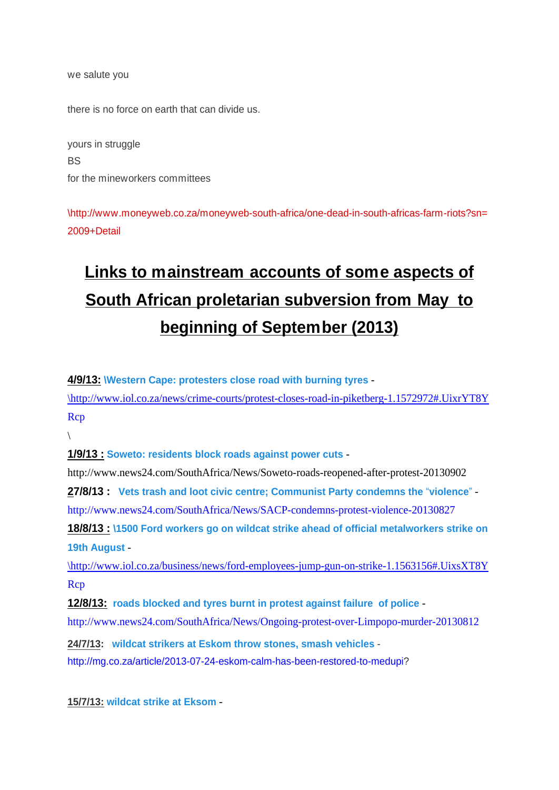we salute you

there is no force on earth that can divide us.

yours in struggle **BS** for the mineworkers committees

[\http://www.moneyweb.co.za/moneyweb-south-africa/one-dead-in-south-africas-farm-riots?sn=](http://www.moneyweb.co.za/moneyweb-south-africa/one-dead-in-south-africas-farm-riots?sn=2009+Detail) [2009+Detail](http://www.moneyweb.co.za/moneyweb-south-africa/one-dead-in-south-africas-farm-riots?sn=2009+Detail)

# **Links to mainstream accounts of some aspects of South African proletarian subversion from May to beginning of September (2013)**

**4/9/13: [\Western Cape: protesters close road with burning tyres](http://www.iol.co.za/news/crime-courts/protest-closes-road-in-piketberg-1.1572972)** -

[\http://www.iol.co.za/news/crime-courts/protest-closes-road-in-piketberg-1.1572972#.UixrYT8Y](http://www.iol.co.za/news/crime-courts/protest-closes-road-in-piketberg-1.1572972) [Rcp](http://www.iol.co.za/news/crime-courts/protest-closes-road-in-piketberg-1.1572972)

 $\setminus$  $\setminus$ 

**1/9/13 : [Soweto: residents block roads against power cuts](http://www.news24.com/SouthAfrica/News/Soweto-roads-reopened-after-protest-20130902)** -

http://www.news24.com/SouthAfrica/News/Soweto-roads-reopened-after-protest-20130902

**27/8/13 :** [Vets trash and loot civic centre; Communist Party condemns the](http
://www.news24.com/SouthAfrica/News/SACP-condemns-protest-violence-20130827) "violence" <http://www.news24.com/SouthAfrica/News/SACP-condemns-protest-violence-20130827>

**18/8/13 : [\1500 Ford workers go on wildcat strike ahead of official metalworkers strike on](http://www.iol.co.za/business/news/ford-employees-jump-gun-on-strike-1.1563156)  [19th August](http://www.iol.co.za/business/news/ford-employees-jump-gun-on-strike-1.1563156)** -

[\http://www.iol.co.za/business/news/ford-employees-jump-gun-on-strike-1.1563156#.UixsXT8Y](http://www.iol.co.za/business/news/ford-employees-jump-gun-on-strike-1.1563156) [Rcp](http://www.iol.co.za/business/news/ford-employees-jump-gun-on-strike-1.1563156)

**12/8/13: [roads blocked and tyres burnt in protest against failure of police](http://www.news24.com/SouthAfrica/News/Ongoing-protest-over-Limpopo-murder-20130812)** -

<http://www.news24.com/SouthAfrica/News/Ongoing-protest-over-Limpopo-murder-20130812>

**24/7/13: [wildcat strikers at Eskom throw stones, smash vehicles](http://mg.co.za/article/2013-07-24-eskom-calm-has-been-restored-to-medupi?)** [http://mg.co.za/article/2013-07-24-eskom-calm-has-been-restored-to-medupi?](http://mg.co.za/article/2013-07-24-eskom-calm-has-been-restored-to-medupi)

**15/7/13: [wildcat strike at Eksom](http://www.iol.co.za/business/companies/wildcat-strike-at-eskom-s-power-station-1.1547116)** -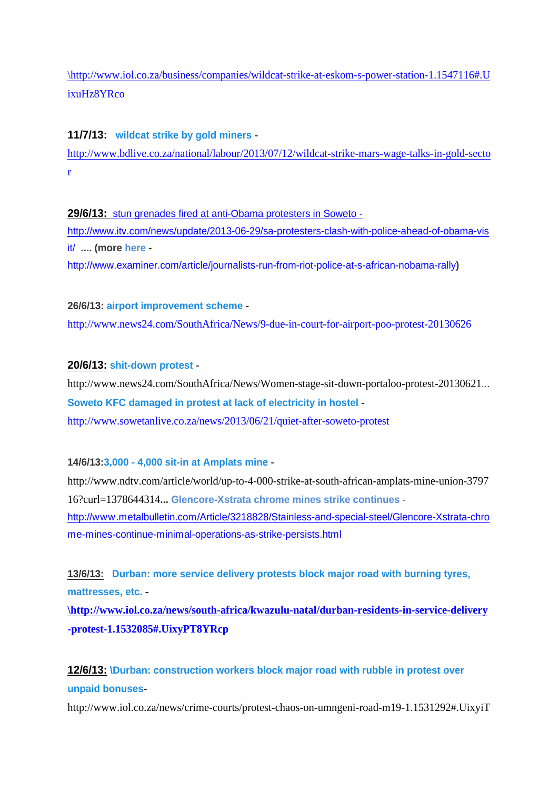[\http://www.iol.co.za/business/companies/wildcat-strike-at-eskom-s-power-station-1.1547116#.U](http://www.iol.co.za/business/companies/wildcat-strike-at-eskom-s-power-station-1.1547116) [ixuHz8YRco](http://www.iol.co.za/business/companies/wildcat-strike-at-eskom-s-power-station-1.1547116)

#### **11/7/13: [wildcat strike by gold miners](http://www.bdlive.co.za/national/labour/2013/07/12/wildcat-strike-mars-wage-talks-in-gold-sector)** -

[http://www.bdlive.co.za/national/labour/2013/07/12/wildcat-strike-mars-wage-talks-in-gold-secto](http://www.bdlive.co.za/national/labour/2013/07/12/wildcat-strike-mars-wage-talks-in-gold-sector) [r](http://www.bdlive.co.za/national/labour/2013/07/12/wildcat-strike-mars-wage-talks-in-gold-sector)

**29/6/13:** [stun grenades fired at anti-Obama protesters in Soweto](stun%20grenades%20fired%20at
%20anti-Obama%20protesters%20in%20Soweto\~-%20http://www.itv.com/news/update/2013-06-29/sa-protesters-clash-with-police-ahead-of-obama-visit/\~)  [http://www.itv.com/news/update/2013-06-29/sa-protesters-clash-with-police-ahead-of-obama-vis](stun%20grenades%20fired%20at
%20anti-Obama%20protesters%20in%20Soweto\~-%20http://www.itv.com/news/update/2013-06-29/sa-protesters-clash-with-police-ahead-of-obama-visit/\~) [it/](stun%20grenades%20fired%20at
%20anti-Obama%20protesters%20in%20Soweto\~-%20http://www.itv.com/news/update/2013-06-29/sa-protesters-clash-with-police-ahead-of-obama-visit/\~) **.... (more [here](http://www.examiner.com/article/journalists-run-from-riot-police-at-s-african-nobama-rally)**  <http://www.examiner.com/article/journalists-run-from-riot-police-at-s-african-nobama-rally>**)**

#### **26/6/13: [airport improvement scheme](http://www.news24.com/SouthAfrica/News/9-due-in-court-for-airport-poo-protest-20130626)** -

<http://www.news24.com/SouthAfrica/News/9-due-in-court-for-airport-poo-protest-20130626>

#### **20/6/13: [shit-down protest](http://www.news24.com/SouthAfrica/News/Women-stage-sit-down-portaloo-protest-20130621)** -

http://www.news24.com/SouthAfrica/News/Women-stage-sit-down-portaloo-protest-20130621... **[Soweto KFC damaged in protest at lack of electricity in hostel](http://www.sowetanlive.co.za/news/2013/06/21/quiet-after-soweto-protest)** <http://www.sowetanlive.co.za/news/2013/06/21/quiet-after-soweto-protest>

#### **14/6/13:[3,000 - 4,000 sit-in at Amplats mine](http://www.ndtv.com/article/world/379716)** -

http://www.ndtv.com/article/world/up-to-4-000-strike-at-south-african-amplats-mine-union-3797 16?curl=1378644314**... Glencore-Xstrata chrome mines strike continues** [http://www.metalbulletin.com/Article/3218828/Stainless-and-special-steel/Glencore-Xstrata-chro](http://www.metalbulletin.com/Article/3218828/Stainless-and-special-steel/Glencore-Xstrata-chrome-mines-continue-minimal-operations-as-strike-persists.html) [me-mines-continue-minimal-operations-as-strike-persists.html](http://www.metalbulletin.com/Article/3218828/Stainless-and-special-steel/Glencore-Xstrata-chrome-mines-continue-minimal-operations-as-strike-persists.html)

**13/6/13: [Durban: more service delivery protests block major road with burning tyres,](http://www.iol.co.za/news/south-africa/kwazulu-natal/durban-residents-in-service-delivery-protest-1.1532085) [mattresses, etc.](http://www.iol.co.za/news/south-africa/kwazulu-natal/durban-residents-in-service-delivery-protest-1.1532085) -**

**[\http://www.iol.co.za/news/south-africa/kwazulu-natal/durban-residents-in-service-delivery](http://ww
w.iol.co.za/news/south-africa/kwazulu-natal/durban-residents-in-service-delivery-protest-1.1532085) [-protest-1.1532085#.UixyPT8YRcp](http://ww
w.iol.co.za/news/south-africa/kwazulu-natal/durban-residents-in-service-delivery-protest-1.1532085)**

## **12/6/13: [\Durban: construction workers block major road with rubble in protest over](http://www.iol.co.za/news/crime-courts/protest-chaos-on-umngeni-road-m19-1.1531292) [unpaid bonuses](http://www.iol.co.za/news/crime-courts/protest-chaos-on-umngeni-road-m19-1.1531292)**-

http://www.iol.co.za/news/crime-courts/protest-chaos-on-umngeni-road-m19-1.1531292#.UixyiT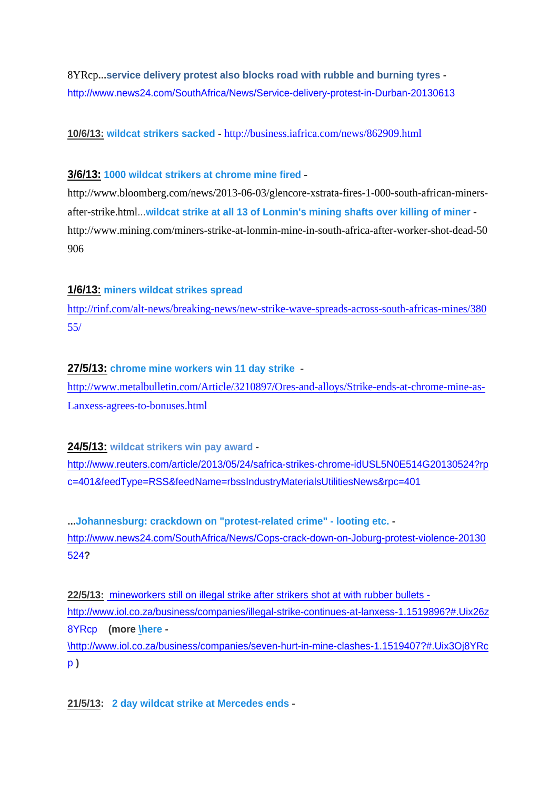8YRcp**..[.service delivery protest also blocks road with rubble and burning tyres](http://www.news24.com/SouthAfrica/News/Service-delivery-protest-in-Durban-20130613)**  <http://www.news24.com/SouthAfrica/News/Service-delivery-protest-in-Durban-20130613>

**10/6/13: [wildcat strikers sacked](http://business.iafrica.com/news/862909.html)** - <http://business.iafrica.com/news/862909.html>

#### **3/6/13: [1000 wildcat strikers at chrome mine fired](http://www.bloomberg.com/news/2013-06-03/glencore-xstrata-fires-1-000-south-african-miners-after-strike.html)** -

http://www.bloomberg.com/news/2013-06-03/glencore-xstrata-fires-1-000-south-african-minersafter-strike.html...**[wildcat strike at all 13 of Lonmin's mining shafts over killing of miner](http://www.mining.com/miners-strike-at-lonmin-mine-in-south-africa-after-worker-shot-dead-50906/)** http://www.mining.com/miners-strike-at-lonmin-mine-in-south-africa-after-worker-shot-dead-50 906

#### **1/6/13: [miners wildcat strikes spread](http://rinf.com/alt-news/breaking-news/new-strike-wave-spreads-across-south-africas-mines/38055/)**

[http://rinf.com/alt-news/breaking-news/new-strike-wave-spreads-across-south-africas-mines/380](http://rinf.com/alt-news/breaking-news/new-strike-wave-spreads-across-south-africas-mines/38055/) [55/](http://rinf.com/alt-news/breaking-news/new-strike-wave-spreads-across-south-africas-mines/38055/)

#### **27/5/13: [chrome mine workers win 11 day strike](http://www.metalbulletin.com/Article/3210897/Ores-and-alloys/Strike-ends-at-chrome-mine-as-Lanxess-agrees-to-bonuses.html)** -

[http://www.metalbulletin.com/Article/3210897/Ores-and-alloys/Strike-ends-at-chrome-mine-as-](http://www.metalbulletin.com/Article/3210897/Ores-and-alloys/Strike-ends-at-chrome-mine-as-Lanxess-agrees-to-bonuses.html)[Lanxess-agrees-to-bonuses.html](http://www.metalbulletin.com/Article/3210897/Ores-and-alloys/Strike-ends-at-chrome-mine-as-Lanxess-agrees-to-bonuses.html)

**24/5/13: [wildcat strikers win pay award](http://www.reuters.com/article/2013/05/24/safrica-strikes-chrome-idUSL5N0E514G20130524?rpc=401&feedType=RSS&feedName=rbssIndustryMaterialsUtilitiesNews&rpc=401)**  [http://www.reuters.com/article/2013/05/24/safrica-strikes-chrome-idUSL5N0E514G20130524?rp](http://www.reuters.com/article/2013/05/24/safrica-strikes-chrome-idUSL5N0E514G20130524?rpc=401&feedType=RSS&feedName=rbssIndustryMaterialsUtilitiesNews&rpc=401) [c=401&feedType=RSS&feedName=rbssIndustryMaterialsUtilitiesNews&rpc=401](http://www.reuters.com/article/2013/05/24/safrica-strikes-chrome-idUSL5N0E514G20130524?rpc=401&feedType=RSS&feedName=rbssIndustryMaterialsUtilitiesNews&rpc=401)

**...[Johannesburg: crackdown on "protest-related crime" - looting etc.](http://www.news24.com/SouthAfrica/News/Cops-crack-down-on-Joburg-protest-violence-20130524?)**  [http://www.news24.com/SouthAfrica/News/Cops-crack-down-on-Joburg-protest-violence-20130](http://www.news24.com/SouthAfrica/News/Cops-crack-down-on-Joburg-protest-violence-20130524) [524](http://www.news24.com/SouthAfrica/News/Cops-crack-down-on-Joburg-protest-violence-20130524)**?**

**22/5/13:** [mineworkers still on illegal strike after strikers shot at with rubber bullets](mineworkers%20still%20on%20illegal%20str
ike%20after%20strikers%20shot%20at%20with%20rubber%20bullets%20-%20http://www.iol.co.za/business/companies/illegal-strike-continues-at-lanxess-1.1519896?)  [http://www.iol.co.za/business/companies/illegal-strike-continues-at-lanxess-1.1519896?#.Uix26z](mineworkers%20still%20on%20illegal%20str
ike%20after%20strikers%20shot%20at%20with%20rubber%20bullets%20-%20http://www.iol.co.za/business/companies/illegal-strike-continues-at-lanxess-1.1519896?) [8YRcp](mineworkers%20still%20on%20illegal%20str
ike%20after%20strikers%20shot%20at%20with%20rubber%20bullets%20-%20http://www.iol.co.za/business/companies/illegal-strike-continues-at-lanxess-1.1519896?) **(more [\here](http://www.iol.co.za/business/companies/seven-hurt-in-mine-clashes-1.1519407?) -** [\http://www.iol.co.za/business/companies/seven-hurt-in-mine-clashes-1.1519407?#.Uix3Oj8YRc](http://www.iol.co.za/business/companies/seven-hurt-in-mine-clashes-1.1519407?)

[p](http://www.iol.co.za/business/companies/seven-hurt-in-mine-clashes-1.1519407?) **)**

**21/5/13: [2 day wildcat strike at Mercedes ends](http://europe.autonews.com/apps/pbcs.dll/article?AID=/20130521/ANE/130529983/mercedes-workers-end-wildcat-strike-in-s-africa)** -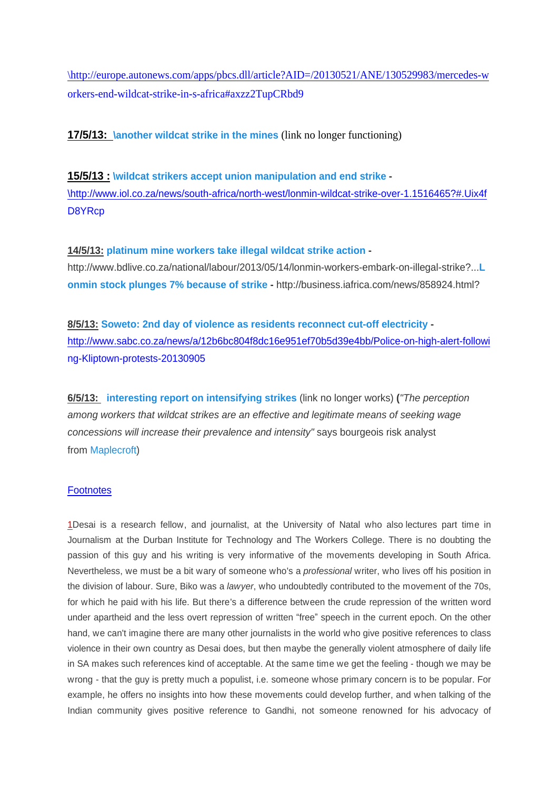[\http://europe.autonews.com/apps/pbcs.dll/article?AID=/20130521/ANE/130529983/mercedes-w](http://europe.autonews.com/apps/pbcs.dll/article?AID=/20130521/ANE/130529983/mercedes-workers-end-wildcat-strike-in-s-africa) [orkers-end-wildcat-strike-in-s-africa#axzz2TupCRbd9](http://europe.autonews.com/apps/pbcs.dll/article?AID=/20130521/ANE/130529983/mercedes-workers-end-wildcat-strike-in-s-africa)

**17/5/13: [\another wildcat strike in the mines](http://www.iol.co.za/business/business-news/unprotected-strike-at-chrome-mine-1.1517842)** (link no longer functioning)

**15/5/13 : [\wildcat strikers accept union manipulation and end strike](http://www.iol.co.za/news/south-africa/north-west/lonmin-wildcat-strike-over-1.1516465?) -** [\http://www.iol.co.za/news/south-africa/north-west/lonmin-wildcat-strike-over-1.1516465?#.Uix4f](http://www.iol.co.za/news/south-africa/north-west/lonmin-wildcat-strike-over-1.1516465?) [D8YRcp](http://www.iol.co.za/news/south-africa/north-west/lonmin-wildcat-strike-over-1.1516465?)

**14/5/13: [platinum mine workers take illegal wildcat strike action](http://www.bdlive.co.za/national/labour/2013/05/14/lonmin-workers-embark-on-illegal-strike?) -**

http://www.bdlive.co.za/national/labour/2013/05/14/lonmin-workers-embark-on-illegal-strike?...**[L](http://business.iafrica.com/news/858924.html?) [onmin stock plunges 7% because of strike](http://business.iafrica.com/news/858924.html?) -** http://business.iafrica.com/news/858924.html?

**8/5/13: [Soweto: 2nd day of violence as residents reconnect cut-off electricity](http://www.sabc.co.za/news/a/12b6bc804f8dc16e951ef70b5d39e4bb/Police-on-high-alert-following-Kliptown-protests-20130905)**  [http://www.sabc.co.za/news/a/12b6bc804f8dc16e951ef70b5d39e4bb/Police-on-high-alert-followi](http://www.sabc.co.za/news/a/12b6bc804f8dc16e951ef70b5d39e4bb/Police-on-high-alert-following-Kliptown-protests-20130905) [ng-Kliptown-protests-20130905](http://www.sabc.co.za/news/a/12b6bc804f8dc16e951ef70b5d39e4bb/Police-on-high-alert-following-Kliptown-protests-20130905)

**6/5/13: [interesting report on intensifying strikes](http://www.iol.co.za/business/bu
siness-news/sa-braces-for-strike-season-1.1510698?)** (link no longer works) **(**"The perception among workers that wildcat strikes are an effective and legitimate means of seeking wage concessions will increase their prevalence and intensity" says bourgeois risk analyst from [Maplecroft](http://maplecroft.com/))

#### **Footnotes**

1Desai is a research fellow, and journalist, at the University of Natal who also lectures part time in Journalism at the Durban Institute for Technology and The Workers College. There is no doubting the passion of this guy and his writing is very informative of the movements developing in South Africa. Nevertheless, we must be a bit wary of someone who's a *professional* writer, who lives off his position in the division of labour. Sure, Biko was a *lawyer*, who undoubtedly contributed to the movement of the 70s, for which he paid with his life. But there's a difference between the crude repression of the written word under apartheid and the less overt repression of written "free" speech in the current epoch. On the other hand, we can't imagine there are many other journalists in the world who give positive references to class violence in their own country as Desai does, but then maybe the generally violent atmosphere of daily life in SA makes such references kind of acceptable. At the same time we get the feeling - though we may be wrong - that the guy is pretty much a populist, i.e. someone whose primary concern is to be popular. For example, he offers no insights into how these movements could develop further, and when talking of the Indian community gives positive reference to Gandhi, not someone renowned for his advocacy of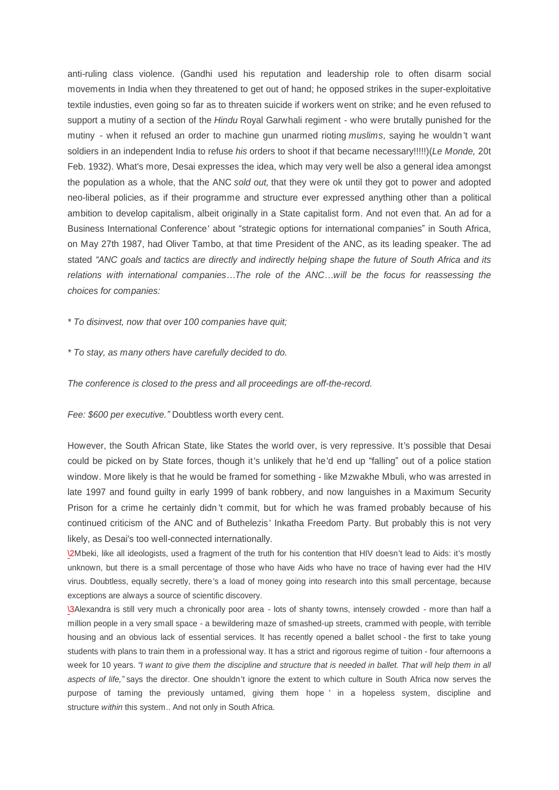anti-ruling class violence. (Gandhi used his reputation and leadership role to often disarm social movements in India when they threatened to get out of hand; he opposed strikes in the super-exploitative textile industies, even going so far as to threaten suicide if workers went on strike; and he even refused to support a mutiny of a section of the *Hindu* Royal Garwhali regiment - who were brutally punished for the mutiny - when it refused an order to machine gun unarmed rioting *muslims*, saying he wouldn't want soldiers in an independent India to refuse *his* orders to shoot if that became necessary!!!!!)(*Le Monde,* 20t Feb. 1932). What's more, Desai expresses the idea, which may very well be also a general idea amongst the population as a whole, that the ANC *sold out,* that they were ok until they got to power and adopted neo-liberal policies, as if their programme and structure ever expressed anything other than a political ambition to develop capitalism, albeit originally in a State capitalist form. And not even that. An ad for a Business International Conference' about "strategic options for international companies" in South Africa, on May 27th 1987, had Oliver Tambo, at that time President of the ANC, as its leading speaker. The ad stated *³ANC goals and tactics are directly and indirectly helping shape the future of South Africa and its relations with international companies«The role of the ANC«will be the focus for reassessing the choices for companies:*

*\* To disinvest, now that over 100 companies have quit;*

*\* To stay, as many others have carefully decided to do.*

*The conference is closed to the press and all proceedings are off-the-record.*

Fee: \$600 per executive." Doubtless worth every cent.

However, the South African State, like States the world over, is very repressive. It's possible that Desai could be picked on by State forces, though it's unlikely that he'd end up "falling" out of a police station window. More likely is that he would be framed for something - like Mzwakhe Mbuli, who was arrested in late 1997 and found guilty in early 1999 of bank robbery, and now languishes in a Maximum Security Prison for a crime he certainly didn't commit, but for which he was framed probably because of his continued criticism of the ANC and of Buthelezis' Inkatha Freedom Party. But probably this is not very likely, as Desai's too well-connected internationally.

[\2](file:///C:\\\\Users\\\\Nick
\\\\Documents\\\\dialectical%20delinquents\\\\texts%20for%20site\\\\South%20Africa2.%20OpenOffice.org%201.1.html)Mbeki, like all ideologists, used a fragment of the truth for his contention that HIV doesn't lead to Aids: it's mostly unknown, but there is a small percentage of those who have Aids who have no trace of having ever had the HIV virus. Doubtless, equally secretly, there's a load of money going into research into this small percentage, because exceptions are always a source of scientific discovery.

[\3](file:///C:\\\\Users\\\\Nick\\\\Documents\\\\dialectical%20delinquents\\\\texts%20for%20site\\\\South%20Africa2.%20OpenOffice.org%201.1.html)Alexandra is still very much a chronically poor area - lots of shanty towns, intensely crowded - more than half a million people in a very small space - a bewildering maze of smashed-up streets, crammed with people, with terrible housing and an obvious lack of essential services. It has recently opened a ballet school - the first to take young students with plans to train them in a professional way. It has a strict and rigorous regime of tuition - four afternoons a week for 10 years. *"I want to give them the discipline and structure that is needed in ballet. That will help them in all aspects of life,´* says the director. One shouldn't ignore the extent to which culture in South Africa now serves the purpose of taming the previously untamed, giving them hope ' in a hopeless system, discipline and structure *within* this system.. And not only in South Africa.